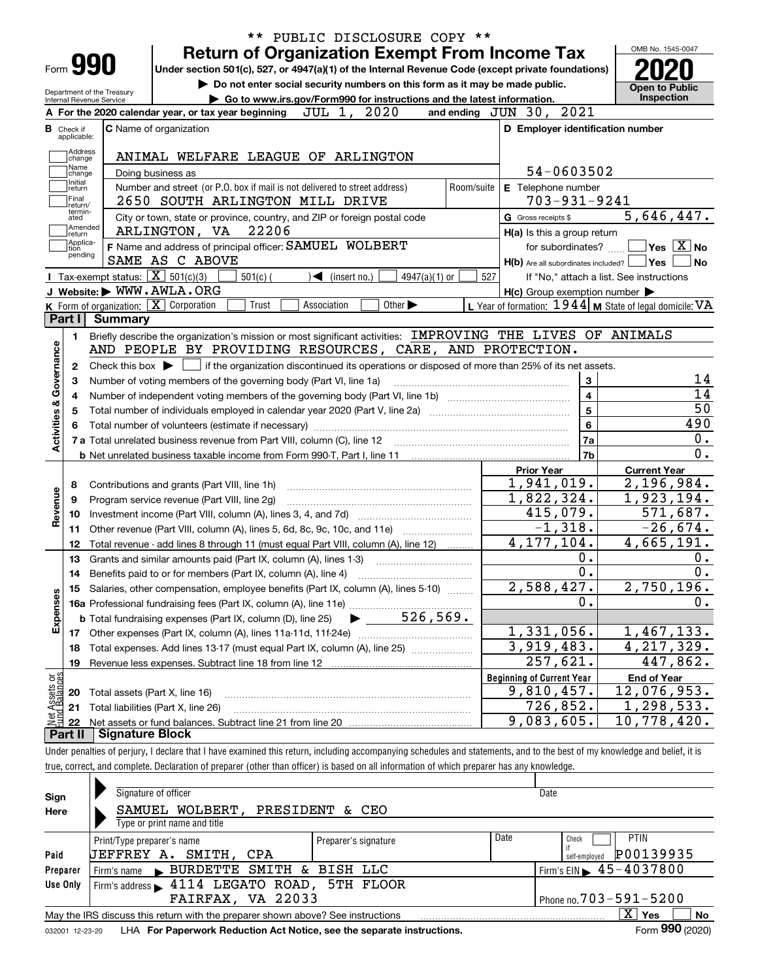|                                                                                              |                    |                            |                                                                              |                                                                                                                                                                                                                                    |       |                                   |                             |                                                                                                                                                     |            |     |                     |                                                     |                                                                         | OMB No. 1545-0047                                         |                                                                                                                                                                                                          |
|----------------------------------------------------------------------------------------------|--------------------|----------------------------|------------------------------------------------------------------------------|------------------------------------------------------------------------------------------------------------------------------------------------------------------------------------------------------------------------------------|-------|-----------------------------------|-----------------------------|-----------------------------------------------------------------------------------------------------------------------------------------------------|------------|-----|---------------------|-----------------------------------------------------|-------------------------------------------------------------------------|-----------------------------------------------------------|----------------------------------------------------------------------------------------------------------------------------------------------------------------------------------------------------------|
| Form 990                                                                                     |                    |                            |                                                                              | <b>Return of Organization Exempt From Income Tax</b><br>Under section 501(c), 527, or 4947(a)(1) of the Internal Revenue Code (except private foundations)                                                                         |       |                                   |                             |                                                                                                                                                     |            |     |                     |                                                     |                                                                         |                                                           |                                                                                                                                                                                                          |
|                                                                                              |                    |                            |                                                                              | Do not enter social security numbers on this form as it may be made public.                                                                                                                                                        |       |                                   |                             |                                                                                                                                                     |            |     |                     |                                                     |                                                                         |                                                           |                                                                                                                                                                                                          |
| Internal Revenue Service                                                                     |                    | Department of the Treasury |                                                                              | Go to www.irs.gov/Form990 for instructions and the latest information.                                                                                                                                                             |       |                                   |                             |                                                                                                                                                     |            |     |                     |                                                     |                                                                         |                                                           | <b>Open to Public</b><br>Inspection                                                                                                                                                                      |
|                                                                                              |                    |                            |                                                                              | A For the 2020 calendar year, or tax year beginning                                                                                                                                                                                |       | JUL 1, 2020                       |                             |                                                                                                                                                     |            |     |                     | and ending JUN 30, 2021                             |                                                                         |                                                           |                                                                                                                                                                                                          |
| <b>B</b> Check if<br>applicable:                                                             |                    |                            | C Name of organization                                                       |                                                                                                                                                                                                                                    |       |                                   |                             |                                                                                                                                                     |            |     |                     |                                                     |                                                                         | D Employer identification number                          |                                                                                                                                                                                                          |
|                                                                                              | Address            |                            |                                                                              |                                                                                                                                                                                                                                    |       |                                   |                             |                                                                                                                                                     |            |     |                     |                                                     |                                                                         |                                                           |                                                                                                                                                                                                          |
|                                                                                              | change<br>Name     |                            |                                                                              | ANIMAL WELFARE LEAGUE OF ARLINGTON                                                                                                                                                                                                 |       |                                   |                             |                                                                                                                                                     |            |     |                     |                                                     |                                                                         |                                                           |                                                                                                                                                                                                          |
| Initial                                                                                      | change             |                            | Doing business as                                                            |                                                                                                                                                                                                                                    |       |                                   |                             |                                                                                                                                                     |            |     |                     | 54-0603502                                          |                                                                         |                                                           |                                                                                                                                                                                                          |
| return<br>Final                                                                              |                    |                            |                                                                              | Number and street (or P.O. box if mail is not delivered to street address)                                                                                                                                                         |       |                                   |                             |                                                                                                                                                     | Room/suite |     |                     | E Telephone number                                  |                                                                         |                                                           |                                                                                                                                                                                                          |
|                                                                                              | return/<br>termin- |                            |                                                                              | 2650 SOUTH ARLINGTON MILL DRIVE                                                                                                                                                                                                    |       |                                   |                             |                                                                                                                                                     |            |     |                     | $703 - 931 - 9241$                                  |                                                                         |                                                           |                                                                                                                                                                                                          |
| ated                                                                                         | Amended            |                            |                                                                              | City or town, state or province, country, and ZIP or foreign postal code                                                                                                                                                           |       |                                   |                             |                                                                                                                                                     |            |     | G Gross receipts \$ |                                                     |                                                                         |                                                           | 5,646,447.                                                                                                                                                                                               |
| ∣return                                                                                      | Applica-           |                            | ARLINGTON, VA                                                                |                                                                                                                                                                                                                                    | 22206 |                                   |                             |                                                                                                                                                     |            |     |                     | H(a) Is this a group return                         |                                                                         |                                                           |                                                                                                                                                                                                          |
| tion                                                                                         | pending            |                            |                                                                              | F Name and address of principal officer: SAMUEL WOLBERT                                                                                                                                                                            |       |                                   |                             |                                                                                                                                                     |            |     |                     | for subordinates?                                   |                                                                         |                                                           | $\sqrt{}$ Yes $\sqrt{}$ X $\sqrt{}$ No                                                                                                                                                                   |
|                                                                                              |                    |                            | SAME AS C ABOVE                                                              |                                                                                                                                                                                                                                    |       |                                   |                             |                                                                                                                                                     |            |     |                     |                                                     |                                                                         | $H(b)$ Are all subordinates included? $\Box$ Yes          | No                                                                                                                                                                                                       |
|                                                                                              |                    |                            | Tax-exempt status: $\boxed{\mathbf{X}}$ 501(c)(3)<br>J Website: WWW.AWLA.ORG | $501(c)$ (                                                                                                                                                                                                                         |       | $\blacktriangleleft$ (insert no.) |                             | $4947(a)(1)$ or                                                                                                                                     |            | 527 |                     |                                                     |                                                                         | If "No," attach a list. See instructions                  |                                                                                                                                                                                                          |
|                                                                                              |                    |                            | K Form of organization: X Corporation                                        | Trust                                                                                                                                                                                                                              |       | Association                       | Other $\blacktriangleright$ |                                                                                                                                                     |            |     |                     | $H(c)$ Group exemption number $\blacktriangleright$ |                                                                         | L Year of formation: 1944   M State of legal domicile: VA |                                                                                                                                                                                                          |
| Part I                                                                                       |                    | Summary                    |                                                                              |                                                                                                                                                                                                                                    |       |                                   |                             |                                                                                                                                                     |            |     |                     |                                                     |                                                                         |                                                           |                                                                                                                                                                                                          |
|                                                                                              |                    |                            |                                                                              | Number of voting members of the governing body (Part VI, line 1a)                                                                                                                                                                  |       |                                   |                             | Check this box $\blacktriangleright$ $\blacksquare$ if the organization discontinued its operations or disposed of more than 25% of its net assets. |            |     |                     |                                                     | 3                                                                       |                                                           |                                                                                                                                                                                                          |
| 4<br>5<br>8<br>9<br>10                                                                       |                    |                            |                                                                              | <b>b</b> Net unrelated business taxable income from Form 990-T, Part I, line 11 <b>manual</b> content to the subsequent of Net II<br>Contributions and grants (Part VIII, line 1h)<br>Program service revenue (Part VIII, line 2g) |       |                                   |                             |                                                                                                                                                     |            |     | <b>Prior Year</b>   | 1,941,019.<br>1,822,324.<br>415,079.                | $\overline{\mathbf{4}}$<br>$\overline{5}$<br>$6\phantom{a}$<br>7a<br>7b | <b>Current Year</b>                                       |                                                                                                                                                                                                          |
| 11                                                                                           |                    |                            |                                                                              | Other revenue (Part VIII, column (A), lines 5, 6d, 8c, 9c, 10c, and 11e)                                                                                                                                                           |       |                                   |                             |                                                                                                                                                     |            |     |                     | $-1,318.$                                           |                                                                         |                                                           |                                                                                                                                                                                                          |
| 12                                                                                           |                    |                            |                                                                              | Total revenue - add lines 8 through 11 (must equal Part VIII, column (A), line 12)                                                                                                                                                 |       |                                   |                             |                                                                                                                                                     |            |     |                     | 4, 177, 104.                                        |                                                                         |                                                           |                                                                                                                                                                                                          |
| 13                                                                                           |                    |                            |                                                                              | Grants and similar amounts paid (Part IX, column (A), lines 1-3)                                                                                                                                                                   |       |                                   |                             |                                                                                                                                                     |            |     |                     |                                                     | 0.                                                                      |                                                           |                                                                                                                                                                                                          |
| 14                                                                                           |                    |                            |                                                                              | Benefits paid to or for members (Part IX, column (A), line 4)                                                                                                                                                                      |       |                                   |                             |                                                                                                                                                     |            |     |                     |                                                     | $\overline{0}$ .                                                        |                                                           |                                                                                                                                                                                                          |
| 15                                                                                           |                    |                            |                                                                              | Salaries, other compensation, employee benefits (Part IX, column (A), lines 5-10)                                                                                                                                                  |       |                                   |                             |                                                                                                                                                     |            |     |                     | 2,588,427.                                          |                                                                         |                                                           |                                                                                                                                                                                                          |
|                                                                                              |                    |                            |                                                                              |                                                                                                                                                                                                                                    |       |                                   |                             |                                                                                                                                                     |            |     |                     |                                                     | $\mathbf 0$ .                                                           |                                                           |                                                                                                                                                                                                          |
|                                                                                              |                    |                            |                                                                              |                                                                                                                                                                                                                                    |       |                                   |                             |                                                                                                                                                     |            |     |                     |                                                     |                                                                         |                                                           |                                                                                                                                                                                                          |
| 17                                                                                           |                    |                            |                                                                              |                                                                                                                                                                                                                                    |       |                                   |                             |                                                                                                                                                     |            |     |                     | 1,331,056.                                          |                                                                         |                                                           |                                                                                                                                                                                                          |
| 18                                                                                           |                    |                            |                                                                              | Total expenses. Add lines 13-17 (must equal Part IX, column (A), line 25) [11, 11, 1201, 1301, 1301, 1301, 130                                                                                                                     |       |                                   |                             |                                                                                                                                                     |            |     |                     | $\overline{3,919}$ , 483.                           |                                                                         |                                                           |                                                                                                                                                                                                          |
| 19                                                                                           |                    |                            |                                                                              | Revenue less expenses. Subtract line 18 from line 12                                                                                                                                                                               |       |                                   |                             |                                                                                                                                                     |            |     |                     | 257,621.                                            |                                                                         |                                                           |                                                                                                                                                                                                          |
|                                                                                              |                    |                            |                                                                              |                                                                                                                                                                                                                                    |       |                                   |                             |                                                                                                                                                     |            |     |                     | <b>Beginning of Current Year</b>                    |                                                                         | <b>End of Year</b>                                        |                                                                                                                                                                                                          |
| 20                                                                                           |                    |                            | Total assets (Part X, line 16)                                               |                                                                                                                                                                                                                                    |       |                                   |                             |                                                                                                                                                     |            |     |                     | 9,810,457.                                          |                                                                         | 12,076,953.                                               | 14<br>14<br>$\overline{50}$<br>490<br>0.<br>0.<br>2,196,984.<br>1,923,194.<br>571,687.<br>$-26,674.$<br>4,665,191.<br>0.<br>0.<br>2,750,196.<br>0.<br>1,467,133.<br>$\overline{4,217,329}$ .<br>447,862. |
| Activities & Governance<br>Revenue<br>Expenses<br>Net Assets or<br>Fund Balances<br>21<br>22 |                    |                            | Total liabilities (Part X, line 26)                                          |                                                                                                                                                                                                                                    |       |                                   |                             |                                                                                                                                                     |            |     |                     | 726,852.<br>9,083,605.                              |                                                                         | 10,778,420.                                               | 1, 298, 533.                                                                                                                                                                                             |

true, correct, and complete. Declaration of preparer (other than officer) is based on all information of which preparer has any knowledge.

| Sign            | Signature of officer                                                            |                      |      | Date                                              |  |  |
|-----------------|---------------------------------------------------------------------------------|----------------------|------|---------------------------------------------------|--|--|
| Here            | SAMUEL WOLBERT,                                                                 | PRESIDENT & CEO      |      |                                                   |  |  |
|                 | Type or print name and title                                                    |                      |      |                                                   |  |  |
|                 | Print/Type preparer's name                                                      | Preparer's signature | Date | <b>PTIN</b><br>Check                              |  |  |
| Paid            | JEFFREY A.<br>SMITH, CPA                                                        |                      |      | P00139935<br>self-emploved                        |  |  |
| Preparer        | Firm's name BURDETTE SMITH & BISH LLC                                           |                      |      | $1$ Firm's EIN $\blacktriangleright$ 45 - 4037800 |  |  |
| Use Only        | Firm's address > 4114 LEGATO ROAD, 5TH FLOOR                                    |                      |      |                                                   |  |  |
|                 | FAIRFAX, VA 22033<br>Phone no. $703 - 591 - 5200$                               |                      |      |                                                   |  |  |
|                 | May the IRS discuss this return with the preparer shown above? See instructions |                      |      | X.<br><b>No</b><br>Yes                            |  |  |
| 032001 12-23-20 | LHA For Paperwork Reduction Act Notice, see the separate instructions.          |                      |      | Form 990 (2020)                                   |  |  |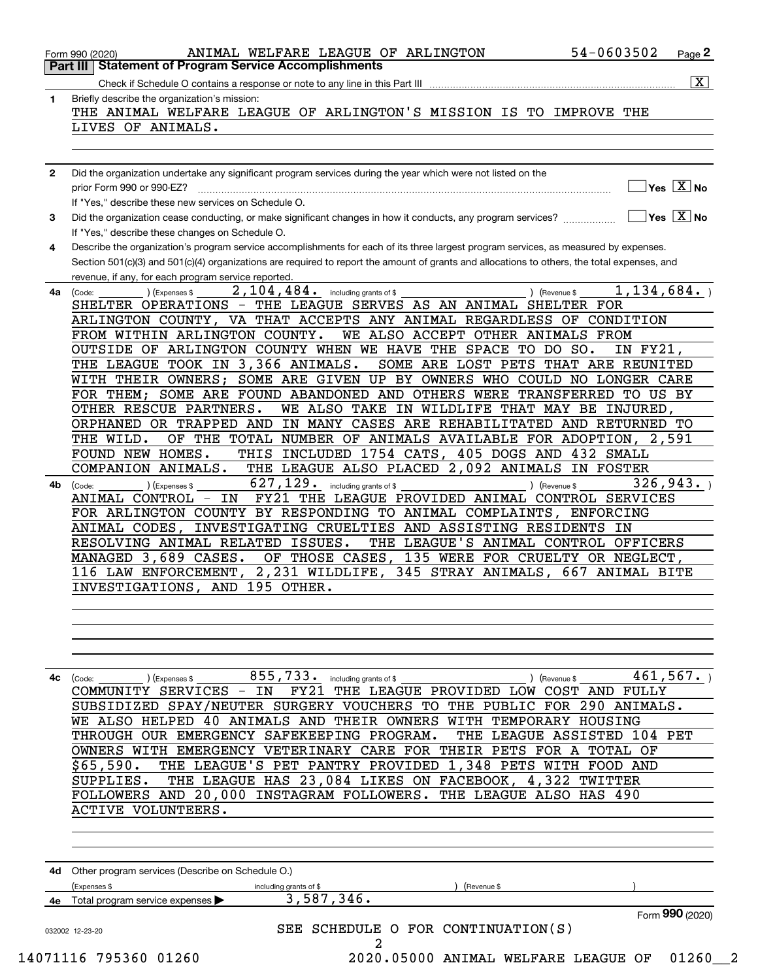| 1            | Briefly describe the organization's mission:                                                                                                                                                        |
|--------------|-----------------------------------------------------------------------------------------------------------------------------------------------------------------------------------------------------|
|              | THE ANIMAL WELFARE LEAGUE OF ARLINGTON'S MISSION IS TO IMPROVE THE                                                                                                                                  |
|              | LIVES OF ANIMALS.                                                                                                                                                                                   |
|              |                                                                                                                                                                                                     |
|              |                                                                                                                                                                                                     |
| $\mathbf{2}$ | Did the organization undertake any significant program services during the year which were not listed on the<br>$\sqrt{}$ Yes $\sqrt{X}$ No                                                         |
|              | If "Yes," describe these new services on Schedule O.                                                                                                                                                |
| 3            | $\sqrt{}$ Yes $\sqrt{}$ X $\sqrt{}$ No<br>Did the organization cease conducting, or make significant changes in how it conducts, any program services?                                              |
|              | If "Yes," describe these changes on Schedule O.                                                                                                                                                     |
| 4            | Describe the organization's program service accomplishments for each of its three largest program services, as measured by expenses.                                                                |
|              | Section 501(c)(3) and 501(c)(4) organizations are required to report the amount of grants and allocations to others, the total expenses, and<br>revenue, if any, for each program service reported. |
| 4a           | 1,134,684.<br>$\overline{2,104,484}$ . including grants of \$<br>(Expenses \$<br>) (Revenue \$<br>(Code:                                                                                            |
|              | SHELTER OPERATIONS - THE LEAGUE SERVES AS AN ANIMAL SHELTER FOR                                                                                                                                     |
|              | ARLINGTON COUNTY, VA THAT ACCEPTS ANY ANIMAL REGARDLESS OF CONDITION                                                                                                                                |
|              | FROM WITHIN ARLINGTON COUNTY.<br>WE ALSO ACCEPT OTHER ANIMALS FROM                                                                                                                                  |
|              | OUTSIDE OF ARLINGTON COUNTY WHEN WE HAVE THE SPACE TO DO SO.<br>IN FY21,                                                                                                                            |
|              | THE LEAGUE TOOK IN 3,366 ANIMALS.<br>SOME ARE LOST PETS THAT ARE REUNITED<br>WITH THEIR OWNERS; SOME ARE GIVEN UP BY OWNERS WHO COULD NO LONGER CARE                                                |
|              | FOR THEM; SOME ARE FOUND ABANDONED AND OTHERS WERE TRANSFERRED TO US BY                                                                                                                             |
|              | OTHER RESCUE PARTNERS.<br>WE ALSO TAKE IN WILDLIFE THAT MAY BE INJURED,                                                                                                                             |
|              | IN MANY CASES ARE REHABILITATED AND RETURNED TO<br>ORPHANED OR TRAPPED AND                                                                                                                          |
|              | OF THE TOTAL NUMBER OF ANIMALS AVAILABLE FOR ADOPTION, 2,591<br>THE WILD.                                                                                                                           |
|              | THIS INCLUDED 1754 CATS, 405 DOGS AND 432 SMALL<br>FOUND NEW HOMES.                                                                                                                                 |
|              | THE LEAGUE ALSO PLACED 2,092 ANIMALS IN FOSTER<br>COMPANION ANIMALS.                                                                                                                                |
| 4b           | 627, 129. including grants of \$<br>326,943.<br>(Expenses \$<br>) (Revenue \$<br>(Code:                                                                                                             |
|              | ANIMAL CONTROL - IN<br>FY21 THE LEAGUE PROVIDED ANIMAL CONTROL SERVICES<br>FOR ARLINGTON COUNTY BY RESPONDING TO ANIMAL COMPLAINTS, ENFORCING                                                       |
|              | INVESTIGATING CRUELTIES AND ASSISTING RESIDENTS IN<br>ANIMAL CODES,                                                                                                                                 |
|              | RESOLVING ANIMAL RELATED ISSUES.<br>THE LEAGUE'S ANIMAL CONTROL OFFICERS                                                                                                                            |
|              | MANAGED 3,689 CASES.<br>OF THOSE CASES, 135 WERE FOR CRUELTY OR NEGLECT,                                                                                                                            |
|              | 2,231 WILDLIFE, 345 STRAY ANIMALS, 667 ANIMAL BITE<br>116 LAW ENFORCEMENT,                                                                                                                          |
|              | INVESTIGATIONS, AND 195 OTHER.                                                                                                                                                                      |
|              |                                                                                                                                                                                                     |
|              |                                                                                                                                                                                                     |
|              |                                                                                                                                                                                                     |
|              |                                                                                                                                                                                                     |
| 4c           | 461,567.<br>855,733.<br>) (Expenses \$<br>including grants of \$<br>) (Revenue \$<br>(Code:<br>COMMUNITY SERVICES - IN<br>THE LEAGUE PROVIDED LOW COST AND FULLY<br><b>FY21</b>                     |
|              | SUBSIDIZED SPAY/NEUTER SURGERY VOUCHERS TO THE PUBLIC FOR 290 ANIMALS.                                                                                                                              |
|              | 40 ANIMALS AND THEIR OWNERS WITH TEMPORARY HOUSING<br>WE ALSO HELPED                                                                                                                                |
|              | THROUGH OUR EMERGENCY SAFEKEEPING PROGRAM.<br>THE<br>LEAGUE ASSISTED 104 PET                                                                                                                        |
|              | OWNERS WITH EMERGENCY VETERINARY CARE FOR THEIR PETS FOR A<br>TOTAL OF                                                                                                                              |
|              | THE LEAGUE'S PET PANTRY PROVIDED 1,348 PETS WITH FOOD AND<br>\$65,590.                                                                                                                              |
|              | THE LEAGUE HAS 23,084 LIKES ON FACEBOOK, 4,322 TWITTER<br>SUPPLIES.                                                                                                                                 |
|              | FOLLOWERS AND 20,000 INSTAGRAM FOLLOWERS.<br>THE LEAGUE ALSO HAS 490<br>ACTIVE VOLUNTEERS.                                                                                                          |
|              |                                                                                                                                                                                                     |
|              |                                                                                                                                                                                                     |
|              |                                                                                                                                                                                                     |
| 4d           | Other program services (Describe on Schedule O.)                                                                                                                                                    |
|              | (Expenses \$<br>including grants of \$<br>(Revenue \$<br>3,587,346.                                                                                                                                 |
|              | 4e Total program service expenses<br>Form 990 (2020)                                                                                                                                                |
|              | SEE SCHEDULE O FOR CONTINUATION(S)<br>032002 12-23-20                                                                                                                                               |
|              |                                                                                                                                                                                                     |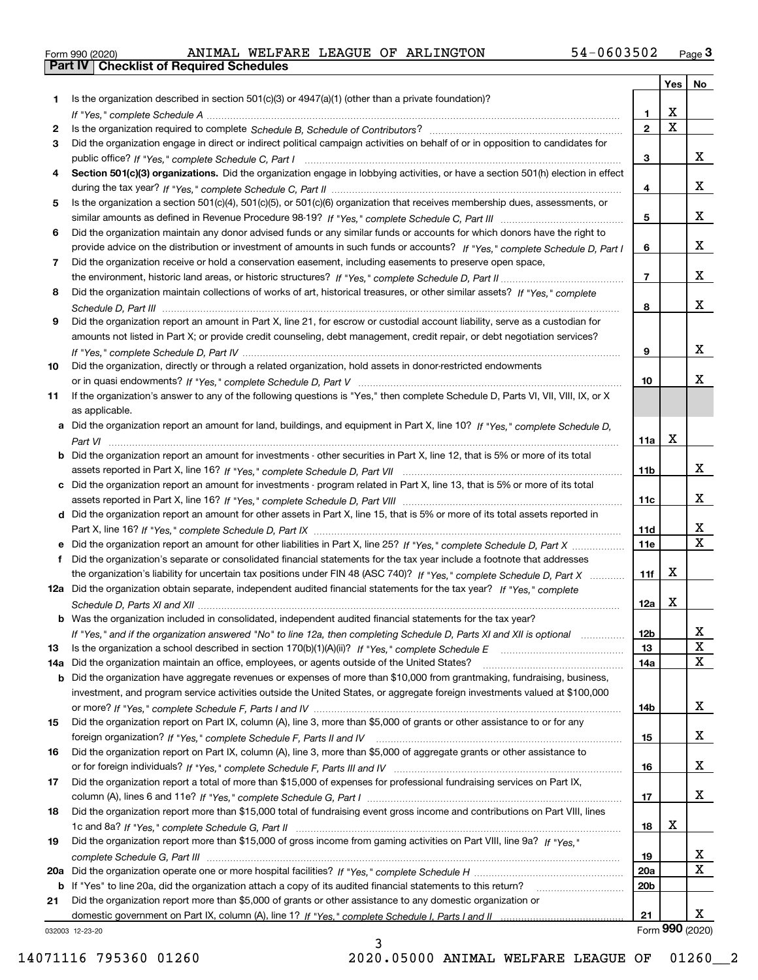|  | Form 990 (2020) |
|--|-----------------|

|     |                                                                                                                                                                                                                                 |                 | Yes   No    |                 |
|-----|---------------------------------------------------------------------------------------------------------------------------------------------------------------------------------------------------------------------------------|-----------------|-------------|-----------------|
| 1.  | Is the organization described in section $501(c)(3)$ or $4947(a)(1)$ (other than a private foundation)?                                                                                                                         |                 |             |                 |
|     |                                                                                                                                                                                                                                 | 1.              | x           |                 |
| 2   | Is the organization required to complete Schedule B, Schedule of Contributors? [11] Content of Content of Content of Contributors? [11] Content of Contributors (11] On the organization required to complete $S$ chedule B, Sc | $\mathbf{2}$    | $\mathbf X$ |                 |
| 3   | Did the organization engage in direct or indirect political campaign activities on behalf of or in opposition to candidates for                                                                                                 |                 |             |                 |
|     |                                                                                                                                                                                                                                 | 3               |             | x               |
| 4   | Section 501(c)(3) organizations. Did the organization engage in lobbying activities, or have a section 501(h) election in effect                                                                                                |                 |             |                 |
|     |                                                                                                                                                                                                                                 | 4               |             | X               |
| 5   | Is the organization a section 501(c)(4), 501(c)(5), or 501(c)(6) organization that receives membership dues, assessments, or                                                                                                    |                 |             |                 |
|     |                                                                                                                                                                                                                                 | 5               |             | x               |
| 6   | Did the organization maintain any donor advised funds or any similar funds or accounts for which donors have the right to                                                                                                       |                 |             |                 |
|     | provide advice on the distribution or investment of amounts in such funds or accounts? If "Yes," complete Schedule D, Part I                                                                                                    | 6               |             | x               |
| 7   | Did the organization receive or hold a conservation easement, including easements to preserve open space,                                                                                                                       |                 |             | x               |
|     |                                                                                                                                                                                                                                 | $\overline{7}$  |             |                 |
| 8   | Did the organization maintain collections of works of art, historical treasures, or other similar assets? If "Yes," complete                                                                                                    |                 |             | x               |
|     |                                                                                                                                                                                                                                 | 8               |             |                 |
| 9   | Did the organization report an amount in Part X, line 21, for escrow or custodial account liability, serve as a custodian for                                                                                                   |                 |             |                 |
|     | amounts not listed in Part X; or provide credit counseling, debt management, credit repair, or debt negotiation services?                                                                                                       |                 |             | x               |
|     |                                                                                                                                                                                                                                 | 9               |             |                 |
| 10  | Did the organization, directly or through a related organization, hold assets in donor-restricted endowments                                                                                                                    | 10              |             | x               |
| 11  | If the organization's answer to any of the following questions is "Yes," then complete Schedule D, Parts VI, VII, VIII, IX, or X                                                                                                |                 |             |                 |
|     | as applicable.                                                                                                                                                                                                                  |                 |             |                 |
|     | a Did the organization report an amount for land, buildings, and equipment in Part X, line 10? If "Yes." complete Schedule D.                                                                                                   |                 |             |                 |
|     |                                                                                                                                                                                                                                 | 11a             | x           |                 |
|     | <b>b</b> Did the organization report an amount for investments - other securities in Part X, line 12, that is 5% or more of its total                                                                                           |                 |             |                 |
|     |                                                                                                                                                                                                                                 | 11 <sub>b</sub> |             | x               |
|     | c Did the organization report an amount for investments - program related in Part X, line 13, that is 5% or more of its total                                                                                                   |                 |             |                 |
|     |                                                                                                                                                                                                                                 | 11c             |             | x               |
|     | d Did the organization report an amount for other assets in Part X, line 15, that is 5% or more of its total assets reported in                                                                                                 |                 |             |                 |
|     |                                                                                                                                                                                                                                 | 11d             |             | x               |
|     |                                                                                                                                                                                                                                 | 11e             |             | X               |
| f   | Did the organization's separate or consolidated financial statements for the tax year include a footnote that addresses                                                                                                         |                 |             |                 |
|     | the organization's liability for uncertain tax positions under FIN 48 (ASC 740)? If "Yes," complete Schedule D, Part X                                                                                                          | 11f             | x           |                 |
|     | 12a Did the organization obtain separate, independent audited financial statements for the tax year? If "Yes," complete                                                                                                         |                 |             |                 |
|     |                                                                                                                                                                                                                                 | 12a             | X           |                 |
|     | b Was the organization included in consolidated, independent audited financial statements for the tax year?                                                                                                                     |                 |             |                 |
|     | If "Yes," and if the organization answered "No" to line 12a, then completing Schedule D, Parts XI and XII is optional                                                                                                           | 12 <sub>b</sub> |             | 47              |
| 13  | Is the organization a school described in section 170(b)(1)(A)(ii)? If "Yes," complete Schedule E                                                                                                                               | 13              |             | X               |
| 14a | Did the organization maintain an office, employees, or agents outside of the United States?                                                                                                                                     | 14a             |             | X               |
|     | <b>b</b> Did the organization have aggregate revenues or expenses of more than \$10,000 from grantmaking, fundraising, business,                                                                                                |                 |             |                 |
|     | investment, and program service activities outside the United States, or aggregate foreign investments valued at \$100,000                                                                                                      |                 |             |                 |
|     |                                                                                                                                                                                                                                 | 14b             |             | x               |
| 15  | Did the organization report on Part IX, column (A), line 3, more than \$5,000 of grants or other assistance to or for any                                                                                                       |                 |             |                 |
|     |                                                                                                                                                                                                                                 | 15              |             | x               |
| 16  | Did the organization report on Part IX, column (A), line 3, more than \$5,000 of aggregate grants or other assistance to                                                                                                        |                 |             |                 |
|     |                                                                                                                                                                                                                                 | 16              |             | x               |
| 17  | Did the organization report a total of more than \$15,000 of expenses for professional fundraising services on Part IX,                                                                                                         |                 |             |                 |
|     |                                                                                                                                                                                                                                 | 17              |             | x               |
| 18  | Did the organization report more than \$15,000 total of fundraising event gross income and contributions on Part VIII, lines                                                                                                    |                 |             |                 |
|     |                                                                                                                                                                                                                                 | 18              | x           |                 |
| 19  | Did the organization report more than \$15,000 of gross income from gaming activities on Part VIII, line 9a? If "Yes."                                                                                                          |                 |             |                 |
|     |                                                                                                                                                                                                                                 | 19              |             | x               |
|     |                                                                                                                                                                                                                                 | <b>20a</b>      |             | X               |
|     | b If "Yes" to line 20a, did the organization attach a copy of its audited financial statements to this return?                                                                                                                  | 20 <sub>b</sub> |             |                 |
| 21  | Did the organization report more than \$5,000 of grants or other assistance to any domestic organization or                                                                                                                     |                 |             |                 |
|     |                                                                                                                                                                                                                                 | 21              |             | x               |
|     | 032003 12-23-20                                                                                                                                                                                                                 |                 |             | Form 990 (2020) |

3

032003 12-23-20

14071116 795360 01260 2020.05000 ANIMAL WELFARE LEAGUE OF 01260\_\_2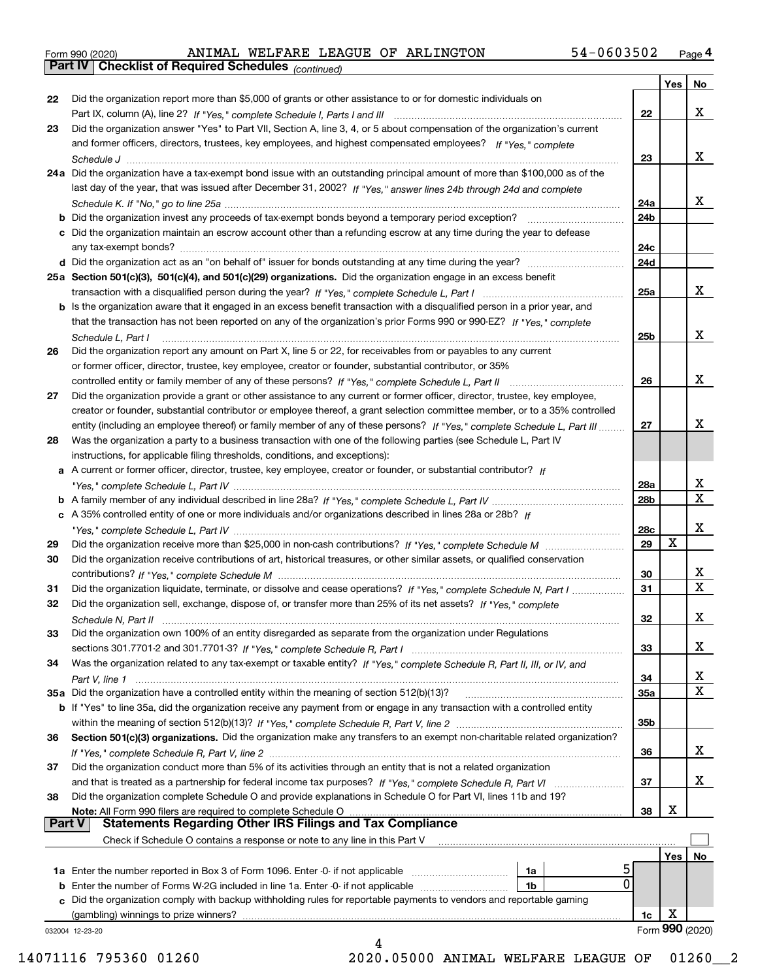|  | Form 990 (2020) |
|--|-----------------|
|  |                 |

*(continued)*

|          |                                                                                                                              |     | Yes   No             |                         |
|----------|------------------------------------------------------------------------------------------------------------------------------|-----|----------------------|-------------------------|
| 22       | Did the organization report more than \$5,000 of grants or other assistance to or for domestic individuals on                |     |                      |                         |
|          |                                                                                                                              | 22  |                      | X                       |
| 23       | Did the organization answer "Yes" to Part VII, Section A, line 3, 4, or 5 about compensation of the organization's current   |     |                      |                         |
|          | and former officers, directors, trustees, key employees, and highest compensated employees? If "Yes," complete               |     |                      |                         |
|          |                                                                                                                              | 23  |                      | х                       |
|          | 24a Did the organization have a tax-exempt bond issue with an outstanding principal amount of more than \$100,000 as of the  |     |                      |                         |
|          | last day of the year, that was issued after December 31, 2002? If "Yes," answer lines 24b through 24d and complete           |     |                      |                         |
|          |                                                                                                                              | 24a |                      | х                       |
|          |                                                                                                                              | 24b |                      |                         |
|          | c Did the organization maintain an escrow account other than a refunding escrow at any time during the year to defease       |     |                      |                         |
|          |                                                                                                                              | 24c |                      |                         |
|          |                                                                                                                              | 24d |                      |                         |
|          | 25a Section 501(c)(3), 501(c)(4), and 501(c)(29) organizations. Did the organization engage in an excess benefit             |     |                      |                         |
|          |                                                                                                                              | 25a |                      | X                       |
|          | b Is the organization aware that it engaged in an excess benefit transaction with a disqualified person in a prior year, and |     |                      |                         |
|          | that the transaction has not been reported on any of the organization's prior Forms 990 or 990-EZ? If "Yes," complete        |     |                      |                         |
|          | Schedule L. Part I                                                                                                           | 25b |                      | х                       |
| 26       | Did the organization report any amount on Part X, line 5 or 22, for receivables from or payables to any current              |     |                      |                         |
|          | or former officer, director, trustee, key employee, creator or founder, substantial contributor, or 35%                      |     |                      |                         |
|          |                                                                                                                              | 26  |                      | х                       |
| 27       | Did the organization provide a grant or other assistance to any current or former officer, director, trustee, key employee,  |     |                      |                         |
|          | creator or founder, substantial contributor or employee thereof, a grant selection committee member, or to a 35% controlled  |     |                      |                         |
|          | entity (including an employee thereof) or family member of any of these persons? If "Yes," complete Schedule L, Part III     | 27  |                      | х                       |
| 28       | Was the organization a party to a business transaction with one of the following parties (see Schedule L, Part IV            |     |                      |                         |
|          | instructions, for applicable filing thresholds, conditions, and exceptions):                                                 |     |                      |                         |
|          | a A current or former officer, director, trustee, key employee, creator or founder, or substantial contributor? If           |     |                      |                         |
|          |                                                                                                                              |     |                      | х                       |
|          |                                                                                                                              | 28a |                      | $\overline{\textbf{x}}$ |
|          |                                                                                                                              | 28b |                      |                         |
|          | c A 35% controlled entity of one or more individuals and/or organizations described in lines 28a or 28b? If                  |     |                      |                         |
|          |                                                                                                                              | 28c |                      | X                       |
| 29       |                                                                                                                              | 29  | X                    |                         |
| 30       | Did the organization receive contributions of art, historical treasures, or other similar assets, or qualified conservation  |     |                      |                         |
|          |                                                                                                                              | 30  |                      | х                       |
| 31       | Did the organization liquidate, terminate, or dissolve and cease operations? If "Yes," complete Schedule N, Part I           | 31  |                      | $\overline{\mathbf{x}}$ |
| 32       | Did the organization sell, exchange, dispose of, or transfer more than 25% of its net assets? If "Yes," complete             |     |                      |                         |
|          |                                                                                                                              | 32  |                      | X                       |
| 33       | Did the organization own 100% of an entity disregarded as separate from the organization under Regulations                   |     |                      |                         |
|          |                                                                                                                              | 33  |                      | X                       |
| 34       | Was the organization related to any tax-exempt or taxable entity? If "Yes," complete Schedule R, Part II, III, or IV, and    |     |                      |                         |
|          |                                                                                                                              | 34  |                      | х                       |
|          | 35a Did the organization have a controlled entity within the meaning of section 512(b)(13)?                                  | 35a |                      | $\overline{\mathbf{x}}$ |
|          | b If "Yes" to line 35a, did the organization receive any payment from or engage in any transaction with a controlled entity  |     |                      |                         |
|          |                                                                                                                              | 35b |                      |                         |
| 36       | Section 501(c)(3) organizations. Did the organization make any transfers to an exempt non-charitable related organization?   |     |                      |                         |
|          |                                                                                                                              | 36  |                      | X                       |
|          |                                                                                                                              |     |                      |                         |
|          |                                                                                                                              |     |                      | x                       |
|          | Did the organization conduct more than 5% of its activities through an entity that is not a related organization             |     |                      |                         |
|          |                                                                                                                              | 37  |                      |                         |
|          | Did the organization complete Schedule O and provide explanations in Schedule O for Part VI, lines 11b and 19?               |     |                      |                         |
|          |                                                                                                                              | 38  | х                    |                         |
|          | <b>Statements Regarding Other IRS Filings and Tax Compliance</b><br><b>Part V</b>                                            |     |                      |                         |
|          | Check if Schedule O contains a response or note to any line in this Part V                                                   |     |                      |                         |
|          |                                                                                                                              |     | Yes                  |                         |
|          | 1a                                                                                                                           |     |                      |                         |
|          | 0<br>1b<br><b>b</b> Enter the number of Forms W-2G included in line 1a. Enter -0- if not applicable <i>manumumumum</i>       |     |                      |                         |
| 37<br>38 | c Did the organization comply with backup withholding rules for reportable payments to vendors and reportable gaming         |     |                      | No                      |
|          | (gambling) winnings to prize winners?                                                                                        | 1c  | х<br>Form 990 (2020) |                         |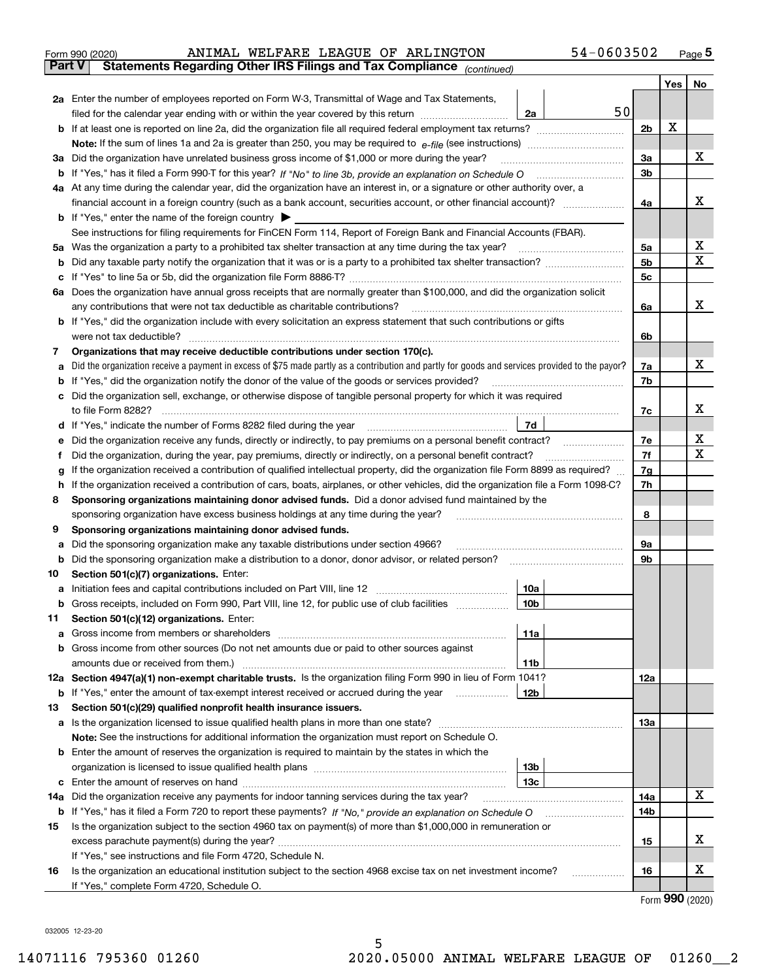|               | 54-0603502<br>ANIMAL WELFARE LEAGUE OF ARLINGTON<br>Form 990 (2020)                                                                             |                |     | $_{\text{Page}}$ 5 |
|---------------|-------------------------------------------------------------------------------------------------------------------------------------------------|----------------|-----|--------------------|
| <b>Part V</b> | Statements Regarding Other IRS Filings and Tax Compliance (continued)                                                                           |                |     |                    |
|               |                                                                                                                                                 |                | Yes | No                 |
|               | 2a Enter the number of employees reported on Form W-3, Transmittal of Wage and Tax Statements,                                                  |                |     |                    |
|               | 50<br>filed for the calendar year ending with or within the year covered by this return<br>2a                                                   |                |     |                    |
|               | <b>b</b> If at least one is reported on line 2a, did the organization file all required federal employment tax returns?                         | 2 <sub>b</sub> | X   |                    |
|               |                                                                                                                                                 |                |     |                    |
|               | 3a Did the organization have unrelated business gross income of \$1,000 or more during the year?                                                | 3a             |     | х                  |
|               |                                                                                                                                                 | 3b             |     |                    |
|               | 4a At any time during the calendar year, did the organization have an interest in, or a signature or other authority over, a                    |                |     |                    |
|               |                                                                                                                                                 | 4a             |     | x                  |
|               | <b>b</b> If "Yes," enter the name of the foreign country                                                                                        |                |     |                    |
|               | See instructions for filing requirements for FinCEN Form 114, Report of Foreign Bank and Financial Accounts (FBAR).                             |                |     |                    |
| 5a            |                                                                                                                                                 | 5a             |     | х                  |
| b             | Did any taxable party notify the organization that it was or is a party to a prohibited tax shelter transaction?                                | 5 <sub>b</sub> |     | $\mathbf X$        |
|               |                                                                                                                                                 | 5c             |     |                    |
|               | 6a Does the organization have annual gross receipts that are normally greater than \$100,000, and did the organization solicit                  |                |     |                    |
|               | any contributions that were not tax deductible as charitable contributions?                                                                     | 6a             |     | x                  |
|               | <b>b</b> If "Yes," did the organization include with every solicitation an express statement that such contributions or gifts                   |                |     |                    |
|               | were not tax deductible?                                                                                                                        | 6b             |     |                    |
| 7             | Organizations that may receive deductible contributions under section 170(c).                                                                   |                |     |                    |
| а             | Did the organization receive a payment in excess of \$75 made partly as a contribution and partly for goods and services provided to the payor? | 7a             |     | x                  |
|               | If "Yes," did the organization notify the donor of the value of the goods or services provided?                                                 | 7b             |     |                    |
|               | c Did the organization sell, exchange, or otherwise dispose of tangible personal property for which it was required                             |                |     |                    |
|               |                                                                                                                                                 | 7c             |     | х                  |
|               | 7d                                                                                                                                              |                |     |                    |
|               | Did the organization receive any funds, directly or indirectly, to pay premiums on a personal benefit contract?                                 | 7e             |     | х                  |
| f             | Did the organization, during the year, pay premiums, directly or indirectly, on a personal benefit contract?                                    | 7f             |     | $\mathbf X$        |
|               | If the organization received a contribution of qualified intellectual property, did the organization file Form 8899 as required?                | 7g             |     |                    |
| h             | If the organization received a contribution of cars, boats, airplanes, or other vehicles, did the organization file a Form 1098-C?              | 7h             |     |                    |
| 8             | Sponsoring organizations maintaining donor advised funds. Did a donor advised fund maintained by the                                            |                |     |                    |
|               | sponsoring organization have excess business holdings at any time during the year?                                                              | 8              |     |                    |
| 9             | Sponsoring organizations maintaining donor advised funds.                                                                                       |                |     |                    |
| а             | Did the sponsoring organization make any taxable distributions under section 4966?                                                              | 9а             |     |                    |
|               | Did the sponsoring organization make a distribution to a donor, donor advisor, or related person?                                               | 9b             |     |                    |
| 10            | Section 501(c)(7) organizations. Enter:                                                                                                         |                |     |                    |
| а             | 10a                                                                                                                                             |                |     |                    |
|               | 10 <sub>b</sub><br><b>b</b> Gross receipts, included on Form 990, Part VIII, line 12, for public use of club facilities                         |                |     |                    |
| 11            | Section 501(c)(12) organizations. Enter:                                                                                                        |                |     |                    |
| a             | 11a<br>Gross income from members or shareholders                                                                                                |                |     |                    |
|               | b Gross income from other sources (Do not net amounts due or paid to other sources against                                                      |                |     |                    |
|               | amounts due or received from them.)<br>11b                                                                                                      |                |     |                    |
|               | 12a Section 4947(a)(1) non-exempt charitable trusts. Is the organization filing Form 990 in lieu of Form 1041?                                  | 12a            |     |                    |
|               | 12b<br><b>b</b> If "Yes," enter the amount of tax-exempt interest received or accrued during the year <i>manument</i>                           |                |     |                    |
| 13            | Section 501(c)(29) qualified nonprofit health insurance issuers.                                                                                |                |     |                    |
|               | a Is the organization licensed to issue qualified health plans in more than one state?                                                          | 13а            |     |                    |
|               | Note: See the instructions for additional information the organization must report on Schedule O.                                               |                |     |                    |
| b             | Enter the amount of reserves the organization is required to maintain by the states in which the                                                |                |     |                    |
|               | 13b                                                                                                                                             |                |     |                    |
|               |                                                                                                                                                 |                |     |                    |

|    | c Enter the amount of reserves on hand                                                                                    | 13 <sub>c</sub> |  |     |  |  |  |  |
|----|---------------------------------------------------------------------------------------------------------------------------|-----------------|--|-----|--|--|--|--|
|    | 14a Did the organization receive any payments for indoor tanning services during the tax year?                            |                 |  | 14a |  |  |  |  |
|    | <b>b</b> If "Yes," has it filed a Form 720 to report these payments? If "No," provide an explanation on Schedule O<br>14b |                 |  |     |  |  |  |  |
| 15 | Is the organization subject to the section 4960 tax on payment(s) of more than \$1,000,000 in remuneration or             |                 |  |     |  |  |  |  |
|    | excess parachute payment(s) during the year?                                                                              |                 |  |     |  |  |  |  |
|    | If "Yes," see instructions and file Form 4720, Schedule N.                                                                |                 |  |     |  |  |  |  |
| 16 | Is the organization an educational institution subject to the section 4968 excise tax on net investment income?           |                 |  |     |  |  |  |  |
|    | If "Yes," complete Form 4720, Schedule O.                                                                                 |                 |  |     |  |  |  |  |

Form (2020) **990**

032005 12-23-20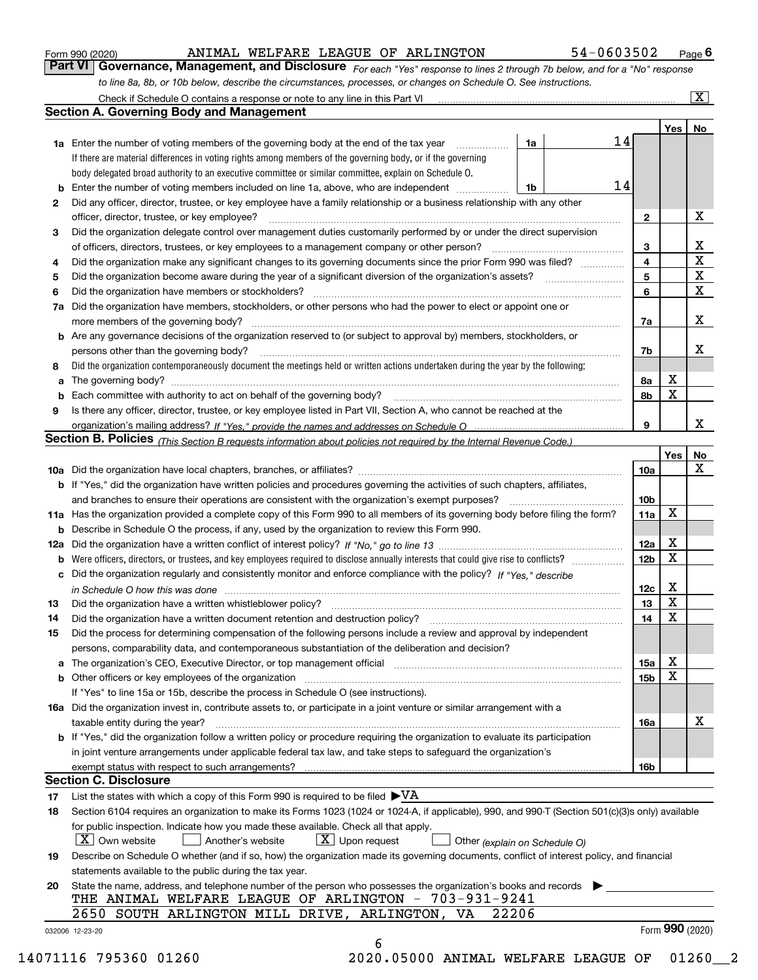| Form 990 (2020) |
|-----------------|
|-----------------|

## ANIMAL WELFARE LEAGUE OF ARLINGTON 54-0603502

*For each "Yes" response to lines 2 through 7b below, and for a "No" response to line 8a, 8b, or 10b below, describe the circumstances, processes, or changes on Schedule O. See instructions.* Form 990 (2020) **ANIMAL WELFARE LEAGUE OF ARLINGTON** 54-0603502 Page 6<br>**Part VI** | Governance, Management, and Disclosure *For each "Yes" response to lines 2 through 7b below, and for a "No" response* 

|     | Check if Schedule O contains a response or note to any line in this Part VI                                                                                                                                                    |    |    |                         |     | $\mathbf{x}$    |  |  |  |
|-----|--------------------------------------------------------------------------------------------------------------------------------------------------------------------------------------------------------------------------------|----|----|-------------------------|-----|-----------------|--|--|--|
|     | Section A. Governing Body and Management                                                                                                                                                                                       |    |    |                         |     |                 |  |  |  |
|     |                                                                                                                                                                                                                                |    |    |                         | Yes | No              |  |  |  |
|     | 1a Enter the number of voting members of the governing body at the end of the tax year                                                                                                                                         | 1a | 14 |                         |     |                 |  |  |  |
|     | If there are material differences in voting rights among members of the governing body, or if the governing                                                                                                                    |    |    |                         |     |                 |  |  |  |
|     | body delegated broad authority to an executive committee or similar committee, explain on Schedule O.                                                                                                                          |    |    |                         |     |                 |  |  |  |
| b   | Enter the number of voting members included on line 1a, above, who are independent                                                                                                                                             | 1b | 14 |                         |     |                 |  |  |  |
| 2   | Did any officer, director, trustee, or key employee have a family relationship or a business relationship with any other                                                                                                       |    |    |                         |     |                 |  |  |  |
|     | officer, director, trustee, or key employee?                                                                                                                                                                                   |    |    | 2                       |     | х               |  |  |  |
| 3   | Did the organization delegate control over management duties customarily performed by or under the direct supervision                                                                                                          |    |    |                         |     |                 |  |  |  |
|     | of officers, directors, trustees, or key employees to a management company or other person?                                                                                                                                    |    |    | 3                       |     | x               |  |  |  |
| 4   | Did the organization make any significant changes to its governing documents since the prior Form 990 was filed?                                                                                                               |    |    | $\overline{\mathbf{4}}$ |     | $\mathbf X$     |  |  |  |
| 5   |                                                                                                                                                                                                                                |    |    | 5                       |     | X               |  |  |  |
| 6   | Did the organization have members or stockholders?                                                                                                                                                                             |    |    | 6                       |     | X               |  |  |  |
| 7a  | Did the organization have members, stockholders, or other persons who had the power to elect or appoint one or                                                                                                                 |    |    |                         |     |                 |  |  |  |
|     | more members of the governing body?                                                                                                                                                                                            |    |    | 7a                      |     | х               |  |  |  |
|     | <b>b</b> Are any governance decisions of the organization reserved to (or subject to approval by) members, stockholders, or                                                                                                    |    |    |                         |     |                 |  |  |  |
|     | persons other than the governing body?                                                                                                                                                                                         |    |    |                         |     | х               |  |  |  |
|     |                                                                                                                                                                                                                                |    |    | 7b                      |     |                 |  |  |  |
| 8   | Did the organization contemporaneously document the meetings held or written actions undertaken during the year by the following:                                                                                              |    |    |                         | х   |                 |  |  |  |
| a   | The governing body? [11] matter and the contract of the contract of the contract of the contract of the contract of the contract of the contract of the contract of the contract of the contract of the contract of the contra |    |    | 8а                      | X   |                 |  |  |  |
| b   |                                                                                                                                                                                                                                |    |    | 8b                      |     |                 |  |  |  |
| 9   | Is there any officer, director, trustee, or key employee listed in Part VII, Section A, who cannot be reached at the                                                                                                           |    |    |                         |     |                 |  |  |  |
|     |                                                                                                                                                                                                                                |    |    | 9                       |     | x               |  |  |  |
|     | Section B. Policies <sub>(This Section B requests information about policies not required by the Internal Revenue Code.)</sub>                                                                                                 |    |    |                         |     |                 |  |  |  |
|     |                                                                                                                                                                                                                                |    |    |                         | Yes | No              |  |  |  |
|     |                                                                                                                                                                                                                                |    |    | 10a                     |     | x               |  |  |  |
|     | <b>b</b> If "Yes," did the organization have written policies and procedures governing the activities of such chapters, affiliates,                                                                                            |    |    |                         |     |                 |  |  |  |
|     | and branches to ensure their operations are consistent with the organization's exempt purposes?                                                                                                                                |    |    | 10 <sub>b</sub>         |     |                 |  |  |  |
|     | 11a Has the organization provided a complete copy of this Form 990 to all members of its governing body before filing the form?                                                                                                |    |    | 11a                     | X   |                 |  |  |  |
| b   | Describe in Schedule O the process, if any, used by the organization to review this Form 990.                                                                                                                                  |    |    | 12a                     | X   |                 |  |  |  |
| 12a |                                                                                                                                                                                                                                |    |    |                         |     |                 |  |  |  |
| b   |                                                                                                                                                                                                                                |    |    | 12 <sub>b</sub>         | X   |                 |  |  |  |
| c   | Did the organization regularly and consistently monitor and enforce compliance with the policy? If "Yes." describe                                                                                                             |    |    |                         |     |                 |  |  |  |
|     | in Schedule O how this was done measured and contain an account of the state of the state of the state of the                                                                                                                  |    |    | 12c                     | х   |                 |  |  |  |
| 13  | Did the organization have a written whistleblower policy?                                                                                                                                                                      |    |    | 13                      | X   |                 |  |  |  |
| 14  | Did the organization have a written document retention and destruction policy?                                                                                                                                                 |    |    | 14                      | X   |                 |  |  |  |
| 15  | Did the process for determining compensation of the following persons include a review and approval by independent                                                                                                             |    |    |                         |     |                 |  |  |  |
|     | persons, comparability data, and contemporaneous substantiation of the deliberation and decision?                                                                                                                              |    |    |                         |     |                 |  |  |  |
| a   | The organization's CEO, Executive Director, or top management official manufactured content of the organization's CEO, Executive Director, or top management official                                                          |    |    | 15a                     | Χ   |                 |  |  |  |
| b   | Other officers or key employees of the organization                                                                                                                                                                            |    |    | 15 <sub>b</sub>         | X   |                 |  |  |  |
|     | If "Yes" to line 15a or 15b, describe the process in Schedule O (see instructions).                                                                                                                                            |    |    |                         |     |                 |  |  |  |
|     | 16a Did the organization invest in, contribute assets to, or participate in a joint venture or similar arrangement with a                                                                                                      |    |    |                         |     |                 |  |  |  |
|     | taxable entity during the year?                                                                                                                                                                                                |    |    | 16a                     |     | х               |  |  |  |
|     | b If "Yes," did the organization follow a written policy or procedure requiring the organization to evaluate its participation                                                                                                 |    |    |                         |     |                 |  |  |  |
|     | in joint venture arrangements under applicable federal tax law, and take steps to safequard the organization's                                                                                                                 |    |    |                         |     |                 |  |  |  |
|     | exempt status with respect to such arrangements?                                                                                                                                                                               |    |    | 16b                     |     |                 |  |  |  |
|     | <b>Section C. Disclosure</b>                                                                                                                                                                                                   |    |    |                         |     |                 |  |  |  |
| 17  | List the states with which a copy of this Form 990 is required to be filed $\blacktriangleright\text{VA}$                                                                                                                      |    |    |                         |     |                 |  |  |  |
| 18  | Section 6104 requires an organization to make its Forms 1023 (1024 or 1024-A, if applicable), 990, and 990-T (Section 501(c)(3)s only) available                                                                               |    |    |                         |     |                 |  |  |  |
|     | for public inspection. Indicate how you made these available. Check all that apply.                                                                                                                                            |    |    |                         |     |                 |  |  |  |
|     | $X$ Own website<br>$X$ Upon request<br>Another's website<br>Other (explain on Schedule O)                                                                                                                                      |    |    |                         |     |                 |  |  |  |
| 19  | Describe on Schedule O whether (and if so, how) the organization made its governing documents, conflict of interest policy, and financial                                                                                      |    |    |                         |     |                 |  |  |  |
|     | statements available to the public during the tax year.                                                                                                                                                                        |    |    |                         |     |                 |  |  |  |
| 20  | State the name, address, and telephone number of the person who possesses the organization's books and records                                                                                                                 |    |    |                         |     |                 |  |  |  |
|     | THE ANIMAL WELFARE LEAGUE OF ARLINGTON - 703-931-9241                                                                                                                                                                          |    |    |                         |     |                 |  |  |  |
|     | 2650 SOUTH ARLINGTON MILL DRIVE, ARLINGTON, VA<br>22206                                                                                                                                                                        |    |    |                         |     |                 |  |  |  |
|     | 032006 12-23-20                                                                                                                                                                                                                |    |    |                         |     | Form 990 (2020) |  |  |  |
|     | 6                                                                                                                                                                                                                              |    |    |                         |     |                 |  |  |  |
|     | $\blacksquare$                                                                                                                                                                                                                 |    |    |                         |     |                 |  |  |  |

14071116 795360 01260 2020.05000 ANIMAL WELFARE LEAGUE OF 01260\_\_2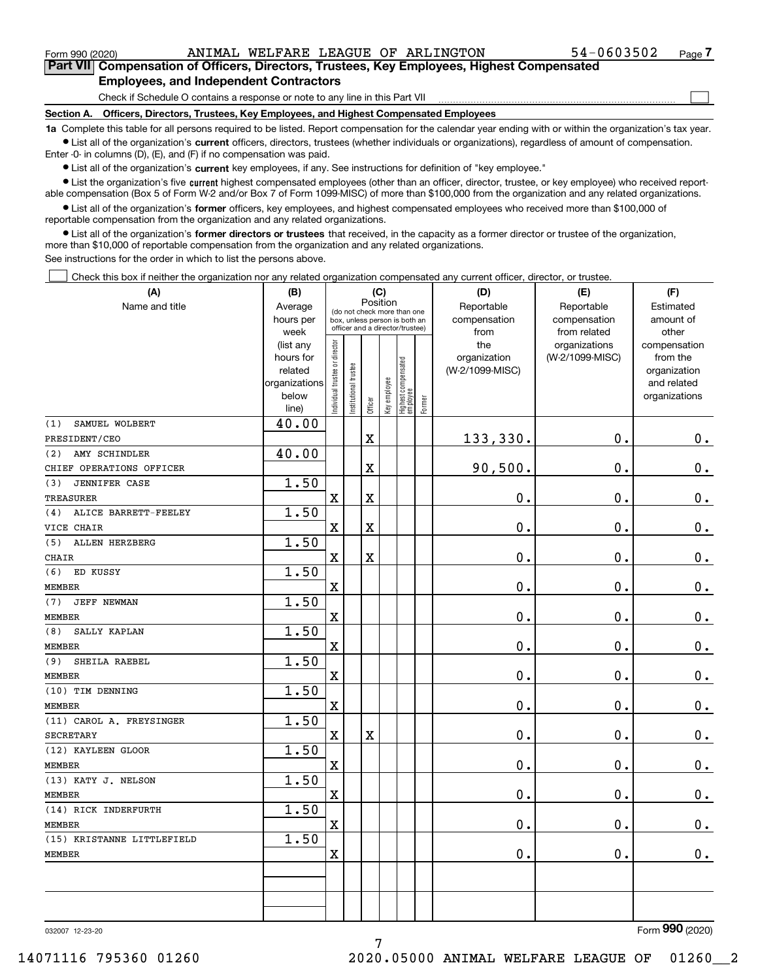$\mathcal{L}^{\text{max}}$ 

**7Part VII Compensation of Officers, Directors, Trustees, Key Employees, Highest Compensated Employees, and Independent Contractors**

Check if Schedule O contains a response or note to any line in this Part VII

**Section A. Officers, Directors, Trustees, Key Employees, and Highest Compensated Employees**

**1a**  Complete this table for all persons required to be listed. Report compensation for the calendar year ending with or within the organization's tax year. **•** List all of the organization's current officers, directors, trustees (whether individuals or organizations), regardless of amount of compensation.

Enter -0- in columns (D), (E), and (F) if no compensation was paid.

 $\bullet$  List all of the organization's  $\,$ current key employees, if any. See instructions for definition of "key employee."

**•** List the organization's five current highest compensated employees (other than an officer, director, trustee, or key employee) who received reportable compensation (Box 5 of Form W-2 and/or Box 7 of Form 1099-MISC) of more than \$100,000 from the organization and any related organizations.

**•** List all of the organization's former officers, key employees, and highest compensated employees who received more than \$100,000 of reportable compensation from the organization and any related organizations.

**former directors or trustees**  ¥ List all of the organization's that received, in the capacity as a former director or trustee of the organization, more than \$10,000 of reportable compensation from the organization and any related organizations.

See instructions for the order in which to list the persons above.

Check this box if neither the organization nor any related organization compensated any current officer, director, or trustee.  $\mathcal{L}^{\text{max}}$ 

| (A)                          | (B)            | (C)                           |                                                                  |             |              |                                  |        | (D)             | (E)             | (F)           |
|------------------------------|----------------|-------------------------------|------------------------------------------------------------------|-------------|--------------|----------------------------------|--------|-----------------|-----------------|---------------|
| Name and title               | Average        |                               | Position<br>(do not check more than one                          |             |              |                                  |        | Reportable      | Reportable      | Estimated     |
|                              | hours per      |                               | box, unless person is both an<br>officer and a director/trustee) |             |              |                                  |        | compensation    | compensation    | amount of     |
|                              | week           |                               |                                                                  |             |              |                                  |        | from            | from related    | other         |
|                              | (list any      |                               |                                                                  |             |              |                                  |        | the             | organizations   | compensation  |
|                              | hours for      |                               |                                                                  |             |              |                                  |        | organization    | (W-2/1099-MISC) | from the      |
|                              | related        |                               |                                                                  |             |              |                                  |        | (W-2/1099-MISC) |                 | organization  |
|                              | organizations  |                               |                                                                  |             |              |                                  |        |                 |                 | and related   |
|                              | below<br>line) | ndividual trustee or director | Institutional trustee                                            | Officer     | Key employee | Highest compensated<br> employee | Former |                 |                 | organizations |
| SAMUEL WOLBERT<br>(1)        | 40.00          |                               |                                                                  |             |              |                                  |        |                 |                 |               |
| PRESIDENT/CEO                |                |                               |                                                                  | $\rm X$     |              |                                  |        | 133,330.        | $\mathbf 0$ .   | 0.            |
| AMY SCHINDLER<br>(2)         | 40.00          |                               |                                                                  |             |              |                                  |        |                 |                 |               |
| CHIEF OPERATIONS OFFICER     |                |                               |                                                                  | $\rm X$     |              |                                  |        | 90,500.         | $\mathbf 0$ .   | $\mathbf 0$ . |
| <b>JENNIFER CASE</b><br>(3)  | 1.50           |                               |                                                                  |             |              |                                  |        |                 |                 |               |
| <b>TREASURER</b>             |                | $\mathbf X$                   |                                                                  | $\rm X$     |              |                                  |        | 0.              | $\mathbf 0$ .   | $\mathbf 0$ . |
| ALICE BARRETT-FEELEY<br>(4)  | 1.50           |                               |                                                                  |             |              |                                  |        |                 |                 |               |
| VICE CHAIR                   |                | X                             |                                                                  | $\mathbf X$ |              |                                  |        | 0.              | $\mathbf 0$ .   | $\mathbf 0$ . |
| <b>ALLEN HERZBERG</b><br>(5) | 1.50           |                               |                                                                  |             |              |                                  |        |                 |                 |               |
| <b>CHAIR</b>                 |                | $\rm X$                       |                                                                  | $\mathbf X$ |              |                                  |        | 0.              | $\mathbf 0$ .   | $\mathbf 0$ . |
| ED KUSSY<br>(6)              | 1.50           |                               |                                                                  |             |              |                                  |        |                 |                 |               |
| <b>MEMBER</b>                |                | $\overline{\mathbf{X}}$       |                                                                  |             |              |                                  |        | 0.              | 0.              | $\mathbf 0$ . |
| (7)<br>JEFF NEWMAN           | 1.50           |                               |                                                                  |             |              |                                  |        |                 |                 |               |
| <b>MEMBER</b>                |                | $\overline{\mathbf{X}}$       |                                                                  |             |              |                                  |        | $\mathbf 0$ .   | $\mathbf 0$ .   | 0.            |
| SALLY KAPLAN<br>(8)          | 1.50           |                               |                                                                  |             |              |                                  |        |                 |                 |               |
| <b>MEMBER</b>                |                | $\overline{\mathbf{X}}$       |                                                                  |             |              |                                  |        | $\mathbf 0$ .   | $\mathbf 0$ .   | $0_{.}$       |
| SHEILA RAEBEL<br>(9)         | 1.50           |                               |                                                                  |             |              |                                  |        |                 |                 |               |
| <b>MEMBER</b>                |                | $\rm X$                       |                                                                  |             |              |                                  |        | 0.              | $\mathbf 0$ .   | $0_{.}$       |
| (10) TIM DENNING             | 1.50           |                               |                                                                  |             |              |                                  |        |                 |                 |               |
| <b>MEMBER</b>                |                | $\overline{\textbf{X}}$       |                                                                  |             |              |                                  |        | $\mathbf 0$ .   | $\mathbf 0$ .   | $\mathbf 0$ . |
| (11) CAROL A. FREYSINGER     | 1.50           |                               |                                                                  |             |              |                                  |        |                 |                 |               |
| <b>SECRETARY</b>             |                | $\mathbf X$                   |                                                                  | X           |              |                                  |        | $\mathbf 0$ .   | $\mathbf 0$ .   | $\mathbf 0$ . |
| (12) KAYLEEN GLOOR           | 1.50           |                               |                                                                  |             |              |                                  |        |                 |                 |               |
| <b>MEMBER</b>                |                | $\mathbf X$                   |                                                                  |             |              |                                  |        | 0.              | $\mathbf 0$ .   | $\mathbf 0$ . |
| (13) KATY J. NELSON          | 1.50           |                               |                                                                  |             |              |                                  |        |                 |                 |               |
| <b>MEMBER</b>                |                | $\rm X$                       |                                                                  |             |              |                                  |        | 0.              | $\mathbf 0$ .   | $0_{.}$       |
| (14) RICK INDERFURTH         | 1.50           |                               |                                                                  |             |              |                                  |        |                 |                 |               |
| <b>MEMBER</b>                |                | $\mathbf X$                   |                                                                  |             |              |                                  |        | 0.              | $\mathbf 0$ .   | 0.            |
| (15) KRISTANNE LITTLEFIELD   | 1.50           |                               |                                                                  |             |              |                                  |        |                 |                 |               |
| <b>MEMBER</b>                |                | $\rm X$                       |                                                                  |             |              |                                  |        | 0.              | $\mathbf 0$ .   | 0.            |
|                              |                |                               |                                                                  |             |              |                                  |        |                 |                 |               |
|                              |                |                               |                                                                  |             |              |                                  |        |                 |                 |               |
|                              |                |                               |                                                                  |             |              |                                  |        |                 |                 |               |
|                              |                |                               |                                                                  |             |              |                                  |        |                 |                 |               |

7

032007 12-23-20

Form (2020) **990**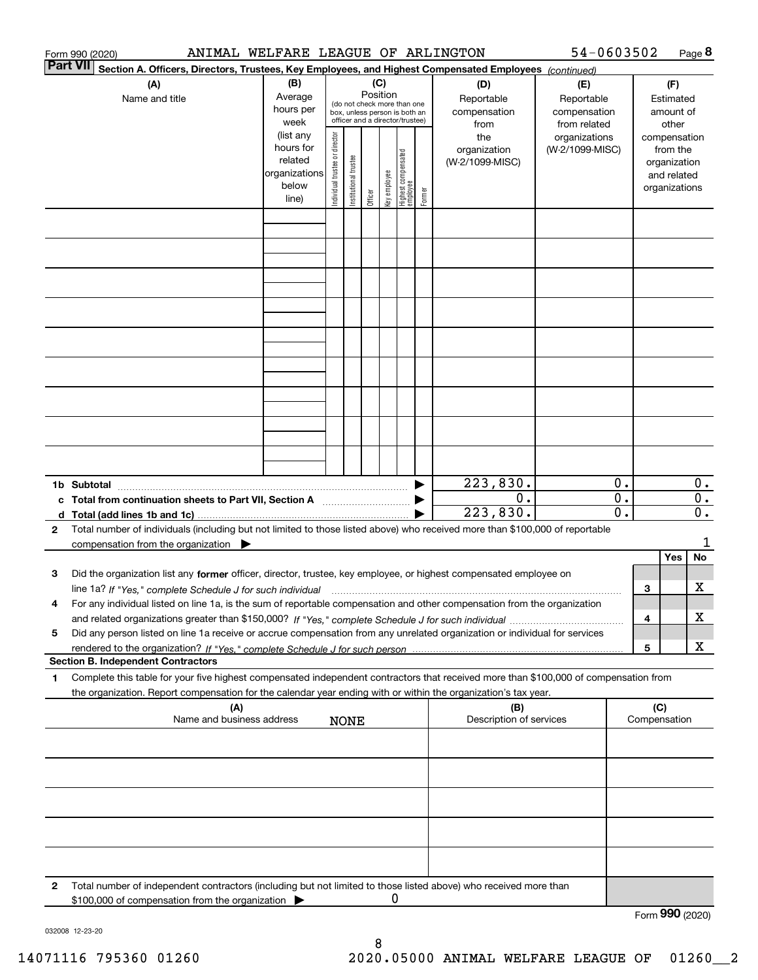|        | ANIMAL WELFARE LEAGUE OF ARLINGTON<br>Form 990 (2020)                                                                                                                                                                                                  |                                                                      |                                |                       |                 |              |                                                                                                 |        |                                           | 54-0603502                                        |                                      |     |                                                                          | Page 8                               |
|--------|--------------------------------------------------------------------------------------------------------------------------------------------------------------------------------------------------------------------------------------------------------|----------------------------------------------------------------------|--------------------------------|-----------------------|-----------------|--------------|-------------------------------------------------------------------------------------------------|--------|-------------------------------------------|---------------------------------------------------|--------------------------------------|-----|--------------------------------------------------------------------------|--------------------------------------|
|        | <b>Part VII</b><br>Section A. Officers, Directors, Trustees, Key Employees, and Highest Compensated Employees (continued)                                                                                                                              |                                                                      |                                |                       |                 |              |                                                                                                 |        |                                           |                                                   |                                      |     |                                                                          |                                      |
|        | (A)<br>Name and title                                                                                                                                                                                                                                  | (B)<br>Average<br>hours per<br>week                                  |                                |                       | (C)<br>Position |              | (do not check more than one<br>box, unless person is both an<br>officer and a director/trustee) |        | (D)<br>Reportable<br>compensation<br>from | (E)<br>Reportable<br>compensation<br>from related |                                      |     | (F)<br>Estimated<br>amount of<br>other                                   |                                      |
|        |                                                                                                                                                                                                                                                        | (list any<br>hours for<br>related<br>organizations<br>below<br>line) | Individual trustee or director | Institutional trustee | Officer         | Key employee | Highest compensated<br>  employee                                                               | Former | the<br>organization<br>(W-2/1099-MISC)    | organizations<br>(W-2/1099-MISC)                  |                                      |     | compensation<br>from the<br>organization<br>and related<br>organizations |                                      |
|        |                                                                                                                                                                                                                                                        |                                                                      |                                |                       |                 |              |                                                                                                 |        |                                           |                                                   |                                      |     |                                                                          |                                      |
|        |                                                                                                                                                                                                                                                        |                                                                      |                                |                       |                 |              |                                                                                                 |        |                                           |                                                   |                                      |     |                                                                          |                                      |
|        |                                                                                                                                                                                                                                                        |                                                                      |                                |                       |                 |              |                                                                                                 |        |                                           |                                                   |                                      |     |                                                                          |                                      |
|        |                                                                                                                                                                                                                                                        |                                                                      |                                |                       |                 |              |                                                                                                 |        |                                           |                                                   |                                      |     |                                                                          |                                      |
|        |                                                                                                                                                                                                                                                        |                                                                      |                                |                       |                 |              |                                                                                                 |        |                                           |                                                   |                                      |     |                                                                          |                                      |
|        |                                                                                                                                                                                                                                                        |                                                                      |                                |                       |                 |              |                                                                                                 |        |                                           |                                                   |                                      |     |                                                                          |                                      |
|        |                                                                                                                                                                                                                                                        |                                                                      |                                |                       |                 |              |                                                                                                 |        |                                           |                                                   |                                      |     |                                                                          |                                      |
|        | 1b Subtotal                                                                                                                                                                                                                                            |                                                                      |                                |                       |                 |              |                                                                                                 |        | 223,830.                                  |                                                   | 0.                                   |     |                                                                          | $0$ .                                |
| c<br>d | Total from continuation sheets to Part VII, Section A<br>Total (add lines 1b and 1c).                                                                                                                                                                  |                                                                      |                                |                       |                 |              |                                                                                                 |        | 0.<br>223,830.                            |                                                   | $\overline{0}$ .<br>$\overline{0}$ . |     |                                                                          | $\overline{0}$ .<br>$\overline{0}$ . |
| 2      | Total number of individuals (including but not limited to those listed above) who received more than \$100,000 of reportable<br>compensation from the organization $\blacktriangleright$                                                               |                                                                      |                                |                       |                 |              |                                                                                                 |        |                                           |                                                   |                                      |     |                                                                          | 1                                    |
| з      | Did the organization list any former officer, director, trustee, key employee, or highest compensated employee on                                                                                                                                      |                                                                      |                                |                       |                 |              |                                                                                                 |        |                                           |                                                   |                                      |     | Yes                                                                      | No                                   |
|        | line 1a? If "Yes," complete Schedule J for such individual manufactured contained and the Yes," complete Schedule J for such individual                                                                                                                |                                                                      |                                |                       |                 |              |                                                                                                 |        |                                           |                                                   |                                      | З   |                                                                          | x                                    |
| 4      | For any individual listed on line 1a, is the sum of reportable compensation and other compensation from the organization                                                                                                                               |                                                                      |                                |                       |                 |              |                                                                                                 |        |                                           |                                                   |                                      | 4   |                                                                          | x                                    |
| 5      | Did any person listed on line 1a receive or accrue compensation from any unrelated organization or individual for services                                                                                                                             |                                                                      |                                |                       |                 |              |                                                                                                 |        |                                           |                                                   |                                      | 5   |                                                                          | x                                    |
|        | <b>Section B. Independent Contractors</b>                                                                                                                                                                                                              |                                                                      |                                |                       |                 |              |                                                                                                 |        |                                           |                                                   |                                      |     |                                                                          |                                      |
| 1      | Complete this table for your five highest compensated independent contractors that received more than \$100,000 of compensation from<br>the organization. Report compensation for the calendar year ending with or within the organization's tax year. |                                                                      |                                |                       |                 |              |                                                                                                 |        |                                           |                                                   |                                      |     |                                                                          |                                      |
|        | (A)<br>Name and business address                                                                                                                                                                                                                       |                                                                      |                                | <b>NONE</b>           |                 |              |                                                                                                 |        | (B)<br>Description of services            |                                                   |                                      | (C) | Compensation                                                             |                                      |
|        |                                                                                                                                                                                                                                                        |                                                                      |                                |                       |                 |              |                                                                                                 |        |                                           |                                                   |                                      |     |                                                                          |                                      |
|        |                                                                                                                                                                                                                                                        |                                                                      |                                |                       |                 |              |                                                                                                 |        |                                           |                                                   |                                      |     |                                                                          |                                      |
|        |                                                                                                                                                                                                                                                        |                                                                      |                                |                       |                 |              |                                                                                                 |        |                                           |                                                   |                                      |     |                                                                          |                                      |
|        |                                                                                                                                                                                                                                                        |                                                                      |                                |                       |                 |              |                                                                                                 |        |                                           |                                                   |                                      |     |                                                                          |                                      |
| 2      | Total number of independent contractors (including but not limited to those listed above) who received more than<br>\$100,000 of compensation from the organization                                                                                    |                                                                      |                                |                       |                 | 0            |                                                                                                 |        |                                           |                                                   |                                      |     | Form 990 (2020)                                                          |                                      |

032008 12-23-20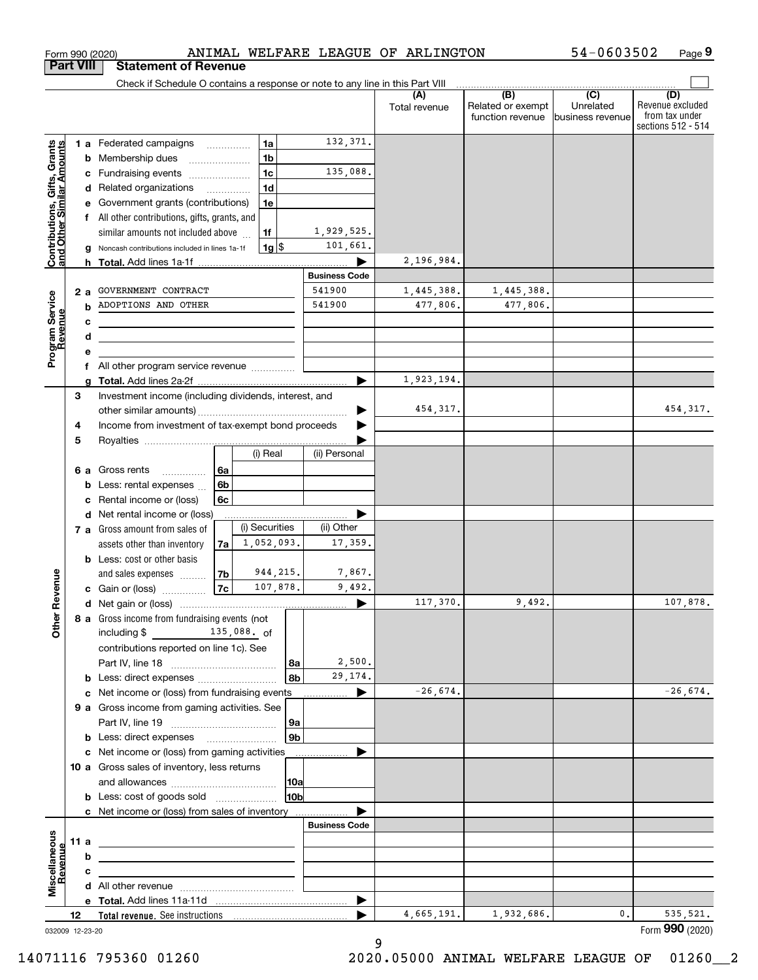| Check if Schedule O contains a response or note to any line in this Part VIII<br>$\overline{(B)}$<br>$\overline{C}$<br>(D)<br>(A)<br>Revenue excluded<br>Related or exempt<br>Unrelated<br>Total revenue<br>from tax under<br>function revenue<br>business revenue<br>sections 512 - 514<br>132,371.<br>1a<br>Contributions, Gifts, Grants<br>and Other Similar Amounts<br><b>1 a</b> Federated campaigns<br>1 <sub>b</sub><br>Membership dues<br>b<br>135,088.<br>1 <sub>c</sub><br>Fundraising events<br>с<br>1 <sub>d</sub><br>Related organizations<br>d<br>.<br>Government grants (contributions)<br>1e<br>All other contributions, gifts, grants, and<br>1,929,525.<br>similar amounts not included above<br>1f<br>101,661.<br>$1g$ \$<br>Noncash contributions included in lines 1a-1f<br>g<br>2,196,984.<br><b>h</b> Total. Add lines 1a-1f<br><b>Business Code</b><br>541900<br>GOVERNMENT CONTRACT<br>1,445,388.<br>1,445,388.<br>Program Service<br>Revenue<br>2 a<br>ADOPTIONS AND OTHER<br>541900<br>477,806.<br>477,806.<br>b<br>c<br><u> 1989 - Johann Barbara, martxa alemaniar a</u><br>d<br>е<br>All other program service revenue<br>f<br>1,923,194.<br>Investment income (including dividends, interest, and<br>3<br>454, 317.<br>454, 317.<br>Income from investment of tax-exempt bond proceeds<br>4<br>5<br>(i) Real<br>(ii) Personal<br>Gross rents<br>6a<br>6а<br>6 <sub>b</sub><br>Less: rental expenses<br>b<br>6c<br>Rental income or (loss)<br>c<br>Net rental income or (loss)<br>d<br>(i) Securities<br>(ii) Other<br>7 a Gross amount from sales of<br>1,052,093.<br>17,359.<br>assets other than inventory<br>7a<br><b>b</b> Less: cost or other basis<br>944, 215.<br>7,867.<br>Revenue<br>and sales expenses<br>7b<br>107,878.<br><b>7c</b><br>9,492.<br><b>c</b> Gain or (loss) $\ldots$<br>9,492.<br>107,878.<br>117,370.<br>8 a Gross income from fundraising events (not  <br><b>Other</b><br>$\frac{135}{130}$ , 088. of<br>including \$<br>contributions reported on line 1c). See<br>2,500.<br>l 8a<br>29, 174.<br>8b<br>b<br>$-26,674.$<br>$-26,674.$<br>c Net income or (loss) from fundraising events<br>▶<br>9 a Gross income from gaming activities. See<br> 9a<br>9 <sub>b</sub><br><b>b</b> Less: direct expenses <b>manually</b><br>c Net income or (loss) from gaming activities<br>10 a Gross sales of inventory, less returns<br> 10a<br>10b<br><b>b</b> Less: cost of goods sold<br>c Net income or (loss) from sales of inventory<br><b>Business Code</b><br>Miscellaneous<br>11 a<br>Revenue<br>b<br>с<br>▶<br>4,665,191.<br>1,932,686.<br>0.<br>535, 521.<br>12<br>032009 12-23-20 | <b>Part VIII</b> | <b>Statement of Revenue</b> |  |  |  |                 |
|---------------------------------------------------------------------------------------------------------------------------------------------------------------------------------------------------------------------------------------------------------------------------------------------------------------------------------------------------------------------------------------------------------------------------------------------------------------------------------------------------------------------------------------------------------------------------------------------------------------------------------------------------------------------------------------------------------------------------------------------------------------------------------------------------------------------------------------------------------------------------------------------------------------------------------------------------------------------------------------------------------------------------------------------------------------------------------------------------------------------------------------------------------------------------------------------------------------------------------------------------------------------------------------------------------------------------------------------------------------------------------------------------------------------------------------------------------------------------------------------------------------------------------------------------------------------------------------------------------------------------------------------------------------------------------------------------------------------------------------------------------------------------------------------------------------------------------------------------------------------------------------------------------------------------------------------------------------------------------------------------------------------------------------------------------------------------------------------------------------------------------------------------------------------------------------------------------------------------------------------------------------------------------------------------------------------------------------------------------------------------------------------------------------------------------------------------------------------------------------------------------------------------------------------------------------------------------------------------------------------------------------------|------------------|-----------------------------|--|--|--|-----------------|
|                                                                                                                                                                                                                                                                                                                                                                                                                                                                                                                                                                                                                                                                                                                                                                                                                                                                                                                                                                                                                                                                                                                                                                                                                                                                                                                                                                                                                                                                                                                                                                                                                                                                                                                                                                                                                                                                                                                                                                                                                                                                                                                                                                                                                                                                                                                                                                                                                                                                                                                                                                                                                                             |                  |                             |  |  |  |                 |
|                                                                                                                                                                                                                                                                                                                                                                                                                                                                                                                                                                                                                                                                                                                                                                                                                                                                                                                                                                                                                                                                                                                                                                                                                                                                                                                                                                                                                                                                                                                                                                                                                                                                                                                                                                                                                                                                                                                                                                                                                                                                                                                                                                                                                                                                                                                                                                                                                                                                                                                                                                                                                                             |                  |                             |  |  |  |                 |
|                                                                                                                                                                                                                                                                                                                                                                                                                                                                                                                                                                                                                                                                                                                                                                                                                                                                                                                                                                                                                                                                                                                                                                                                                                                                                                                                                                                                                                                                                                                                                                                                                                                                                                                                                                                                                                                                                                                                                                                                                                                                                                                                                                                                                                                                                                                                                                                                                                                                                                                                                                                                                                             |                  |                             |  |  |  |                 |
|                                                                                                                                                                                                                                                                                                                                                                                                                                                                                                                                                                                                                                                                                                                                                                                                                                                                                                                                                                                                                                                                                                                                                                                                                                                                                                                                                                                                                                                                                                                                                                                                                                                                                                                                                                                                                                                                                                                                                                                                                                                                                                                                                                                                                                                                                                                                                                                                                                                                                                                                                                                                                                             |                  |                             |  |  |  |                 |
|                                                                                                                                                                                                                                                                                                                                                                                                                                                                                                                                                                                                                                                                                                                                                                                                                                                                                                                                                                                                                                                                                                                                                                                                                                                                                                                                                                                                                                                                                                                                                                                                                                                                                                                                                                                                                                                                                                                                                                                                                                                                                                                                                                                                                                                                                                                                                                                                                                                                                                                                                                                                                                             |                  |                             |  |  |  |                 |
|                                                                                                                                                                                                                                                                                                                                                                                                                                                                                                                                                                                                                                                                                                                                                                                                                                                                                                                                                                                                                                                                                                                                                                                                                                                                                                                                                                                                                                                                                                                                                                                                                                                                                                                                                                                                                                                                                                                                                                                                                                                                                                                                                                                                                                                                                                                                                                                                                                                                                                                                                                                                                                             |                  |                             |  |  |  |                 |
|                                                                                                                                                                                                                                                                                                                                                                                                                                                                                                                                                                                                                                                                                                                                                                                                                                                                                                                                                                                                                                                                                                                                                                                                                                                                                                                                                                                                                                                                                                                                                                                                                                                                                                                                                                                                                                                                                                                                                                                                                                                                                                                                                                                                                                                                                                                                                                                                                                                                                                                                                                                                                                             |                  |                             |  |  |  |                 |
|                                                                                                                                                                                                                                                                                                                                                                                                                                                                                                                                                                                                                                                                                                                                                                                                                                                                                                                                                                                                                                                                                                                                                                                                                                                                                                                                                                                                                                                                                                                                                                                                                                                                                                                                                                                                                                                                                                                                                                                                                                                                                                                                                                                                                                                                                                                                                                                                                                                                                                                                                                                                                                             |                  |                             |  |  |  |                 |
|                                                                                                                                                                                                                                                                                                                                                                                                                                                                                                                                                                                                                                                                                                                                                                                                                                                                                                                                                                                                                                                                                                                                                                                                                                                                                                                                                                                                                                                                                                                                                                                                                                                                                                                                                                                                                                                                                                                                                                                                                                                                                                                                                                                                                                                                                                                                                                                                                                                                                                                                                                                                                                             |                  |                             |  |  |  |                 |
|                                                                                                                                                                                                                                                                                                                                                                                                                                                                                                                                                                                                                                                                                                                                                                                                                                                                                                                                                                                                                                                                                                                                                                                                                                                                                                                                                                                                                                                                                                                                                                                                                                                                                                                                                                                                                                                                                                                                                                                                                                                                                                                                                                                                                                                                                                                                                                                                                                                                                                                                                                                                                                             |                  |                             |  |  |  |                 |
|                                                                                                                                                                                                                                                                                                                                                                                                                                                                                                                                                                                                                                                                                                                                                                                                                                                                                                                                                                                                                                                                                                                                                                                                                                                                                                                                                                                                                                                                                                                                                                                                                                                                                                                                                                                                                                                                                                                                                                                                                                                                                                                                                                                                                                                                                                                                                                                                                                                                                                                                                                                                                                             |                  |                             |  |  |  |                 |
|                                                                                                                                                                                                                                                                                                                                                                                                                                                                                                                                                                                                                                                                                                                                                                                                                                                                                                                                                                                                                                                                                                                                                                                                                                                                                                                                                                                                                                                                                                                                                                                                                                                                                                                                                                                                                                                                                                                                                                                                                                                                                                                                                                                                                                                                                                                                                                                                                                                                                                                                                                                                                                             |                  |                             |  |  |  |                 |
|                                                                                                                                                                                                                                                                                                                                                                                                                                                                                                                                                                                                                                                                                                                                                                                                                                                                                                                                                                                                                                                                                                                                                                                                                                                                                                                                                                                                                                                                                                                                                                                                                                                                                                                                                                                                                                                                                                                                                                                                                                                                                                                                                                                                                                                                                                                                                                                                                                                                                                                                                                                                                                             |                  |                             |  |  |  |                 |
|                                                                                                                                                                                                                                                                                                                                                                                                                                                                                                                                                                                                                                                                                                                                                                                                                                                                                                                                                                                                                                                                                                                                                                                                                                                                                                                                                                                                                                                                                                                                                                                                                                                                                                                                                                                                                                                                                                                                                                                                                                                                                                                                                                                                                                                                                                                                                                                                                                                                                                                                                                                                                                             |                  |                             |  |  |  |                 |
|                                                                                                                                                                                                                                                                                                                                                                                                                                                                                                                                                                                                                                                                                                                                                                                                                                                                                                                                                                                                                                                                                                                                                                                                                                                                                                                                                                                                                                                                                                                                                                                                                                                                                                                                                                                                                                                                                                                                                                                                                                                                                                                                                                                                                                                                                                                                                                                                                                                                                                                                                                                                                                             |                  |                             |  |  |  |                 |
|                                                                                                                                                                                                                                                                                                                                                                                                                                                                                                                                                                                                                                                                                                                                                                                                                                                                                                                                                                                                                                                                                                                                                                                                                                                                                                                                                                                                                                                                                                                                                                                                                                                                                                                                                                                                                                                                                                                                                                                                                                                                                                                                                                                                                                                                                                                                                                                                                                                                                                                                                                                                                                             |                  |                             |  |  |  |                 |
|                                                                                                                                                                                                                                                                                                                                                                                                                                                                                                                                                                                                                                                                                                                                                                                                                                                                                                                                                                                                                                                                                                                                                                                                                                                                                                                                                                                                                                                                                                                                                                                                                                                                                                                                                                                                                                                                                                                                                                                                                                                                                                                                                                                                                                                                                                                                                                                                                                                                                                                                                                                                                                             |                  |                             |  |  |  |                 |
|                                                                                                                                                                                                                                                                                                                                                                                                                                                                                                                                                                                                                                                                                                                                                                                                                                                                                                                                                                                                                                                                                                                                                                                                                                                                                                                                                                                                                                                                                                                                                                                                                                                                                                                                                                                                                                                                                                                                                                                                                                                                                                                                                                                                                                                                                                                                                                                                                                                                                                                                                                                                                                             |                  |                             |  |  |  |                 |
|                                                                                                                                                                                                                                                                                                                                                                                                                                                                                                                                                                                                                                                                                                                                                                                                                                                                                                                                                                                                                                                                                                                                                                                                                                                                                                                                                                                                                                                                                                                                                                                                                                                                                                                                                                                                                                                                                                                                                                                                                                                                                                                                                                                                                                                                                                                                                                                                                                                                                                                                                                                                                                             |                  |                             |  |  |  |                 |
|                                                                                                                                                                                                                                                                                                                                                                                                                                                                                                                                                                                                                                                                                                                                                                                                                                                                                                                                                                                                                                                                                                                                                                                                                                                                                                                                                                                                                                                                                                                                                                                                                                                                                                                                                                                                                                                                                                                                                                                                                                                                                                                                                                                                                                                                                                                                                                                                                                                                                                                                                                                                                                             |                  |                             |  |  |  |                 |
|                                                                                                                                                                                                                                                                                                                                                                                                                                                                                                                                                                                                                                                                                                                                                                                                                                                                                                                                                                                                                                                                                                                                                                                                                                                                                                                                                                                                                                                                                                                                                                                                                                                                                                                                                                                                                                                                                                                                                                                                                                                                                                                                                                                                                                                                                                                                                                                                                                                                                                                                                                                                                                             |                  |                             |  |  |  |                 |
|                                                                                                                                                                                                                                                                                                                                                                                                                                                                                                                                                                                                                                                                                                                                                                                                                                                                                                                                                                                                                                                                                                                                                                                                                                                                                                                                                                                                                                                                                                                                                                                                                                                                                                                                                                                                                                                                                                                                                                                                                                                                                                                                                                                                                                                                                                                                                                                                                                                                                                                                                                                                                                             |                  |                             |  |  |  |                 |
|                                                                                                                                                                                                                                                                                                                                                                                                                                                                                                                                                                                                                                                                                                                                                                                                                                                                                                                                                                                                                                                                                                                                                                                                                                                                                                                                                                                                                                                                                                                                                                                                                                                                                                                                                                                                                                                                                                                                                                                                                                                                                                                                                                                                                                                                                                                                                                                                                                                                                                                                                                                                                                             |                  |                             |  |  |  |                 |
|                                                                                                                                                                                                                                                                                                                                                                                                                                                                                                                                                                                                                                                                                                                                                                                                                                                                                                                                                                                                                                                                                                                                                                                                                                                                                                                                                                                                                                                                                                                                                                                                                                                                                                                                                                                                                                                                                                                                                                                                                                                                                                                                                                                                                                                                                                                                                                                                                                                                                                                                                                                                                                             |                  |                             |  |  |  |                 |
|                                                                                                                                                                                                                                                                                                                                                                                                                                                                                                                                                                                                                                                                                                                                                                                                                                                                                                                                                                                                                                                                                                                                                                                                                                                                                                                                                                                                                                                                                                                                                                                                                                                                                                                                                                                                                                                                                                                                                                                                                                                                                                                                                                                                                                                                                                                                                                                                                                                                                                                                                                                                                                             |                  |                             |  |  |  |                 |
|                                                                                                                                                                                                                                                                                                                                                                                                                                                                                                                                                                                                                                                                                                                                                                                                                                                                                                                                                                                                                                                                                                                                                                                                                                                                                                                                                                                                                                                                                                                                                                                                                                                                                                                                                                                                                                                                                                                                                                                                                                                                                                                                                                                                                                                                                                                                                                                                                                                                                                                                                                                                                                             |                  |                             |  |  |  |                 |
|                                                                                                                                                                                                                                                                                                                                                                                                                                                                                                                                                                                                                                                                                                                                                                                                                                                                                                                                                                                                                                                                                                                                                                                                                                                                                                                                                                                                                                                                                                                                                                                                                                                                                                                                                                                                                                                                                                                                                                                                                                                                                                                                                                                                                                                                                                                                                                                                                                                                                                                                                                                                                                             |                  |                             |  |  |  |                 |
|                                                                                                                                                                                                                                                                                                                                                                                                                                                                                                                                                                                                                                                                                                                                                                                                                                                                                                                                                                                                                                                                                                                                                                                                                                                                                                                                                                                                                                                                                                                                                                                                                                                                                                                                                                                                                                                                                                                                                                                                                                                                                                                                                                                                                                                                                                                                                                                                                                                                                                                                                                                                                                             |                  |                             |  |  |  |                 |
|                                                                                                                                                                                                                                                                                                                                                                                                                                                                                                                                                                                                                                                                                                                                                                                                                                                                                                                                                                                                                                                                                                                                                                                                                                                                                                                                                                                                                                                                                                                                                                                                                                                                                                                                                                                                                                                                                                                                                                                                                                                                                                                                                                                                                                                                                                                                                                                                                                                                                                                                                                                                                                             |                  |                             |  |  |  |                 |
|                                                                                                                                                                                                                                                                                                                                                                                                                                                                                                                                                                                                                                                                                                                                                                                                                                                                                                                                                                                                                                                                                                                                                                                                                                                                                                                                                                                                                                                                                                                                                                                                                                                                                                                                                                                                                                                                                                                                                                                                                                                                                                                                                                                                                                                                                                                                                                                                                                                                                                                                                                                                                                             |                  |                             |  |  |  |                 |
|                                                                                                                                                                                                                                                                                                                                                                                                                                                                                                                                                                                                                                                                                                                                                                                                                                                                                                                                                                                                                                                                                                                                                                                                                                                                                                                                                                                                                                                                                                                                                                                                                                                                                                                                                                                                                                                                                                                                                                                                                                                                                                                                                                                                                                                                                                                                                                                                                                                                                                                                                                                                                                             |                  |                             |  |  |  |                 |
|                                                                                                                                                                                                                                                                                                                                                                                                                                                                                                                                                                                                                                                                                                                                                                                                                                                                                                                                                                                                                                                                                                                                                                                                                                                                                                                                                                                                                                                                                                                                                                                                                                                                                                                                                                                                                                                                                                                                                                                                                                                                                                                                                                                                                                                                                                                                                                                                                                                                                                                                                                                                                                             |                  |                             |  |  |  |                 |
|                                                                                                                                                                                                                                                                                                                                                                                                                                                                                                                                                                                                                                                                                                                                                                                                                                                                                                                                                                                                                                                                                                                                                                                                                                                                                                                                                                                                                                                                                                                                                                                                                                                                                                                                                                                                                                                                                                                                                                                                                                                                                                                                                                                                                                                                                                                                                                                                                                                                                                                                                                                                                                             |                  |                             |  |  |  |                 |
|                                                                                                                                                                                                                                                                                                                                                                                                                                                                                                                                                                                                                                                                                                                                                                                                                                                                                                                                                                                                                                                                                                                                                                                                                                                                                                                                                                                                                                                                                                                                                                                                                                                                                                                                                                                                                                                                                                                                                                                                                                                                                                                                                                                                                                                                                                                                                                                                                                                                                                                                                                                                                                             |                  |                             |  |  |  |                 |
|                                                                                                                                                                                                                                                                                                                                                                                                                                                                                                                                                                                                                                                                                                                                                                                                                                                                                                                                                                                                                                                                                                                                                                                                                                                                                                                                                                                                                                                                                                                                                                                                                                                                                                                                                                                                                                                                                                                                                                                                                                                                                                                                                                                                                                                                                                                                                                                                                                                                                                                                                                                                                                             |                  |                             |  |  |  |                 |
|                                                                                                                                                                                                                                                                                                                                                                                                                                                                                                                                                                                                                                                                                                                                                                                                                                                                                                                                                                                                                                                                                                                                                                                                                                                                                                                                                                                                                                                                                                                                                                                                                                                                                                                                                                                                                                                                                                                                                                                                                                                                                                                                                                                                                                                                                                                                                                                                                                                                                                                                                                                                                                             |                  |                             |  |  |  |                 |
|                                                                                                                                                                                                                                                                                                                                                                                                                                                                                                                                                                                                                                                                                                                                                                                                                                                                                                                                                                                                                                                                                                                                                                                                                                                                                                                                                                                                                                                                                                                                                                                                                                                                                                                                                                                                                                                                                                                                                                                                                                                                                                                                                                                                                                                                                                                                                                                                                                                                                                                                                                                                                                             |                  |                             |  |  |  |                 |
|                                                                                                                                                                                                                                                                                                                                                                                                                                                                                                                                                                                                                                                                                                                                                                                                                                                                                                                                                                                                                                                                                                                                                                                                                                                                                                                                                                                                                                                                                                                                                                                                                                                                                                                                                                                                                                                                                                                                                                                                                                                                                                                                                                                                                                                                                                                                                                                                                                                                                                                                                                                                                                             |                  |                             |  |  |  |                 |
|                                                                                                                                                                                                                                                                                                                                                                                                                                                                                                                                                                                                                                                                                                                                                                                                                                                                                                                                                                                                                                                                                                                                                                                                                                                                                                                                                                                                                                                                                                                                                                                                                                                                                                                                                                                                                                                                                                                                                                                                                                                                                                                                                                                                                                                                                                                                                                                                                                                                                                                                                                                                                                             |                  |                             |  |  |  |                 |
|                                                                                                                                                                                                                                                                                                                                                                                                                                                                                                                                                                                                                                                                                                                                                                                                                                                                                                                                                                                                                                                                                                                                                                                                                                                                                                                                                                                                                                                                                                                                                                                                                                                                                                                                                                                                                                                                                                                                                                                                                                                                                                                                                                                                                                                                                                                                                                                                                                                                                                                                                                                                                                             |                  |                             |  |  |  |                 |
|                                                                                                                                                                                                                                                                                                                                                                                                                                                                                                                                                                                                                                                                                                                                                                                                                                                                                                                                                                                                                                                                                                                                                                                                                                                                                                                                                                                                                                                                                                                                                                                                                                                                                                                                                                                                                                                                                                                                                                                                                                                                                                                                                                                                                                                                                                                                                                                                                                                                                                                                                                                                                                             |                  |                             |  |  |  |                 |
|                                                                                                                                                                                                                                                                                                                                                                                                                                                                                                                                                                                                                                                                                                                                                                                                                                                                                                                                                                                                                                                                                                                                                                                                                                                                                                                                                                                                                                                                                                                                                                                                                                                                                                                                                                                                                                                                                                                                                                                                                                                                                                                                                                                                                                                                                                                                                                                                                                                                                                                                                                                                                                             |                  |                             |  |  |  |                 |
|                                                                                                                                                                                                                                                                                                                                                                                                                                                                                                                                                                                                                                                                                                                                                                                                                                                                                                                                                                                                                                                                                                                                                                                                                                                                                                                                                                                                                                                                                                                                                                                                                                                                                                                                                                                                                                                                                                                                                                                                                                                                                                                                                                                                                                                                                                                                                                                                                                                                                                                                                                                                                                             |                  |                             |  |  |  |                 |
|                                                                                                                                                                                                                                                                                                                                                                                                                                                                                                                                                                                                                                                                                                                                                                                                                                                                                                                                                                                                                                                                                                                                                                                                                                                                                                                                                                                                                                                                                                                                                                                                                                                                                                                                                                                                                                                                                                                                                                                                                                                                                                                                                                                                                                                                                                                                                                                                                                                                                                                                                                                                                                             |                  |                             |  |  |  |                 |
|                                                                                                                                                                                                                                                                                                                                                                                                                                                                                                                                                                                                                                                                                                                                                                                                                                                                                                                                                                                                                                                                                                                                                                                                                                                                                                                                                                                                                                                                                                                                                                                                                                                                                                                                                                                                                                                                                                                                                                                                                                                                                                                                                                                                                                                                                                                                                                                                                                                                                                                                                                                                                                             |                  |                             |  |  |  |                 |
|                                                                                                                                                                                                                                                                                                                                                                                                                                                                                                                                                                                                                                                                                                                                                                                                                                                                                                                                                                                                                                                                                                                                                                                                                                                                                                                                                                                                                                                                                                                                                                                                                                                                                                                                                                                                                                                                                                                                                                                                                                                                                                                                                                                                                                                                                                                                                                                                                                                                                                                                                                                                                                             |                  |                             |  |  |  |                 |
|                                                                                                                                                                                                                                                                                                                                                                                                                                                                                                                                                                                                                                                                                                                                                                                                                                                                                                                                                                                                                                                                                                                                                                                                                                                                                                                                                                                                                                                                                                                                                                                                                                                                                                                                                                                                                                                                                                                                                                                                                                                                                                                                                                                                                                                                                                                                                                                                                                                                                                                                                                                                                                             |                  |                             |  |  |  |                 |
|                                                                                                                                                                                                                                                                                                                                                                                                                                                                                                                                                                                                                                                                                                                                                                                                                                                                                                                                                                                                                                                                                                                                                                                                                                                                                                                                                                                                                                                                                                                                                                                                                                                                                                                                                                                                                                                                                                                                                                                                                                                                                                                                                                                                                                                                                                                                                                                                                                                                                                                                                                                                                                             |                  |                             |  |  |  |                 |
|                                                                                                                                                                                                                                                                                                                                                                                                                                                                                                                                                                                                                                                                                                                                                                                                                                                                                                                                                                                                                                                                                                                                                                                                                                                                                                                                                                                                                                                                                                                                                                                                                                                                                                                                                                                                                                                                                                                                                                                                                                                                                                                                                                                                                                                                                                                                                                                                                                                                                                                                                                                                                                             |                  |                             |  |  |  |                 |
|                                                                                                                                                                                                                                                                                                                                                                                                                                                                                                                                                                                                                                                                                                                                                                                                                                                                                                                                                                                                                                                                                                                                                                                                                                                                                                                                                                                                                                                                                                                                                                                                                                                                                                                                                                                                                                                                                                                                                                                                                                                                                                                                                                                                                                                                                                                                                                                                                                                                                                                                                                                                                                             |                  |                             |  |  |  |                 |
|                                                                                                                                                                                                                                                                                                                                                                                                                                                                                                                                                                                                                                                                                                                                                                                                                                                                                                                                                                                                                                                                                                                                                                                                                                                                                                                                                                                                                                                                                                                                                                                                                                                                                                                                                                                                                                                                                                                                                                                                                                                                                                                                                                                                                                                                                                                                                                                                                                                                                                                                                                                                                                             |                  |                             |  |  |  |                 |
|                                                                                                                                                                                                                                                                                                                                                                                                                                                                                                                                                                                                                                                                                                                                                                                                                                                                                                                                                                                                                                                                                                                                                                                                                                                                                                                                                                                                                                                                                                                                                                                                                                                                                                                                                                                                                                                                                                                                                                                                                                                                                                                                                                                                                                                                                                                                                                                                                                                                                                                                                                                                                                             |                  |                             |  |  |  |                 |
|                                                                                                                                                                                                                                                                                                                                                                                                                                                                                                                                                                                                                                                                                                                                                                                                                                                                                                                                                                                                                                                                                                                                                                                                                                                                                                                                                                                                                                                                                                                                                                                                                                                                                                                                                                                                                                                                                                                                                                                                                                                                                                                                                                                                                                                                                                                                                                                                                                                                                                                                                                                                                                             |                  |                             |  |  |  | Form 990 (2020) |

Form 990 (2020) **ANIMAL WELFARE LEAGUE OF ARLINGTON 54-0603502** Page **9** 

<sup>9</sup>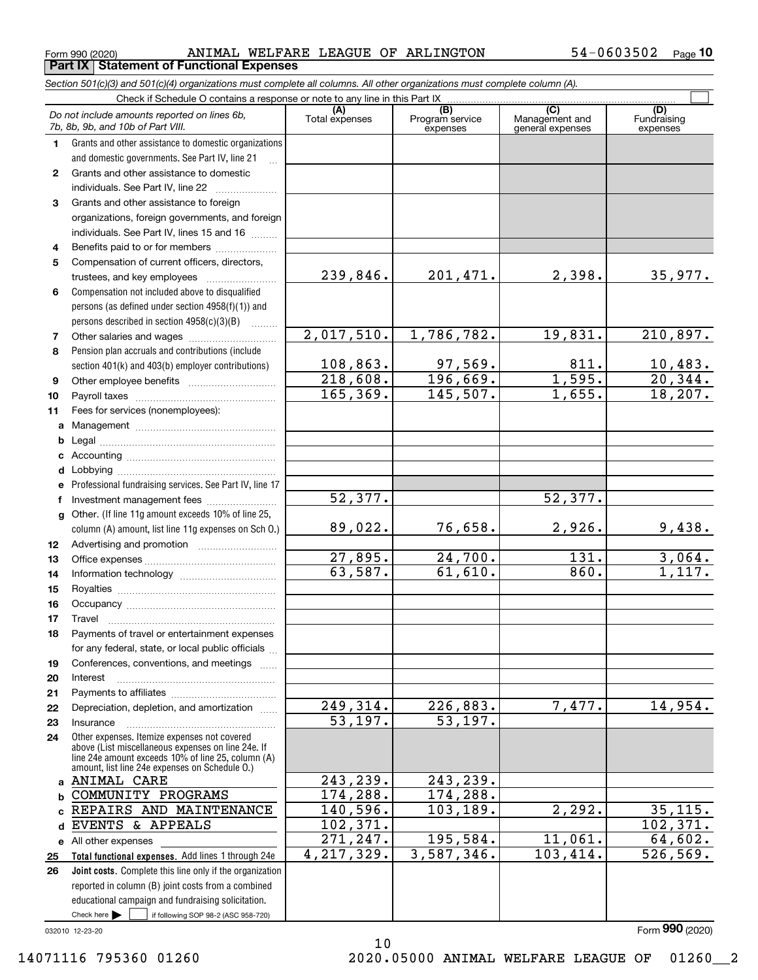$_{\rm Form}$  990 (2020) ANIMAL WELFARE LEAGUE OF ARLINGTON 54-0603502  $_{\rm Page}$ **Part IX Statement of Functional Expenses**

|              | Section 501(c)(3) and 501(c)(4) organizations must complete all columns. All other organizations must complete column (A).                                 |                        |                                    |                                           |                                |
|--------------|------------------------------------------------------------------------------------------------------------------------------------------------------------|------------------------|------------------------------------|-------------------------------------------|--------------------------------|
|              |                                                                                                                                                            |                        |                                    |                                           |                                |
|              | Do not include amounts reported on lines 6b,<br>7b, 8b, 9b, and 10b of Part VIII.                                                                          | (A)<br>Total expenses  | (B)<br>Program service<br>expenses | (C)<br>Management and<br>general expenses | (D)<br>Fundraising<br>expenses |
| 1.           | Grants and other assistance to domestic organizations                                                                                                      |                        |                                    |                                           |                                |
|              | and domestic governments. See Part IV, line 21                                                                                                             |                        |                                    |                                           |                                |
| 2            | Grants and other assistance to domestic                                                                                                                    |                        |                                    |                                           |                                |
|              | individuals. See Part IV, line 22                                                                                                                          |                        |                                    |                                           |                                |
| 3            | Grants and other assistance to foreign                                                                                                                     |                        |                                    |                                           |                                |
|              | organizations, foreign governments, and foreign                                                                                                            |                        |                                    |                                           |                                |
|              | individuals. See Part IV, lines 15 and 16                                                                                                                  |                        |                                    |                                           |                                |
| 4            | Benefits paid to or for members                                                                                                                            |                        |                                    |                                           |                                |
| 5            | Compensation of current officers, directors,                                                                                                               |                        |                                    |                                           |                                |
|              | trustees, and key employees                                                                                                                                | 239,846.               | 201,471.                           | 2,398.                                    | 35,977.                        |
| 6            | Compensation not included above to disqualified                                                                                                            |                        |                                    |                                           |                                |
|              | persons (as defined under section 4958(f)(1)) and                                                                                                          |                        |                                    |                                           |                                |
|              | persons described in section $4958(c)(3)(B)$<br>1.1.1.1.1.1.1                                                                                              |                        |                                    |                                           |                                |
| 7            |                                                                                                                                                            | 2,017,510.             | 1,786,782.                         | 19,831.                                   | 210,897.                       |
| 8            | Pension plan accruals and contributions (include                                                                                                           |                        |                                    |                                           |                                |
|              | section 401(k) and 403(b) employer contributions)                                                                                                          | 108,863.               | $\frac{97,569}{196,669}$           | 811.                                      | $\frac{10,483.}{20,344.}$      |
| 9            |                                                                                                                                                            | 218,608.               |                                    | 1,595.                                    |                                |
| 10           |                                                                                                                                                            | 165, 369.              | 145,507.                           | 1,655.                                    | 18, 207.                       |
| 11           | Fees for services (nonemployees):                                                                                                                          |                        |                                    |                                           |                                |
| a            |                                                                                                                                                            |                        |                                    |                                           |                                |
| b            |                                                                                                                                                            |                        |                                    |                                           |                                |
| c            |                                                                                                                                                            |                        |                                    |                                           |                                |
| d            |                                                                                                                                                            |                        |                                    |                                           |                                |
| е            | Professional fundraising services. See Part IV, line 17                                                                                                    | 52,377.                |                                    | 52,377.                                   |                                |
| f            | Investment management fees                                                                                                                                 |                        |                                    |                                           |                                |
| $\mathbf{q}$ | Other. (If line 11g amount exceeds 10% of line 25,<br>column (A) amount, list line 11g expenses on Sch O.)                                                 | 89,022.                | 76,658.                            | 2,926.                                    | 9,438.                         |
| 12           |                                                                                                                                                            |                        |                                    |                                           |                                |
| 13           |                                                                                                                                                            | 27,895.                | 24,700.                            | 131.                                      | 3,064.                         |
| 14           |                                                                                                                                                            | 63,587.                | 61,610.                            | 860.                                      | 1,117.                         |
| 15           |                                                                                                                                                            |                        |                                    |                                           |                                |
| 16           |                                                                                                                                                            |                        |                                    |                                           |                                |
| 17           |                                                                                                                                                            |                        |                                    |                                           |                                |
| 18           | Payments of travel or entertainment expenses                                                                                                               |                        |                                    |                                           |                                |
|              | for any federal, state, or local public officials                                                                                                          |                        |                                    |                                           |                                |
| 19           | Conferences, conventions, and meetings                                                                                                                     |                        |                                    |                                           |                                |
| 20           | Interest                                                                                                                                                   |                        |                                    |                                           |                                |
| 21           |                                                                                                                                                            | $\overline{249,314}$ . | 226,883.                           | 7,477.                                    | 14,954.                        |
| 22           | Depreciation, depletion, and amortization                                                                                                                  | $\overline{53,197}$ .  | 53,197.                            |                                           |                                |
| 23           | Insurance<br>Other expenses. Itemize expenses not covered                                                                                                  |                        |                                    |                                           |                                |
| 24           | above (List miscellaneous expenses on line 24e. If<br>line 24e amount exceeds 10% of line 25, column (A)<br>amount, list line 24e expenses on Schedule O.) |                        |                                    |                                           |                                |
| a            | ANIMAL CARE                                                                                                                                                | 243,239.               | 243,239.                           |                                           |                                |
| b            | COMMUNITY PROGRAMS                                                                                                                                         | 174, 288.              | 174, 288.                          |                                           |                                |
| C            | REPAIRS AND MAINTENANCE                                                                                                                                    | 140,596.               | 103, 189.                          | 2, 292.                                   | 35, 115.                       |
| d            | EVENTS & APPEALS                                                                                                                                           | 102, 371.              |                                    |                                           | 102,371.                       |
|              | e All other expenses                                                                                                                                       | 271, 247.              | 195,584.                           | 11,061.                                   | 64,602.                        |
| 25           | Total functional expenses. Add lines 1 through 24e                                                                                                         | 4, 217, 329.           | 3,587,346.                         | 103,414.                                  | 526, 569.                      |
| 26           | Joint costs. Complete this line only if the organization                                                                                                   |                        |                                    |                                           |                                |
|              | reported in column (B) joint costs from a combined                                                                                                         |                        |                                    |                                           |                                |
|              | educational campaign and fundraising solicitation.                                                                                                         |                        |                                    |                                           |                                |
|              | Check here $\blacktriangleright$<br>if following SOP 98-2 (ASC 958-720)                                                                                    |                        |                                    |                                           |                                |

10

032010 12-23-20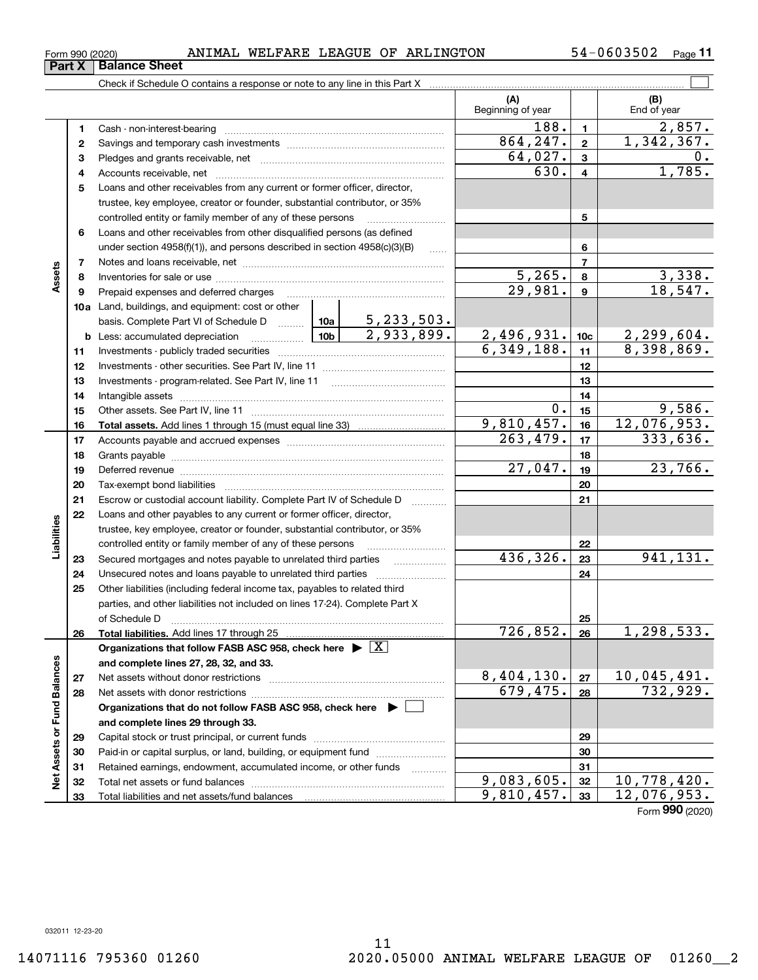## $_{\rm Form}$  990 (2020) ANIMAL WELFARE LEAGUE OF ARLINGTON 54-0603502  $_{\rm Page}$

Check if Schedule O contains a response or note to any line in this Part X

|                             |    |                                                                                                                                                                                                                                |         |                   | (A)<br>Beginning of year |                 | (B)<br>End of year |
|-----------------------------|----|--------------------------------------------------------------------------------------------------------------------------------------------------------------------------------------------------------------------------------|---------|-------------------|--------------------------|-----------------|--------------------|
|                             | 1  | Cash - non-interest-bearing                                                                                                                                                                                                    |         |                   | 188.                     | $\mathbf{1}$    | 2,857.             |
|                             | 2  |                                                                                                                                                                                                                                |         |                   | 864,247.                 | $\overline{2}$  | 1,342,367.         |
|                             | З  |                                                                                                                                                                                                                                |         | 64,027.           | 3                        | 0.              |                    |
|                             | 4  |                                                                                                                                                                                                                                |         |                   | 630.                     | 4               | 1,785.             |
|                             | 5  | Loans and other receivables from any current or former officer, director,                                                                                                                                                      |         |                   |                          |                 |                    |
|                             |    | trustee, key employee, creator or founder, substantial contributor, or 35%                                                                                                                                                     |         |                   |                          |                 |                    |
|                             |    | controlled entity or family member of any of these persons                                                                                                                                                                     |         | 5                 |                          |                 |                    |
|                             | 6  | Loans and other receivables from other disqualified persons (as defined                                                                                                                                                        |         |                   |                          |                 |                    |
|                             |    | under section $4958(f)(1)$ , and persons described in section $4958(c)(3)(B)$                                                                                                                                                  |         | 1.1.1.1           |                          | 6               |                    |
|                             | 7  |                                                                                                                                                                                                                                |         |                   |                          | $\overline{7}$  |                    |
| Assets                      | 8  |                                                                                                                                                                                                                                |         |                   | 5, 265.                  | 8               | 3,338.             |
|                             | 9  | Prepaid expenses and deferred charges                                                                                                                                                                                          |         |                   | $\overline{29,981}$ .    | 9               | 18,547.            |
|                             |    | <b>10a</b> Land, buildings, and equipment: cost or other                                                                                                                                                                       |         |                   |                          |                 |                    |
|                             |    | basis. Complete Part VI of Schedule D $\frac{10a}{5,233,503}$ .                                                                                                                                                                |         |                   |                          |                 |                    |
|                             |    | <u>  10b</u><br><b>b</b> Less: accumulated depreciation                                                                                                                                                                        |         | 2,933,899.        | 2,496,931.               | 10 <sub>c</sub> | 2,299,604.         |
|                             | 11 |                                                                                                                                                                                                                                |         |                   | 6,349,188.               | 11              | 8,398,869.         |
|                             | 12 |                                                                                                                                                                                                                                |         | 12                |                          |                 |                    |
|                             | 13 |                                                                                                                                                                                                                                |         | 13                |                          |                 |                    |
|                             | 14 |                                                                                                                                                                                                                                |         | 14                |                          |                 |                    |
|                             | 15 |                                                                                                                                                                                                                                |         |                   | 0.                       | 15              | 9,586.             |
|                             | 16 |                                                                                                                                                                                                                                |         |                   | 9,810,457.               | 16              | 12,076,953.        |
|                             | 17 |                                                                                                                                                                                                                                |         |                   | 263,479.                 | 17              | 333,636.           |
|                             | 18 |                                                                                                                                                                                                                                |         | 18                |                          |                 |                    |
|                             | 19 | Deferred revenue manual contracts and contracts are contracted and contract and contract are contracted and contract are contracted and contract are contracted and contract are contracted and contract are contracted and co | 27,047. | 19                | 23,766.                  |                 |                    |
|                             | 20 |                                                                                                                                                                                                                                |         | 20                |                          |                 |                    |
|                             | 21 | Escrow or custodial account liability. Complete Part IV of Schedule D                                                                                                                                                          |         |                   |                          | 21              |                    |
|                             | 22 | Loans and other payables to any current or former officer, director,                                                                                                                                                           |         |                   |                          |                 |                    |
| Liabilities                 |    | trustee, key employee, creator or founder, substantial contributor, or 35%                                                                                                                                                     |         |                   |                          |                 |                    |
|                             |    | controlled entity or family member of any of these persons                                                                                                                                                                     |         |                   |                          | 22              |                    |
|                             | 23 | Secured mortgages and notes payable to unrelated third parties                                                                                                                                                                 |         |                   | 436,326.                 | 23              | 941,131.           |
|                             | 24 | Unsecured notes and loans payable to unrelated third parties                                                                                                                                                                   |         |                   |                          | 24              |                    |
|                             | 25 | Other liabilities (including federal income tax, payables to related third                                                                                                                                                     |         |                   |                          |                 |                    |
|                             |    | parties, and other liabilities not included on lines 17-24). Complete Part X                                                                                                                                                   |         |                   |                          |                 |                    |
|                             |    | of Schedule D                                                                                                                                                                                                                  |         |                   |                          | 25              |                    |
|                             | 26 |                                                                                                                                                                                                                                |         |                   | 726,852.                 | 26              | 1, 298, 533.       |
|                             |    | Organizations that follow FASB ASC 958, check here $\blacktriangleright \boxed{X}$                                                                                                                                             |         |                   |                          |                 |                    |
|                             |    | and complete lines 27, 28, 32, and 33.                                                                                                                                                                                         |         |                   |                          |                 |                    |
|                             | 27 | Net assets without donor restrictions                                                                                                                                                                                          |         |                   | 8,404,130.               | 27              | 10,045,491.        |
|                             | 28 | Net assets with donor restrictions                                                                                                                                                                                             |         |                   | 679,475.                 | 28              | 732,929.           |
|                             |    | Organizations that do not follow FASB ASC 958, check here $\blacktriangleright$                                                                                                                                                |         |                   |                          |                 |                    |
|                             |    | and complete lines 29 through 33.                                                                                                                                                                                              |         |                   |                          |                 |                    |
| Net Assets or Fund Balances | 29 |                                                                                                                                                                                                                                |         |                   |                          | 29              |                    |
|                             | 30 | Paid-in or capital surplus, or land, building, or equipment fund                                                                                                                                                               |         |                   |                          | 30              |                    |
|                             | 31 | Retained earnings, endowment, accumulated income, or other funds                                                                                                                                                               |         | 1.1.1.1.1.1.1.1.1 |                          | 31              |                    |
|                             | 32 | Total net assets or fund balances                                                                                                                                                                                              |         |                   | 9,083,605.               | 32              | 10,778,420.        |
|                             | 33 |                                                                                                                                                                                                                                |         |                   | 9,810,457.               | 33              | 12,076,953.        |

Form (2020) **990**

 $\mathcal{L}^{\text{max}}$ 

**Part X Balance Sheet**

L,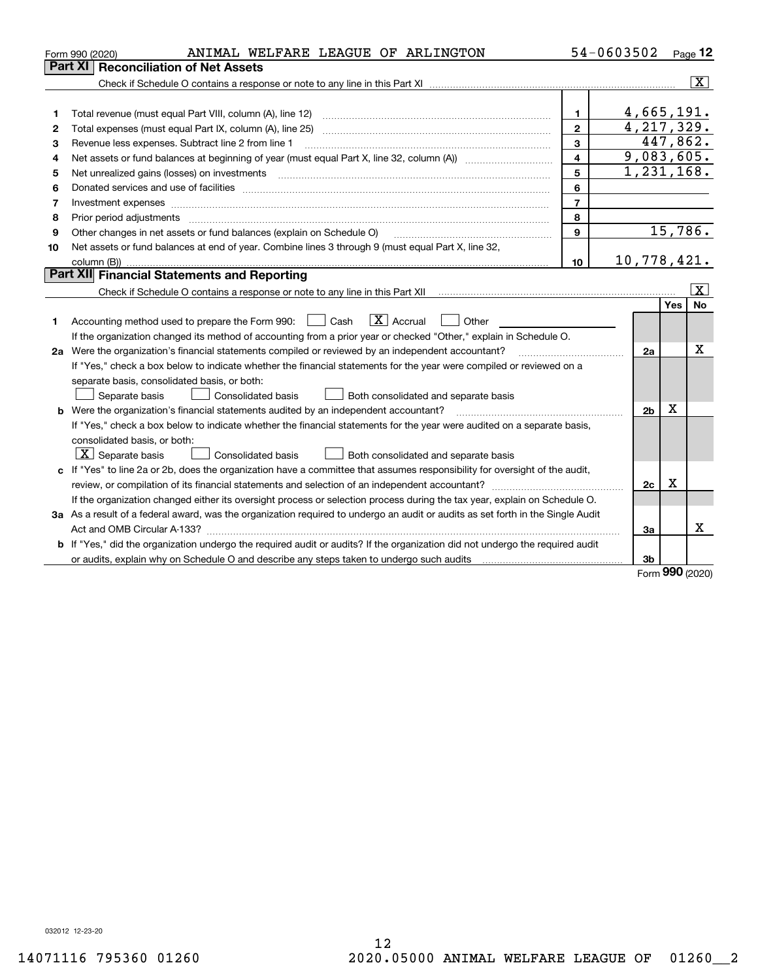| Part XI<br><b>Reconciliation of Net Assets</b><br>4,665,191.<br>$\mathbf{1}$<br>1<br>4, 217, 329.<br>$\overline{2}$<br>2<br>447,862.<br>$\mathbf{3}$<br>Revenue less expenses. Subtract line 2 from line 1<br>3<br>9,083,605.<br>$\overline{\mathbf{4}}$<br>4 | $\overline{\mathbf{X}}$ |
|---------------------------------------------------------------------------------------------------------------------------------------------------------------------------------------------------------------------------------------------------------------|-------------------------|
|                                                                                                                                                                                                                                                               |                         |
|                                                                                                                                                                                                                                                               |                         |
|                                                                                                                                                                                                                                                               |                         |
|                                                                                                                                                                                                                                                               |                         |
|                                                                                                                                                                                                                                                               |                         |
|                                                                                                                                                                                                                                                               |                         |
|                                                                                                                                                                                                                                                               |                         |
| 1,231,168.<br>5<br>5                                                                                                                                                                                                                                          |                         |
| 6<br>6                                                                                                                                                                                                                                                        |                         |
| $\overline{7}$<br>Investment expenses<br>7                                                                                                                                                                                                                    |                         |
| 8<br>8                                                                                                                                                                                                                                                        |                         |
| 15,786.<br>$\mathbf{Q}$<br>Other changes in net assets or fund balances (explain on Schedule O)<br>9                                                                                                                                                          |                         |
| Net assets or fund balances at end of year. Combine lines 3 through 9 (must equal Part X, line 32,<br>10                                                                                                                                                      |                         |
| 10,778,421.<br>10                                                                                                                                                                                                                                             |                         |
| <b>Part XII</b> Financial Statements and Reporting                                                                                                                                                                                                            |                         |
|                                                                                                                                                                                                                                                               | x                       |
| Yes                                                                                                                                                                                                                                                           | <b>No</b>               |
| $\boxed{\mathbf{X}}$ Accrual<br>Accounting method used to prepare the Form 990: <u>I</u> Cash<br>Other<br>1                                                                                                                                                   |                         |
| If the organization changed its method of accounting from a prior year or checked "Other," explain in Schedule O.                                                                                                                                             |                         |
| 2a Were the organization's financial statements compiled or reviewed by an independent accountant?<br>2a                                                                                                                                                      | х                       |
| If "Yes," check a box below to indicate whether the financial statements for the year were compiled or reviewed on a                                                                                                                                          |                         |
| separate basis, consolidated basis, or both:                                                                                                                                                                                                                  |                         |
| Both consolidated and separate basis<br>Separate basis<br>Consolidated basis                                                                                                                                                                                  |                         |
| X<br><b>b</b> Were the organization's financial statements audited by an independent accountant?<br>2 <sub>b</sub>                                                                                                                                            |                         |
| If "Yes," check a box below to indicate whether the financial statements for the year were audited on a separate basis,                                                                                                                                       |                         |
| consolidated basis, or both:                                                                                                                                                                                                                                  |                         |
| $\boxed{\textbf{X}}$ Separate basis<br>Consolidated basis<br>Both consolidated and separate basis                                                                                                                                                             |                         |
| c If "Yes" to line 2a or 2b, does the organization have a committee that assumes responsibility for oversight of the audit,                                                                                                                                   |                         |
| X<br>2c                                                                                                                                                                                                                                                       |                         |
| If the organization changed either its oversight process or selection process during the tax year, explain on Schedule O.                                                                                                                                     |                         |
| 3a As a result of a federal award, was the organization required to undergo an audit or audits as set forth in the Single Audit                                                                                                                               |                         |
| За                                                                                                                                                                                                                                                            | x                       |
| b If "Yes," did the organization undergo the required audit or audits? If the organization did not undergo the required audit                                                                                                                                 |                         |
| 3b<br>nnn.                                                                                                                                                                                                                                                    |                         |

Form (2020) **990**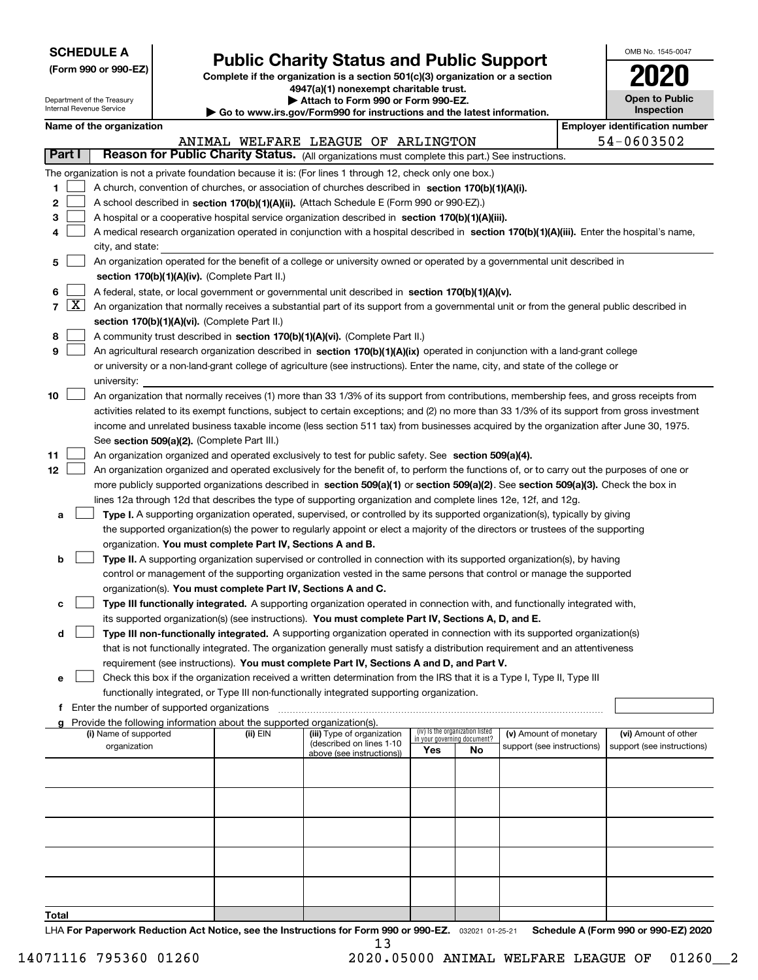| <b>SCHEDULE A</b> |
|-------------------|
|-------------------|

Department of the Treasury Internal Revenue Service

**(Form 990 or 990-EZ)**

## **Public Charity Status and Public Support**

**Complete if the organization is a section 501(c)(3) organization or a section 4947(a)(1) nonexempt charitable trust. | Attach to Form 990 or Form 990-EZ.** 

|  |  | Go to www.irs.gov/Form990 for instructions and the latest information. |
|--|--|------------------------------------------------------------------------|

| OMB No 1545-0047                    |
|-------------------------------------|
| 2020                                |
| <b>Open to Public</b><br>Inspection |

|  | Name of the organization |
|--|--------------------------|
|--|--------------------------|

|        |            | Name of the organization                                                                                                                      |          |                                                        |                                                                |    |                            | <b>Employer identification number</b> |
|--------|------------|-----------------------------------------------------------------------------------------------------------------------------------------------|----------|--------------------------------------------------------|----------------------------------------------------------------|----|----------------------------|---------------------------------------|
| Part I |            | Reason for Public Charity Status. (All organizations must complete this part.) See instructions.                                              |          | ANIMAL WELFARE LEAGUE OF ARLINGTON                     |                                                                |    |                            | 54-0603502                            |
|        |            |                                                                                                                                               |          |                                                        |                                                                |    |                            |                                       |
|        |            | The organization is not a private foundation because it is: (For lines 1 through 12, check only one box.)                                     |          |                                                        |                                                                |    |                            |                                       |
| 1.     |            | A church, convention of churches, or association of churches described in section 170(b)(1)(A)(i).                                            |          |                                                        |                                                                |    |                            |                                       |
| 2      |            | A school described in section 170(b)(1)(A)(ii). (Attach Schedule E (Form 990 or 990-EZ).)                                                     |          |                                                        |                                                                |    |                            |                                       |
| 3      |            | A hospital or a cooperative hospital service organization described in section $170(b)(1)(A)(iii)$ .                                          |          |                                                        |                                                                |    |                            |                                       |
| 4      |            | A medical research organization operated in conjunction with a hospital described in section 170(b)(1)(A)(iii). Enter the hospital's name,    |          |                                                        |                                                                |    |                            |                                       |
|        |            | city, and state:<br>An organization operated for the benefit of a college or university owned or operated by a governmental unit described in |          |                                                        |                                                                |    |                            |                                       |
| 5      |            | section 170(b)(1)(A)(iv). (Complete Part II.)                                                                                                 |          |                                                        |                                                                |    |                            |                                       |
| 6      |            | A federal, state, or local government or governmental unit described in section 170(b)(1)(A)(v).                                              |          |                                                        |                                                                |    |                            |                                       |
|        | $7 \times$ | An organization that normally receives a substantial part of its support from a governmental unit or from the general public described in     |          |                                                        |                                                                |    |                            |                                       |
|        |            | section 170(b)(1)(A)(vi). (Complete Part II.)                                                                                                 |          |                                                        |                                                                |    |                            |                                       |
| 8      |            | A community trust described in section 170(b)(1)(A)(vi). (Complete Part II.)                                                                  |          |                                                        |                                                                |    |                            |                                       |
| 9      |            | An agricultural research organization described in section 170(b)(1)(A)(ix) operated in conjunction with a land-grant college                 |          |                                                        |                                                                |    |                            |                                       |
|        |            | or university or a non-land-grant college of agriculture (see instructions). Enter the name, city, and state of the college or                |          |                                                        |                                                                |    |                            |                                       |
|        |            | university:                                                                                                                                   |          |                                                        |                                                                |    |                            |                                       |
| 10     |            | An organization that normally receives (1) more than 33 1/3% of its support from contributions, membership fees, and gross receipts from      |          |                                                        |                                                                |    |                            |                                       |
|        |            | activities related to its exempt functions, subject to certain exceptions; and (2) no more than 33 1/3% of its support from gross investment  |          |                                                        |                                                                |    |                            |                                       |
|        |            | income and unrelated business taxable income (less section 511 tax) from businesses acquired by the organization after June 30, 1975.         |          |                                                        |                                                                |    |                            |                                       |
|        |            | See section 509(a)(2). (Complete Part III.)                                                                                                   |          |                                                        |                                                                |    |                            |                                       |
| 11     |            | An organization organized and operated exclusively to test for public safety. See section 509(a)(4).                                          |          |                                                        |                                                                |    |                            |                                       |
| 12     |            | An organization organized and operated exclusively for the benefit of, to perform the functions of, or to carry out the purposes of one or    |          |                                                        |                                                                |    |                            |                                       |
|        |            | more publicly supported organizations described in section 509(a)(1) or section 509(a)(2). See section 509(a)(3). Check the box in            |          |                                                        |                                                                |    |                            |                                       |
|        |            | lines 12a through 12d that describes the type of supporting organization and complete lines 12e, 12f, and 12g.                                |          |                                                        |                                                                |    |                            |                                       |
| а      |            | Type I. A supporting organization operated, supervised, or controlled by its supported organization(s), typically by giving                   |          |                                                        |                                                                |    |                            |                                       |
|        |            | the supported organization(s) the power to regularly appoint or elect a majority of the directors or trustees of the supporting               |          |                                                        |                                                                |    |                            |                                       |
|        |            | organization. You must complete Part IV, Sections A and B.                                                                                    |          |                                                        |                                                                |    |                            |                                       |
| b      |            | Type II. A supporting organization supervised or controlled in connection with its supported organization(s), by having                       |          |                                                        |                                                                |    |                            |                                       |
|        |            | control or management of the supporting organization vested in the same persons that control or manage the supported                          |          |                                                        |                                                                |    |                            |                                       |
|        |            | organization(s). You must complete Part IV, Sections A and C.                                                                                 |          |                                                        |                                                                |    |                            |                                       |
| с      |            | Type III functionally integrated. A supporting organization operated in connection with, and functionally integrated with,                    |          |                                                        |                                                                |    |                            |                                       |
|        |            | its supported organization(s) (see instructions). You must complete Part IV, Sections A, D, and E.                                            |          |                                                        |                                                                |    |                            |                                       |
| d      |            | Type III non-functionally integrated. A supporting organization operated in connection with its supported organization(s)                     |          |                                                        |                                                                |    |                            |                                       |
|        |            | that is not functionally integrated. The organization generally must satisfy a distribution requirement and an attentiveness                  |          |                                                        |                                                                |    |                            |                                       |
|        |            | requirement (see instructions). You must complete Part IV, Sections A and D, and Part V.                                                      |          |                                                        |                                                                |    |                            |                                       |
|        |            | Check this box if the organization received a written determination from the IRS that it is a Type I, Type II, Type III                       |          |                                                        |                                                                |    |                            |                                       |
|        |            | functionally integrated, or Type III non-functionally integrated supporting organization.                                                     |          |                                                        |                                                                |    |                            |                                       |
|        |            | f Enter the number of supported organizations                                                                                                 |          |                                                        |                                                                |    |                            |                                       |
|        |            | Provide the following information about the supported organization(s).                                                                        |          |                                                        |                                                                |    |                            |                                       |
|        |            | (i) Name of supported                                                                                                                         | (ii) EIN | (iii) Type of organization<br>(described on lines 1-10 | (iv) Is the organization listed<br>in your governing document? |    | (v) Amount of monetary     | (vi) Amount of other                  |
|        |            | organization                                                                                                                                  |          | above (see instructions))                              | Yes                                                            | No | support (see instructions) | support (see instructions)            |
|        |            |                                                                                                                                               |          |                                                        |                                                                |    |                            |                                       |
|        |            |                                                                                                                                               |          |                                                        |                                                                |    |                            |                                       |
|        |            |                                                                                                                                               |          |                                                        |                                                                |    |                            |                                       |
|        |            |                                                                                                                                               |          |                                                        |                                                                |    |                            |                                       |
|        |            |                                                                                                                                               |          |                                                        |                                                                |    |                            |                                       |
|        |            |                                                                                                                                               |          |                                                        |                                                                |    |                            |                                       |
|        |            |                                                                                                                                               |          |                                                        |                                                                |    |                            |                                       |
|        |            |                                                                                                                                               |          |                                                        |                                                                |    |                            |                                       |
|        |            |                                                                                                                                               |          |                                                        |                                                                |    |                            |                                       |
|        |            |                                                                                                                                               |          |                                                        |                                                                |    |                            |                                       |

**Total**

LHA For Paperwork Reduction Act Notice, see the Instructions for Form 990 or 990-EZ. <sub>032021</sub> o1-25-21 Schedule A (Form 990 or 990-EZ) 2020 13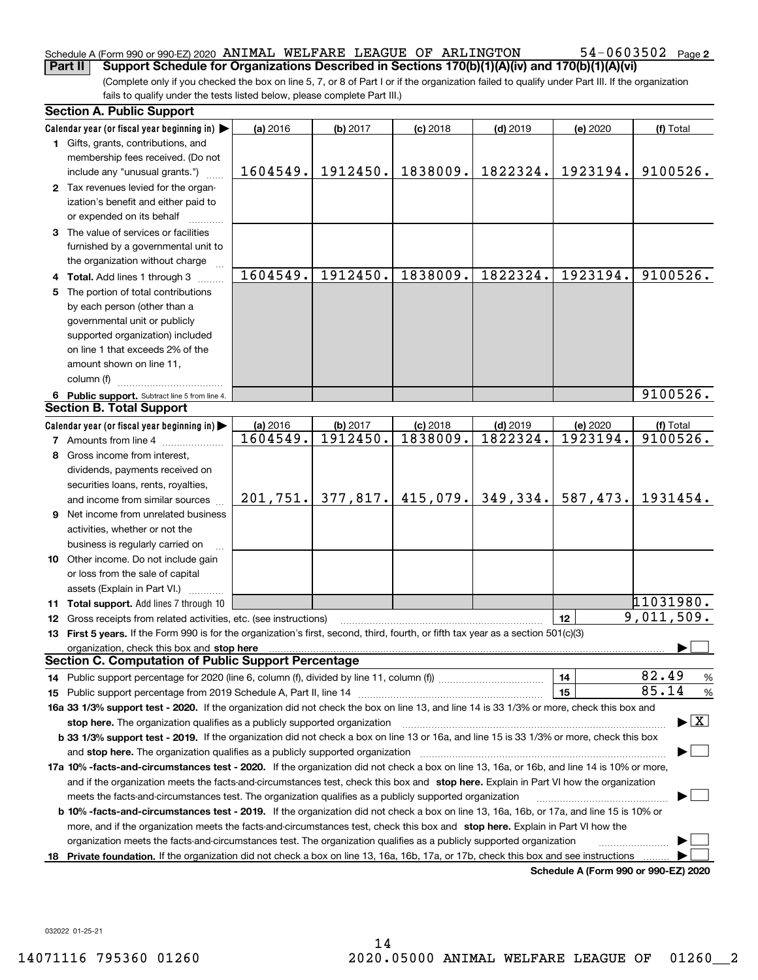## Schedule A (Form 990 or 990-EZ) 2020  $\,$  ANIMAL WELFARE LEAGUE OF  $\,$  ARLINGTON  $\,$   $\,$  54  $-$  0603502  $\,$  Page **Part II Support Schedule for Organizations Described in Sections 170(b)(1)(A)(iv) and 170(b)(1)(A)(vi)**

(Complete only if you checked the box on line 5, 7, or 8 of Part I or if the organization failed to qualify under Part III. If the organization fails to qualify under the tests listed below, please complete Part III.)

| <b>Section A. Public Support</b>                                                                                                                                                                                                                                                             |           |          |            |            |                                      |                                          |
|----------------------------------------------------------------------------------------------------------------------------------------------------------------------------------------------------------------------------------------------------------------------------------------------|-----------|----------|------------|------------|--------------------------------------|------------------------------------------|
| Calendar year (or fiscal year beginning in)                                                                                                                                                                                                                                                  | (a) 2016  | (b) 2017 | $(c)$ 2018 | $(d)$ 2019 | (e) 2020                             | (f) Total                                |
| 1 Gifts, grants, contributions, and<br>membership fees received. (Do not                                                                                                                                                                                                                     |           |          |            |            |                                      |                                          |
| include any "unusual grants.")                                                                                                                                                                                                                                                               | 1604549.  | 1912450. | 1838009.   | 1822324.   | 1923194.                             | 9100526.                                 |
| 2 Tax revenues levied for the organ-<br>ization's benefit and either paid to<br>or expended on its behalf                                                                                                                                                                                    |           |          |            |            |                                      |                                          |
| 3 The value of services or facilities<br>furnished by a governmental unit to                                                                                                                                                                                                                 |           |          |            |            |                                      |                                          |
| the organization without charge                                                                                                                                                                                                                                                              |           |          |            |            |                                      |                                          |
| 4 Total. Add lines 1 through 3                                                                                                                                                                                                                                                               | 1604549.  | 1912450. | 1838009.   | 1822324.   | 1923194.                             | 9100526.                                 |
| 5 The portion of total contributions                                                                                                                                                                                                                                                         |           |          |            |            |                                      |                                          |
| by each person (other than a                                                                                                                                                                                                                                                                 |           |          |            |            |                                      |                                          |
| governmental unit or publicly                                                                                                                                                                                                                                                                |           |          |            |            |                                      |                                          |
| supported organization) included                                                                                                                                                                                                                                                             |           |          |            |            |                                      |                                          |
| on line 1 that exceeds 2% of the                                                                                                                                                                                                                                                             |           |          |            |            |                                      |                                          |
| amount shown on line 11,                                                                                                                                                                                                                                                                     |           |          |            |            |                                      |                                          |
| column (f)                                                                                                                                                                                                                                                                                   |           |          |            |            |                                      |                                          |
| 6 Public support. Subtract line 5 from line 4.                                                                                                                                                                                                                                               |           |          |            |            |                                      | 9100526.                                 |
| <b>Section B. Total Support</b>                                                                                                                                                                                                                                                              |           |          |            |            |                                      |                                          |
| Calendar year (or fiscal year beginning in)                                                                                                                                                                                                                                                  | (a) 2016  | (b) 2017 | $(c)$ 2018 | $(d)$ 2019 | (e) 2020                             | (f) Total                                |
| <b>7</b> Amounts from line 4                                                                                                                                                                                                                                                                 | 1604549.  | 1912450. | 1838009.   | 1822324.   | 1923194.                             | 9100526.                                 |
| 8 Gross income from interest,                                                                                                                                                                                                                                                                |           |          |            |            |                                      |                                          |
| dividends, payments received on                                                                                                                                                                                                                                                              |           |          |            |            |                                      |                                          |
| securities loans, rents, royalties,                                                                                                                                                                                                                                                          |           |          |            |            |                                      |                                          |
| and income from similar sources                                                                                                                                                                                                                                                              | 201, 751. | 377,817. | 415,079.   | 349,334.   | 587,473.                             | 1931454.                                 |
| 9 Net income from unrelated business                                                                                                                                                                                                                                                         |           |          |            |            |                                      |                                          |
| activities, whether or not the                                                                                                                                                                                                                                                               |           |          |            |            |                                      |                                          |
| business is regularly carried on                                                                                                                                                                                                                                                             |           |          |            |            |                                      |                                          |
| <b>10</b> Other income. Do not include gain                                                                                                                                                                                                                                                  |           |          |            |            |                                      |                                          |
| or loss from the sale of capital                                                                                                                                                                                                                                                             |           |          |            |            |                                      |                                          |
| assets (Explain in Part VI.) <b>Constant</b>                                                                                                                                                                                                                                                 |           |          |            |            |                                      |                                          |
| 11 Total support. Add lines 7 through 10                                                                                                                                                                                                                                                     |           |          |            |            |                                      | 11031980.                                |
| 12 Gross receipts from related activities, etc. (see instructions)                                                                                                                                                                                                                           |           |          |            |            | 12                                   | 9,011,509.                               |
| 13 First 5 years. If the Form 990 is for the organization's first, second, third, fourth, or fifth tax year as a section 501(c)(3)                                                                                                                                                           |           |          |            |            |                                      |                                          |
| organization, check this box and stop here manufactured and according to the state of the state of the state of the state of the state of the state of the state of the state of the state of the state of the state of the st<br><b>Section C. Computation of Public Support Percentage</b> |           |          |            |            |                                      |                                          |
|                                                                                                                                                                                                                                                                                              |           |          |            |            |                                      | 82.49                                    |
|                                                                                                                                                                                                                                                                                              |           |          |            |            | 14                                   | $\frac{9}{6}$<br>85.14                   |
|                                                                                                                                                                                                                                                                                              |           |          |            |            | 15                                   | %                                        |
| 16a 33 1/3% support test - 2020. If the organization did not check the box on line 13, and line 14 is 33 1/3% or more, check this box and                                                                                                                                                    |           |          |            |            |                                      | $\blacktriangleright$ $\boxed{\text{X}}$ |
| stop here. The organization qualifies as a publicly supported organization                                                                                                                                                                                                                   |           |          |            |            |                                      |                                          |
| b 33 1/3% support test - 2019. If the organization did not check a box on line 13 or 16a, and line 15 is 33 1/3% or more, check this box                                                                                                                                                     |           |          |            |            |                                      |                                          |
| and stop here. The organization qualifies as a publicly supported organization                                                                                                                                                                                                               |           |          |            |            |                                      |                                          |
| 17a 10% -facts-and-circumstances test - 2020. If the organization did not check a box on line 13, 16a, or 16b, and line 14 is 10% or more,                                                                                                                                                   |           |          |            |            |                                      |                                          |
| and if the organization meets the facts-and-circumstances test, check this box and stop here. Explain in Part VI how the organization                                                                                                                                                        |           |          |            |            |                                      |                                          |
| meets the facts-and-circumstances test. The organization qualifies as a publicly supported organization                                                                                                                                                                                      |           |          |            |            |                                      |                                          |
| <b>b 10% -facts-and-circumstances test - 2019.</b> If the organization did not check a box on line 13, 16a, 16b, or 17a, and line 15 is 10% or                                                                                                                                               |           |          |            |            |                                      |                                          |
| more, and if the organization meets the facts-and-circumstances test, check this box and stop here. Explain in Part VI how the                                                                                                                                                               |           |          |            |            |                                      |                                          |
| organization meets the facts-and-circumstances test. The organization qualifies as a publicly supported organization                                                                                                                                                                         |           |          |            |            |                                      |                                          |
| 18 Private foundation. If the organization did not check a box on line 13, 16a, 16b, 17a, or 17b, check this box and see instructions                                                                                                                                                        |           |          |            |            |                                      |                                          |
|                                                                                                                                                                                                                                                                                              |           |          |            |            | Schedule A (Form 990 or 990-EZ) 2020 |                                          |

032022 01-25-21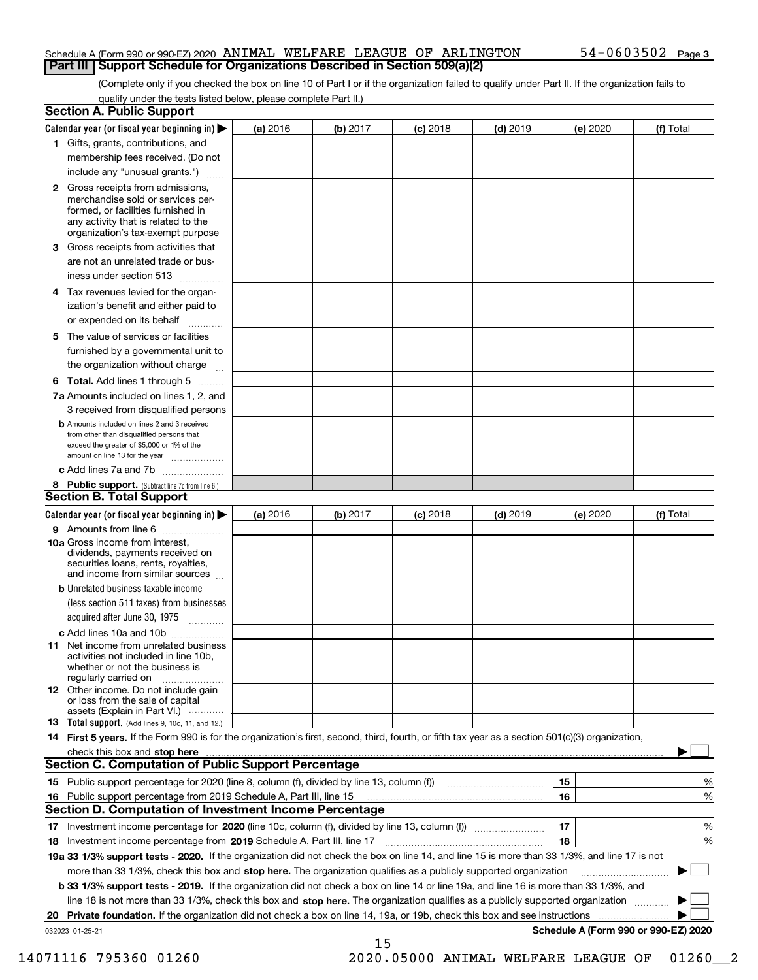## Schedule A (Form 990 or 990-EZ) 2020  $\,$  ANIMAL WELFARE LEAGUE OF  $\,$  ARLINGTON  $\,$   $\,$  54  $-$  0603502  $\,$  Page **Part III Support Schedule for Organizations Described in Section 509(a)(2)**

(Complete only if you checked the box on line 10 of Part I or if the organization failed to qualify under Part II. If the organization fails to qualify under the tests listed below, please complete Part II.)

|    | <b>Section A. Public Support</b>                                                                                                                                                                                                                          |          |          |            |            |          |                                      |
|----|-----------------------------------------------------------------------------------------------------------------------------------------------------------------------------------------------------------------------------------------------------------|----------|----------|------------|------------|----------|--------------------------------------|
|    | Calendar year (or fiscal year beginning in) $\blacktriangleright$                                                                                                                                                                                         | (a) 2016 | (b) 2017 | $(c)$ 2018 | $(d)$ 2019 | (e) 2020 | (f) Total                            |
|    | 1 Gifts, grants, contributions, and                                                                                                                                                                                                                       |          |          |            |            |          |                                      |
|    | membership fees received. (Do not                                                                                                                                                                                                                         |          |          |            |            |          |                                      |
|    | include any "unusual grants.")                                                                                                                                                                                                                            |          |          |            |            |          |                                      |
|    | <b>2</b> Gross receipts from admissions,<br>merchandise sold or services per-<br>formed, or facilities furnished in<br>any activity that is related to the<br>organization's tax-exempt purpose                                                           |          |          |            |            |          |                                      |
|    | 3 Gross receipts from activities that                                                                                                                                                                                                                     |          |          |            |            |          |                                      |
|    | are not an unrelated trade or bus-<br>iness under section 513                                                                                                                                                                                             |          |          |            |            |          |                                      |
|    | 4 Tax revenues levied for the organ-                                                                                                                                                                                                                      |          |          |            |            |          |                                      |
|    | ization's benefit and either paid to<br>or expended on its behalf                                                                                                                                                                                         |          |          |            |            |          |                                      |
|    | 5 The value of services or facilities                                                                                                                                                                                                                     |          |          |            |            |          |                                      |
|    | furnished by a governmental unit to                                                                                                                                                                                                                       |          |          |            |            |          |                                      |
|    | the organization without charge                                                                                                                                                                                                                           |          |          |            |            |          |                                      |
|    | <b>6 Total.</b> Add lines 1 through 5                                                                                                                                                                                                                     |          |          |            |            |          |                                      |
|    | 7a Amounts included on lines 1, 2, and<br>3 received from disqualified persons                                                                                                                                                                            |          |          |            |            |          |                                      |
|    | <b>b</b> Amounts included on lines 2 and 3 received<br>from other than disqualified persons that<br>exceed the greater of \$5,000 or 1% of the<br>amount on line 13 for the year                                                                          |          |          |            |            |          |                                      |
|    | c Add lines 7a and 7b                                                                                                                                                                                                                                     |          |          |            |            |          |                                      |
|    | 8 Public support. (Subtract line 7c from line 6.)<br><b>Section B. Total Support</b>                                                                                                                                                                      |          |          |            |            |          |                                      |
|    | Calendar year (or fiscal year beginning in)                                                                                                                                                                                                               | (a) 2016 | (b) 2017 | $(c)$ 2018 | $(d)$ 2019 | (e) 2020 | (f) Total                            |
|    | 9 Amounts from line 6                                                                                                                                                                                                                                     |          |          |            |            |          |                                      |
|    | <b>10a</b> Gross income from interest,<br>dividends, payments received on<br>securities loans, rents, royalties,<br>and income from similar sources                                                                                                       |          |          |            |            |          |                                      |
|    | <b>b</b> Unrelated business taxable income                                                                                                                                                                                                                |          |          |            |            |          |                                      |
|    | (less section 511 taxes) from businesses<br>acquired after June 30, 1975                                                                                                                                                                                  |          |          |            |            |          |                                      |
|    | c Add lines 10a and 10b                                                                                                                                                                                                                                   |          |          |            |            |          |                                      |
|    | 11 Net income from unrelated business<br>activities not included in line 10b,<br>whether or not the business is<br>regularly carried on                                                                                                                   |          |          |            |            |          |                                      |
|    | 12 Other income. Do not include gain<br>or loss from the sale of capital<br>assets (Explain in Part VI.)                                                                                                                                                  |          |          |            |            |          |                                      |
|    | 13 Total support. (Add lines 9, 10c, 11, and 12.)                                                                                                                                                                                                         |          |          |            |            |          |                                      |
|    | 14 First 5 years. If the Form 990 is for the organization's first, second, third, fourth, or fifth tax year as a section 501(c)(3) organization,                                                                                                          |          |          |            |            |          |                                      |
|    |                                                                                                                                                                                                                                                           |          |          |            |            |          |                                      |
|    | <b>Section C. Computation of Public Support Percentage</b>                                                                                                                                                                                                |          |          |            |            |          |                                      |
|    |                                                                                                                                                                                                                                                           |          |          |            |            | 15       | %                                    |
| 16 | Public support percentage from 2019 Schedule A, Part III, line 15                                                                                                                                                                                         |          |          |            |            | 16       | %                                    |
|    | Section D. Computation of Investment Income Percentage                                                                                                                                                                                                    |          |          |            |            |          |                                      |
|    | 17 Investment income percentage for 2020 (line 10c, column (f), divided by line 13, column (f))                                                                                                                                                           |          |          |            |            | 17<br>18 | %                                    |
|    | 18 Investment income percentage from 2019 Schedule A, Part III, line 17<br>19a 33 1/3% support tests - 2020. If the organization did not check the box on line 14, and line 15 is more than 33 1/3%, and line 17 is not                                   |          |          |            |            |          | %                                    |
|    |                                                                                                                                                                                                                                                           |          |          |            |            |          |                                      |
|    | more than 33 1/3%, check this box and stop here. The organization qualifies as a publicly supported organization<br>b 33 1/3% support tests - 2019. If the organization did not check a box on line 14 or line 19a, and line 16 is more than 33 1/3%, and |          |          |            |            |          |                                      |
|    | line 18 is not more than 33 1/3%, check this box and stop here. The organization qualifies as a publicly supported organization                                                                                                                           |          |          |            |            |          |                                      |
| 20 | Private foundation. If the organization did not check a box on line 14, 19a, or 19b, check this box and see instructions                                                                                                                                  |          |          |            |            | .        |                                      |
|    | 032023 01-25-21                                                                                                                                                                                                                                           |          |          |            |            |          | Schedule A (Form 990 or 990-EZ) 2020 |
|    |                                                                                                                                                                                                                                                           |          | 15       |            |            |          |                                      |

14071116 795360 01260 2020.05000 ANIMAL WELFARE LEAGUE OF 01260\_\_2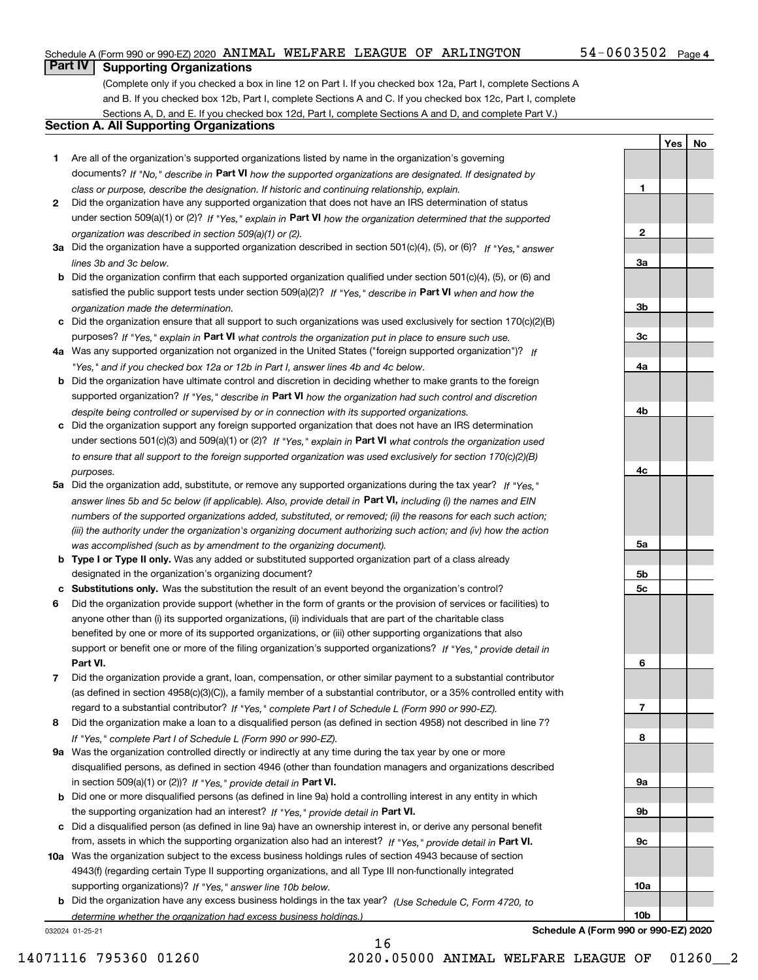## Schedule A (Form 990 or 990-EZ) 2020  $\,$  ANIMAL WELFARE LEAGUE OF  $\,$  ARLINGTON  $\,$   $\,$  54  $-$  0603502  $\,$  Page

**1**

**2**

**3a**

**3b**

**3c**

**4a**

**4b**

**YesNo**

## **Part IV Supporting Organizations**

(Complete only if you checked a box in line 12 on Part I. If you checked box 12a, Part I, complete Sections A and B. If you checked box 12b, Part I, complete Sections A and C. If you checked box 12c, Part I, complete Sections A, D, and E. If you checked box 12d, Part I, complete Sections A and D, and complete Part V.)

## **Section A. All Supporting Organizations**

- **1** Are all of the organization's supported organizations listed by name in the organization's governing documents? If "No," describe in **Part VI** how the supported organizations are designated. If designated by *class or purpose, describe the designation. If historic and continuing relationship, explain.*
- **2** Did the organization have any supported organization that does not have an IRS determination of status under section 509(a)(1) or (2)? If "Yes," explain in Part VI how the organization determined that the supported *organization was described in section 509(a)(1) or (2).*
- **3a** Did the organization have a supported organization described in section 501(c)(4), (5), or (6)? If "Yes," answer *lines 3b and 3c below.*
- **b** Did the organization confirm that each supported organization qualified under section 501(c)(4), (5), or (6) and satisfied the public support tests under section 509(a)(2)? If "Yes," describe in **Part VI** when and how the *organization made the determination.*
- **c**Did the organization ensure that all support to such organizations was used exclusively for section 170(c)(2)(B) purposes? If "Yes," explain in **Part VI** what controls the organization put in place to ensure such use.
- **4a***If* Was any supported organization not organized in the United States ("foreign supported organization")? *"Yes," and if you checked box 12a or 12b in Part I, answer lines 4b and 4c below.*
- **b** Did the organization have ultimate control and discretion in deciding whether to make grants to the foreign supported organization? If "Yes," describe in **Part VI** how the organization had such control and discretion *despite being controlled or supervised by or in connection with its supported organizations.*
- **c** Did the organization support any foreign supported organization that does not have an IRS determination under sections 501(c)(3) and 509(a)(1) or (2)? If "Yes," explain in **Part VI** what controls the organization used *to ensure that all support to the foreign supported organization was used exclusively for section 170(c)(2)(B) purposes.*
- **5a** Did the organization add, substitute, or remove any supported organizations during the tax year? If "Yes," answer lines 5b and 5c below (if applicable). Also, provide detail in **Part VI,** including (i) the names and EIN *numbers of the supported organizations added, substituted, or removed; (ii) the reasons for each such action; (iii) the authority under the organization's organizing document authorizing such action; and (iv) how the action was accomplished (such as by amendment to the organizing document).*
- **b** Type I or Type II only. Was any added or substituted supported organization part of a class already designated in the organization's organizing document?
- **cSubstitutions only.**  Was the substitution the result of an event beyond the organization's control?
- **6** Did the organization provide support (whether in the form of grants or the provision of services or facilities) to **Part VI.** *If "Yes," provide detail in* support or benefit one or more of the filing organization's supported organizations? anyone other than (i) its supported organizations, (ii) individuals that are part of the charitable class benefited by one or more of its supported organizations, or (iii) other supporting organizations that also
- **7**Did the organization provide a grant, loan, compensation, or other similar payment to a substantial contributor *If "Yes," complete Part I of Schedule L (Form 990 or 990-EZ).* regard to a substantial contributor? (as defined in section 4958(c)(3)(C)), a family member of a substantial contributor, or a 35% controlled entity with
- **8** Did the organization make a loan to a disqualified person (as defined in section 4958) not described in line 7? *If "Yes," complete Part I of Schedule L (Form 990 or 990-EZ).*
- **9a** Was the organization controlled directly or indirectly at any time during the tax year by one or more in section 509(a)(1) or (2))? If "Yes," *provide detail in* <code>Part VI.</code> disqualified persons, as defined in section 4946 (other than foundation managers and organizations described
- **b** Did one or more disqualified persons (as defined in line 9a) hold a controlling interest in any entity in which the supporting organization had an interest? If "Yes," provide detail in P**art VI**.
- **c**Did a disqualified person (as defined in line 9a) have an ownership interest in, or derive any personal benefit from, assets in which the supporting organization also had an interest? If "Yes," provide detail in P**art VI.**
- **10a** Was the organization subject to the excess business holdings rules of section 4943 because of section supporting organizations)? If "Yes," answer line 10b below. 4943(f) (regarding certain Type II supporting organizations, and all Type III non-functionally integrated
- **b** Did the organization have any excess business holdings in the tax year? (Use Schedule C, Form 4720, to *determine whether the organization had excess business holdings.)*

16

032024 01-25-21

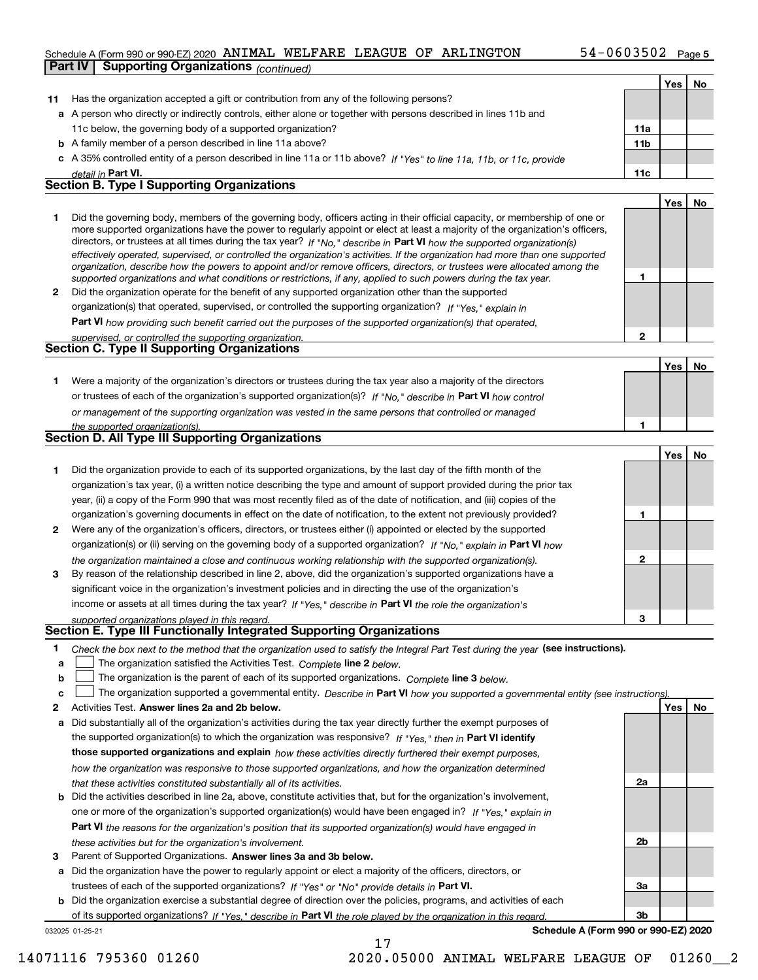## Schedule A (Form 990 or 990-EZ) 2020  $\,$  ANIMAL WELFARE LEAGUE OF  $\,$  ARLINGTON  $\,$   $\,$  54  $-$  0603502  $\,$  Page

|              | <b>Supporting Organizations (continued)</b><br>Part IV                                                                                                                                                                                                     |                 |     |    |
|--------------|------------------------------------------------------------------------------------------------------------------------------------------------------------------------------------------------------------------------------------------------------------|-----------------|-----|----|
|              |                                                                                                                                                                                                                                                            |                 | Yes | No |
| 11           | Has the organization accepted a gift or contribution from any of the following persons?                                                                                                                                                                    |                 |     |    |
|              | a A person who directly or indirectly controls, either alone or together with persons described in lines 11b and                                                                                                                                           |                 |     |    |
|              | 11c below, the governing body of a supported organization?                                                                                                                                                                                                 | 11a             |     |    |
|              | <b>b</b> A family member of a person described in line 11a above?                                                                                                                                                                                          | 11 <sub>b</sub> |     |    |
|              | c A 35% controlled entity of a person described in line 11a or 11b above? If "Yes" to line 11a, 11b, or 11c, provide                                                                                                                                       |                 |     |    |
|              | detail in Part VI.                                                                                                                                                                                                                                         | 11c             |     |    |
|              | <b>Section B. Type I Supporting Organizations</b>                                                                                                                                                                                                          |                 |     |    |
|              |                                                                                                                                                                                                                                                            |                 | Yes | No |
| 1.           | Did the governing body, members of the governing body, officers acting in their official capacity, or membership of one or                                                                                                                                 |                 |     |    |
|              | more supported organizations have the power to regularly appoint or elect at least a majority of the organization's officers,                                                                                                                              |                 |     |    |
|              | directors, or trustees at all times during the tax year? If "No," describe in Part VI how the supported organization(s)                                                                                                                                    |                 |     |    |
|              | effectively operated, supervised, or controlled the organization's activities. If the organization had more than one supported<br>organization, describe how the powers to appoint and/or remove officers, directors, or trustees were allocated among the |                 |     |    |
|              | supported organizations and what conditions or restrictions, if any, applied to such powers during the tax year.                                                                                                                                           | 1               |     |    |
| $\mathbf{2}$ | Did the organization operate for the benefit of any supported organization other than the supported                                                                                                                                                        |                 |     |    |
|              | organization(s) that operated, supervised, or controlled the supporting organization? If "Yes," explain in                                                                                                                                                 |                 |     |    |
|              | <b>Part VI</b> how providing such benefit carried out the purposes of the supported organization(s) that operated,                                                                                                                                         |                 |     |    |
|              | supervised, or controlled the supporting organization.                                                                                                                                                                                                     | $\mathbf{2}$    |     |    |
|              | Section C. Type II Supporting Organizations                                                                                                                                                                                                                |                 |     |    |
|              |                                                                                                                                                                                                                                                            |                 | Yes | No |
| 1.           | Were a majority of the organization's directors or trustees during the tax year also a majority of the directors                                                                                                                                           |                 |     |    |
|              | or trustees of each of the organization's supported organization(s)? If "No," describe in Part VI how control                                                                                                                                              |                 |     |    |
|              | or management of the supporting organization was vested in the same persons that controlled or managed                                                                                                                                                     |                 |     |    |
|              | the supported organization(s).                                                                                                                                                                                                                             | 1               |     |    |
|              | Section D. All Type III Supporting Organizations                                                                                                                                                                                                           |                 |     |    |
|              |                                                                                                                                                                                                                                                            |                 | Yes | No |
| 1            | Did the organization provide to each of its supported organizations, by the last day of the fifth month of the                                                                                                                                             |                 |     |    |
|              | organization's tax year, (i) a written notice describing the type and amount of support provided during the prior tax                                                                                                                                      |                 |     |    |
|              | year, (ii) a copy of the Form 990 that was most recently filed as of the date of notification, and (iii) copies of the                                                                                                                                     |                 |     |    |
|              | organization's governing documents in effect on the date of notification, to the extent not previously provided?                                                                                                                                           | 1               |     |    |
| 2            | Were any of the organization's officers, directors, or trustees either (i) appointed or elected by the supported                                                                                                                                           |                 |     |    |
|              | organization(s) or (ii) serving on the governing body of a supported organization? If "No," explain in Part VI how                                                                                                                                         |                 |     |    |
|              | the organization maintained a close and continuous working relationship with the supported organization(s).                                                                                                                                                | $\mathbf{2}$    |     |    |
| 3            | By reason of the relationship described in line 2, above, did the organization's supported organizations have a                                                                                                                                            |                 |     |    |
|              | significant voice in the organization's investment policies and in directing the use of the organization's                                                                                                                                                 |                 |     |    |
|              | income or assets at all times during the tax year? If "Yes," describe in Part VI the role the organization's                                                                                                                                               |                 |     |    |
|              | supported organizations played in this regard.<br>Section E. Type III Functionally Integrated Supporting Organizations                                                                                                                                     | з               |     |    |
| 1            |                                                                                                                                                                                                                                                            |                 |     |    |
| a            | Check the box next to the method that the organization used to satisfy the Integral Part Test during the year (see instructions).<br>The organization satisfied the Activities Test. Complete line 2 below.                                                |                 |     |    |
| b            | The organization is the parent of each of its supported organizations. Complete line 3 below.                                                                                                                                                              |                 |     |    |
| c            | The organization supported a governmental entity. Describe in Part VI how you supported a governmental entity (see instructions).                                                                                                                          |                 |     |    |
| 2            | Activities Test. Answer lines 2a and 2b below.                                                                                                                                                                                                             |                 | Yes | No |
| a            | Did substantially all of the organization's activities during the tax year directly further the exempt purposes of                                                                                                                                         |                 |     |    |
|              | the supported organization(s) to which the organization was responsive? If "Yes," then in Part VI identify                                                                                                                                                 |                 |     |    |
|              | those supported organizations and explain how these activities directly furthered their exempt purposes,                                                                                                                                                   |                 |     |    |
|              | how the organization was responsive to those supported organizations, and how the organization determined                                                                                                                                                  |                 |     |    |
|              | that these activities constituted substantially all of its activities.                                                                                                                                                                                     | 2a              |     |    |
|              | <b>b</b> Did the activities described in line 2a, above, constitute activities that, but for the organization's involvement,                                                                                                                               |                 |     |    |
|              | one or more of the organization's supported organization(s) would have been engaged in? If "Yes," explain in                                                                                                                                               |                 |     |    |
|              | <b>Part VI</b> the reasons for the organization's position that its supported organization(s) would have engaged in                                                                                                                                        |                 |     |    |
|              | these activities but for the organization's involvement.                                                                                                                                                                                                   | 2b              |     |    |
| З            | Parent of Supported Organizations. Answer lines 3a and 3b below.                                                                                                                                                                                           |                 |     |    |

**a** Did the organization have the power to regularly appoint or elect a majority of the officers, directors, or trustees of each of the supported organizations? If "Yes" or "No" provide details in P**art VI.** 

**b** Did the organization exercise a substantial degree of direction over the policies, programs, and activities of each of its supported organizations? If "Yes," describe in Part VI the role played by the organization in this regard.

17

032025 01-25-21

**Schedule A (Form 990 or 990-EZ) 2020**

**3a**

**3b**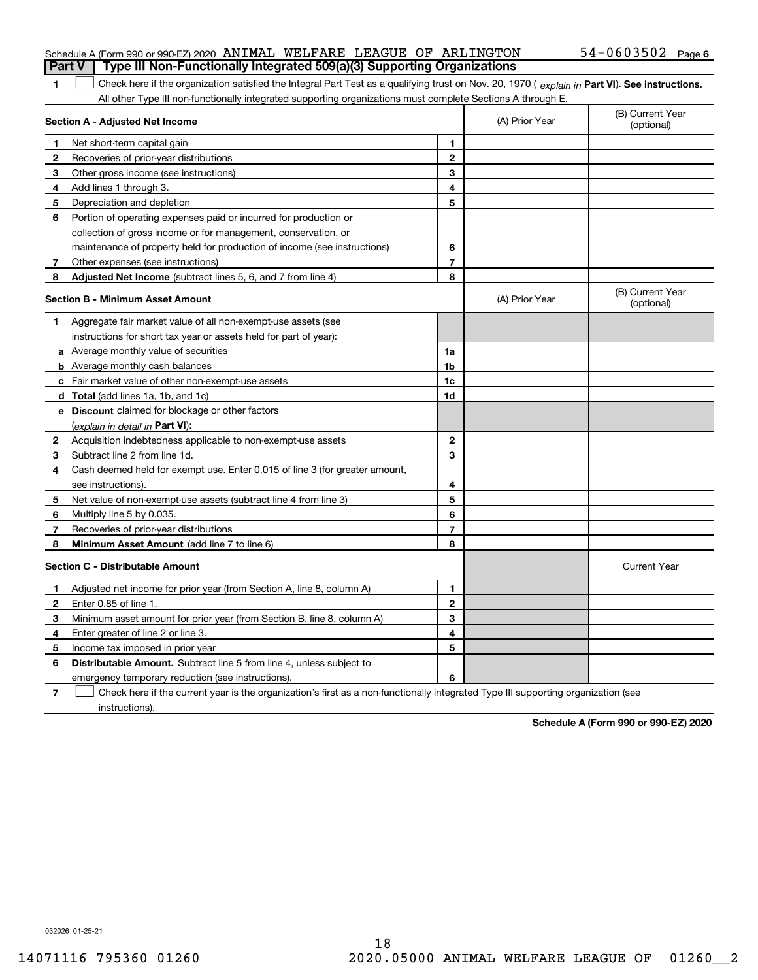## Schedule A (Form 990 or 990-EZ) 2020  $\,$  ANIMAL WELFARE LEAGUE OF  $\,$  ARLINGTON  $\,$   $\,$  54  $-$  0603502  $\,$  Page **Part V Type III Non-Functionally Integrated 509(a)(3) Supporting Organizations**

1 Check here if the organization satisfied the Integral Part Test as a qualifying trust on Nov. 20, 1970 (explain in Part VI). See instructions. All other Type III non-functionally integrated supporting organizations must complete Sections A through E.

|              | Section A - Adjusted Net Income                                                                                                   |                | (A) Prior Year | (B) Current Year<br>(optional) |
|--------------|-----------------------------------------------------------------------------------------------------------------------------------|----------------|----------------|--------------------------------|
| 1            | Net short-term capital gain                                                                                                       | 1              |                |                                |
| 2            | Recoveries of prior-year distributions                                                                                            | $\mathbf{2}$   |                |                                |
| 3            | Other gross income (see instructions)                                                                                             | 3              |                |                                |
| 4            | Add lines 1 through 3.                                                                                                            | 4              |                |                                |
| 5            | Depreciation and depletion                                                                                                        | 5              |                |                                |
| 6            | Portion of operating expenses paid or incurred for production or                                                                  |                |                |                                |
|              | collection of gross income or for management, conservation, or                                                                    |                |                |                                |
|              | maintenance of property held for production of income (see instructions)                                                          | 6              |                |                                |
| 7            | Other expenses (see instructions)                                                                                                 | $\overline{7}$ |                |                                |
| 8            | Adjusted Net Income (subtract lines 5, 6, and 7 from line 4)                                                                      | 8              |                |                                |
|              | <b>Section B - Minimum Asset Amount</b>                                                                                           |                | (A) Prior Year | (B) Current Year<br>(optional) |
| 1.           | Aggregate fair market value of all non-exempt-use assets (see                                                                     |                |                |                                |
|              | instructions for short tax year or assets held for part of year):                                                                 |                |                |                                |
|              | a Average monthly value of securities                                                                                             | 1a             |                |                                |
|              | <b>b</b> Average monthly cash balances                                                                                            | 1 <sub>b</sub> |                |                                |
|              | c Fair market value of other non-exempt-use assets                                                                                | 1c             |                |                                |
|              | d Total (add lines 1a, 1b, and 1c)                                                                                                | 1d             |                |                                |
|              | e Discount claimed for blockage or other factors                                                                                  |                |                |                                |
|              | (explain in detail in Part VI):                                                                                                   |                |                |                                |
| $\mathbf{2}$ | Acquisition indebtedness applicable to non-exempt-use assets                                                                      | $\mathbf{2}$   |                |                                |
| 3            | Subtract line 2 from line 1d.                                                                                                     | 3              |                |                                |
| 4            | Cash deemed held for exempt use. Enter 0.015 of line 3 (for greater amount,                                                       |                |                |                                |
|              | see instructions).                                                                                                                | 4              |                |                                |
| 5            | Net value of non-exempt-use assets (subtract line 4 from line 3)                                                                  | 5              |                |                                |
| 6            | Multiply line 5 by 0.035.                                                                                                         | 6              |                |                                |
| 7            | Recoveries of prior-year distributions                                                                                            | $\overline{7}$ |                |                                |
| 8            | Minimum Asset Amount (add line 7 to line 6)                                                                                       | 8              |                |                                |
|              | <b>Section C - Distributable Amount</b>                                                                                           |                |                | <b>Current Year</b>            |
| 1            | Adjusted net income for prior year (from Section A, line 8, column A)                                                             | 1              |                |                                |
| 2            | Enter 0.85 of line 1.                                                                                                             | $\overline{2}$ |                |                                |
| 3            | Minimum asset amount for prior year (from Section B, line 8, column A)                                                            | 3              |                |                                |
| 4            | Enter greater of line 2 or line 3.                                                                                                | 4              |                |                                |
| 5            | Income tax imposed in prior year                                                                                                  | 5              |                |                                |
| 6            | <b>Distributable Amount.</b> Subtract line 5 from line 4, unless subject to                                                       |                |                |                                |
|              | emergency temporary reduction (see instructions).                                                                                 | 6              |                |                                |
| 7            | Check here if the current year is the organization's first as a non-functionally integrated Type III supporting organization (see |                |                |                                |

instructions).

**1**

**Schedule A (Form 990 or 990-EZ) 2020**

032026 01-25-21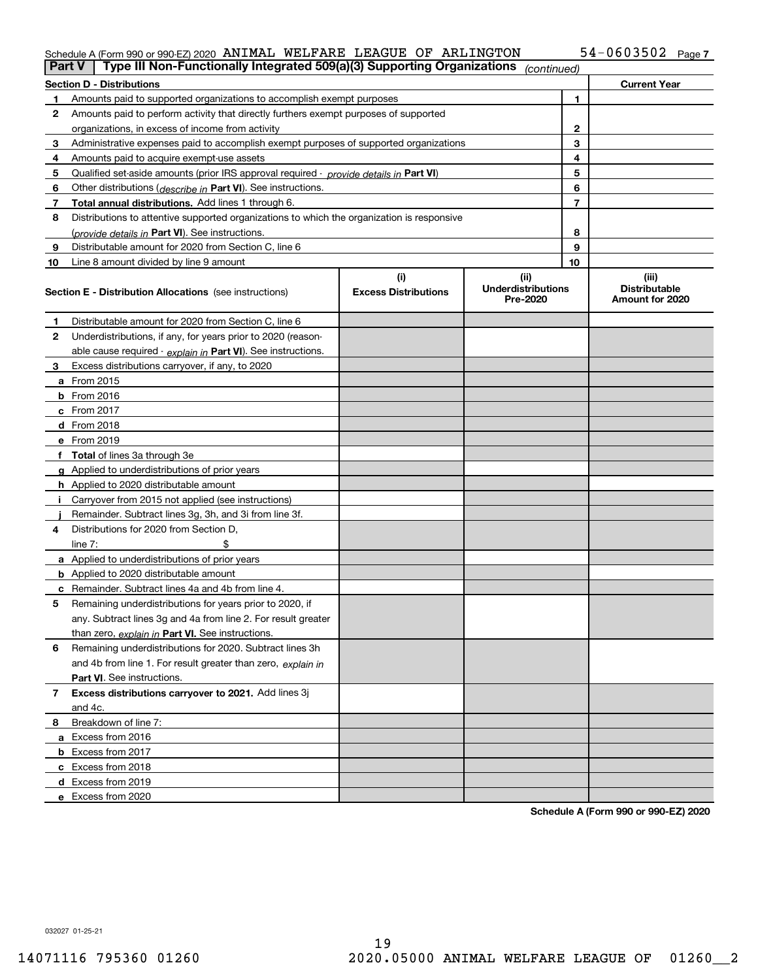### Schedule A (Form 990 or 990-EZ) 2020 AN IMAL WELFARE LEAGUE OF ARLINGTON 54-U6U35UZ Page ANIMAL WELFARE LEAGUE OF ARLINGTON 54-0603502

| <b>Part V</b>  | Type III Non-Functionally Integrated 509(a)(3) Supporting Organizations                    |                                    | (continued)                                   |              |                                                  |
|----------------|--------------------------------------------------------------------------------------------|------------------------------------|-----------------------------------------------|--------------|--------------------------------------------------|
|                | <b>Section D - Distributions</b>                                                           |                                    |                                               |              | <b>Current Year</b>                              |
| 1.             | Amounts paid to supported organizations to accomplish exempt purposes                      |                                    |                                               | 1            |                                                  |
| 2              | Amounts paid to perform activity that directly furthers exempt purposes of supported       |                                    |                                               |              |                                                  |
|                | organizations, in excess of income from activity                                           |                                    |                                               | $\mathbf{2}$ |                                                  |
| 3              | Administrative expenses paid to accomplish exempt purposes of supported organizations      |                                    |                                               | 3            |                                                  |
| 4              | Amounts paid to acquire exempt-use assets                                                  |                                    |                                               | 4            |                                                  |
| 5              | Qualified set-aside amounts (prior IRS approval required - provide details in Part VI)     |                                    |                                               | 5            |                                                  |
| 6              | Other distributions ( <i>describe in</i> Part VI). See instructions.                       |                                    |                                               | 6            |                                                  |
| 7              | Total annual distributions. Add lines 1 through 6.                                         |                                    |                                               | 7            |                                                  |
| 8              | Distributions to attentive supported organizations to which the organization is responsive |                                    |                                               |              |                                                  |
|                | (provide details in Part VI). See instructions.                                            |                                    |                                               | 8            |                                                  |
| 9              | Distributable amount for 2020 from Section C, line 6                                       |                                    |                                               | 9            |                                                  |
| 10             | Line 8 amount divided by line 9 amount                                                     |                                    |                                               | 10           |                                                  |
|                | <b>Section E - Distribution Allocations</b> (see instructions)                             | (i)<br><b>Excess Distributions</b> | (ii)<br><b>Underdistributions</b><br>Pre-2020 |              | (iii)<br><b>Distributable</b><br>Amount for 2020 |
| 1              | Distributable amount for 2020 from Section C, line 6                                       |                                    |                                               |              |                                                  |
| 2              | Underdistributions, if any, for years prior to 2020 (reason-                               |                                    |                                               |              |                                                  |
|                | able cause required - explain in Part VI). See instructions.                               |                                    |                                               |              |                                                  |
| 3              | Excess distributions carryover, if any, to 2020                                            |                                    |                                               |              |                                                  |
|                | a From 2015                                                                                |                                    |                                               |              |                                                  |
|                | <b>b</b> From 2016                                                                         |                                    |                                               |              |                                                  |
|                | $c$ From 2017                                                                              |                                    |                                               |              |                                                  |
|                | d From 2018                                                                                |                                    |                                               |              |                                                  |
|                | e From 2019                                                                                |                                    |                                               |              |                                                  |
|                | f Total of lines 3a through 3e                                                             |                                    |                                               |              |                                                  |
|                | g Applied to underdistributions of prior years                                             |                                    |                                               |              |                                                  |
|                | <b>h</b> Applied to 2020 distributable amount                                              |                                    |                                               |              |                                                  |
|                | Carryover from 2015 not applied (see instructions)                                         |                                    |                                               |              |                                                  |
|                | Remainder. Subtract lines 3g, 3h, and 3i from line 3f.                                     |                                    |                                               |              |                                                  |
| 4              | Distributions for 2020 from Section D,                                                     |                                    |                                               |              |                                                  |
|                | line $7:$                                                                                  |                                    |                                               |              |                                                  |
|                | a Applied to underdistributions of prior years                                             |                                    |                                               |              |                                                  |
|                | <b>b</b> Applied to 2020 distributable amount                                              |                                    |                                               |              |                                                  |
|                | c Remainder. Subtract lines 4a and 4b from line 4.                                         |                                    |                                               |              |                                                  |
| 5              | Remaining underdistributions for years prior to 2020, if                                   |                                    |                                               |              |                                                  |
|                | any. Subtract lines 3g and 4a from line 2. For result greater                              |                                    |                                               |              |                                                  |
|                | than zero, explain in Part VI. See instructions.                                           |                                    |                                               |              |                                                  |
| 6              | Remaining underdistributions for 2020. Subtract lines 3h                                   |                                    |                                               |              |                                                  |
|                | and 4b from line 1. For result greater than zero, explain in                               |                                    |                                               |              |                                                  |
|                | Part VI. See instructions.                                                                 |                                    |                                               |              |                                                  |
| $\overline{7}$ | Excess distributions carryover to 2021. Add lines 3j                                       |                                    |                                               |              |                                                  |
|                | and 4c.                                                                                    |                                    |                                               |              |                                                  |
| 8              | Breakdown of line 7:                                                                       |                                    |                                               |              |                                                  |
|                | a Excess from 2016                                                                         |                                    |                                               |              |                                                  |
|                | <b>b</b> Excess from 2017                                                                  |                                    |                                               |              |                                                  |
|                | c Excess from 2018                                                                         |                                    |                                               |              |                                                  |
|                | d Excess from 2019                                                                         |                                    |                                               |              |                                                  |
|                | e Excess from 2020                                                                         |                                    |                                               |              |                                                  |

**Schedule A (Form 990 or 990-EZ) 2020**

032027 01-25-21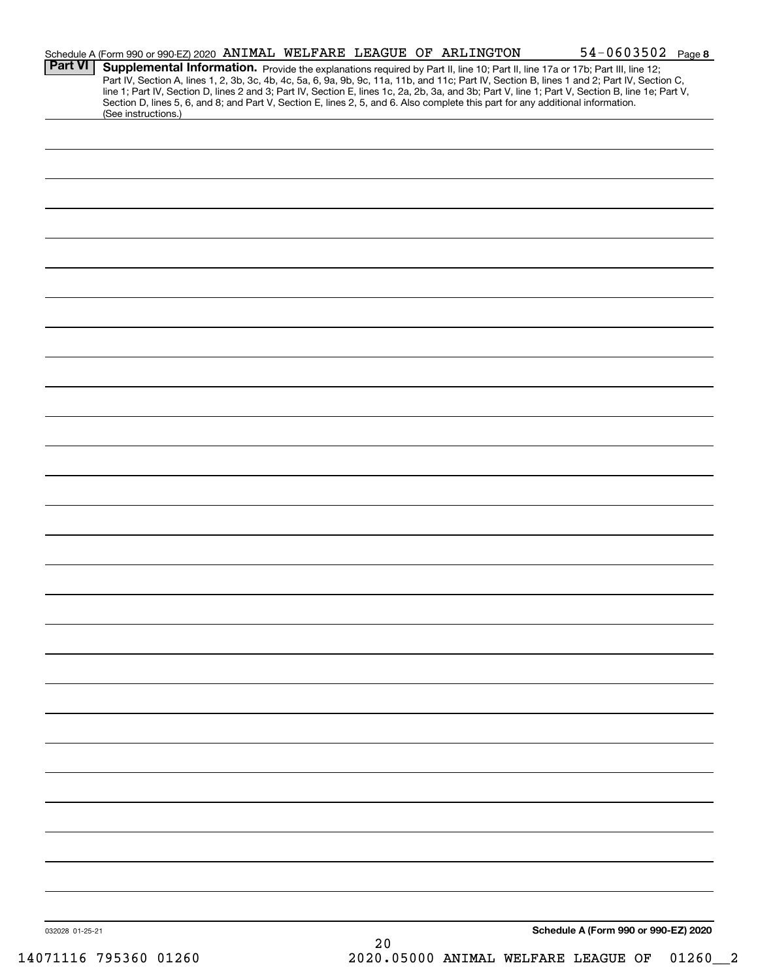| <b>Part VI</b>  | Schedule A (Form 990 or 990-EZ) 2020 ANIMAL WELFARE LEAGUE OF ARLINGTON |    | $54 - 0603502$ Page 8<br>Supplemental Information. Provide the explanations required by Part II, line 10; Part II, line 17a or 17b; Part III, line 12;<br>Part IV, Section A, lines 1, 2, 3b, 3c, 4b, 4c, 5a, 6, 9a, 9b, 9c, 11a, 11b, and 11c; Part IV, Section B, lines 1 and 2; Part IV, Section C,<br>line 1; Part IV, Section D, lines 2 and 3; Part IV, Section E, lines 1c, 2a, 2b, 3a, and 3b; Part V, line 1; Part V, Section B, line 1e; Part V,<br>Section D, lines 5, 6, and 8; and Part V, Section E, lines 2, 5, and 6. Also complete this part for any additional information. |  |
|-----------------|-------------------------------------------------------------------------|----|-----------------------------------------------------------------------------------------------------------------------------------------------------------------------------------------------------------------------------------------------------------------------------------------------------------------------------------------------------------------------------------------------------------------------------------------------------------------------------------------------------------------------------------------------------------------------------------------------|--|
|                 | (See instructions.)                                                     |    |                                                                                                                                                                                                                                                                                                                                                                                                                                                                                                                                                                                               |  |
|                 |                                                                         |    |                                                                                                                                                                                                                                                                                                                                                                                                                                                                                                                                                                                               |  |
|                 |                                                                         |    |                                                                                                                                                                                                                                                                                                                                                                                                                                                                                                                                                                                               |  |
|                 |                                                                         |    |                                                                                                                                                                                                                                                                                                                                                                                                                                                                                                                                                                                               |  |
|                 |                                                                         |    |                                                                                                                                                                                                                                                                                                                                                                                                                                                                                                                                                                                               |  |
|                 |                                                                         |    |                                                                                                                                                                                                                                                                                                                                                                                                                                                                                                                                                                                               |  |
|                 |                                                                         |    |                                                                                                                                                                                                                                                                                                                                                                                                                                                                                                                                                                                               |  |
|                 |                                                                         |    |                                                                                                                                                                                                                                                                                                                                                                                                                                                                                                                                                                                               |  |
|                 |                                                                         |    |                                                                                                                                                                                                                                                                                                                                                                                                                                                                                                                                                                                               |  |
|                 |                                                                         |    |                                                                                                                                                                                                                                                                                                                                                                                                                                                                                                                                                                                               |  |
|                 |                                                                         |    |                                                                                                                                                                                                                                                                                                                                                                                                                                                                                                                                                                                               |  |
|                 |                                                                         |    |                                                                                                                                                                                                                                                                                                                                                                                                                                                                                                                                                                                               |  |
|                 |                                                                         |    |                                                                                                                                                                                                                                                                                                                                                                                                                                                                                                                                                                                               |  |
|                 |                                                                         |    |                                                                                                                                                                                                                                                                                                                                                                                                                                                                                                                                                                                               |  |
|                 |                                                                         |    |                                                                                                                                                                                                                                                                                                                                                                                                                                                                                                                                                                                               |  |
|                 |                                                                         |    |                                                                                                                                                                                                                                                                                                                                                                                                                                                                                                                                                                                               |  |
|                 |                                                                         |    |                                                                                                                                                                                                                                                                                                                                                                                                                                                                                                                                                                                               |  |
|                 |                                                                         |    |                                                                                                                                                                                                                                                                                                                                                                                                                                                                                                                                                                                               |  |
|                 |                                                                         |    |                                                                                                                                                                                                                                                                                                                                                                                                                                                                                                                                                                                               |  |
|                 |                                                                         |    |                                                                                                                                                                                                                                                                                                                                                                                                                                                                                                                                                                                               |  |
|                 |                                                                         |    |                                                                                                                                                                                                                                                                                                                                                                                                                                                                                                                                                                                               |  |
|                 |                                                                         |    |                                                                                                                                                                                                                                                                                                                                                                                                                                                                                                                                                                                               |  |
|                 |                                                                         |    |                                                                                                                                                                                                                                                                                                                                                                                                                                                                                                                                                                                               |  |
|                 |                                                                         |    |                                                                                                                                                                                                                                                                                                                                                                                                                                                                                                                                                                                               |  |
|                 |                                                                         |    |                                                                                                                                                                                                                                                                                                                                                                                                                                                                                                                                                                                               |  |
|                 |                                                                         |    |                                                                                                                                                                                                                                                                                                                                                                                                                                                                                                                                                                                               |  |
|                 |                                                                         |    |                                                                                                                                                                                                                                                                                                                                                                                                                                                                                                                                                                                               |  |
|                 |                                                                         |    |                                                                                                                                                                                                                                                                                                                                                                                                                                                                                                                                                                                               |  |
|                 |                                                                         |    |                                                                                                                                                                                                                                                                                                                                                                                                                                                                                                                                                                                               |  |
| 032028 01-25-21 |                                                                         | 20 | Schedule A (Form 990 or 990-EZ) 2020                                                                                                                                                                                                                                                                                                                                                                                                                                                                                                                                                          |  |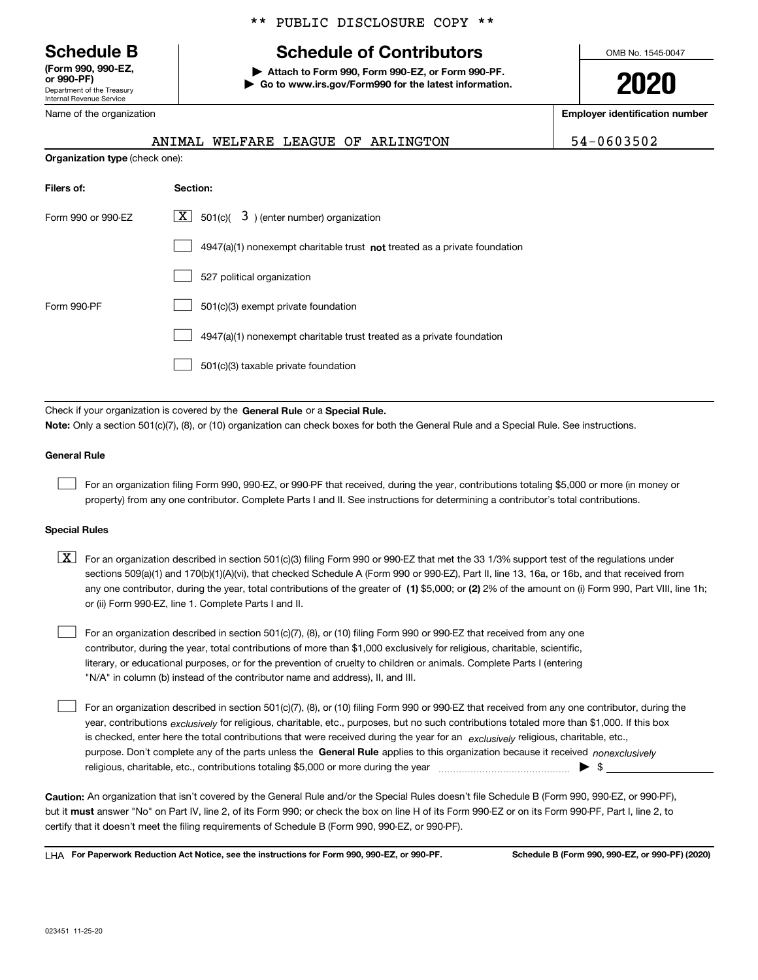Department of the Treasury Internal Revenue Service **(Form 990, 990-EZ, or 990-PF)**

Name of the organization

## \*\* PUBLIC DISCLOSURE COPY \*\*

## **Schedule B Schedule of Contributors**

**| Attach to Form 990, Form 990-EZ, or Form 990-PF. | Go to www.irs.gov/Form990 for the latest information.** OMB No. 1545-0047

**2020**

**Employer identification number**

|  |  | ANIMAL WELFARE LEAGUE OF ARLINGTON | 54-0603502 |
|--|--|------------------------------------|------------|
|  |  |                                    |            |

**Organization type** (check one):

| Filers of:         | Section:                                                                    |
|--------------------|-----------------------------------------------------------------------------|
| Form 990 or 990-EZ | $X$ 501(c)( 3) (enter number) organization                                  |
|                    | $4947(a)(1)$ nonexempt charitable trust not treated as a private foundation |
|                    | 527 political organization                                                  |
| Form 990-PF        | 501(c)(3) exempt private foundation                                         |
|                    | 4947(a)(1) nonexempt charitable trust treated as a private foundation       |
|                    | 501(c)(3) taxable private foundation                                        |

Check if your organization is covered by the **General Rule** or a **Special Rule. Note:**  Only a section 501(c)(7), (8), or (10) organization can check boxes for both the General Rule and a Special Rule. See instructions.

## **General Rule**

 $\mathcal{L}^{\text{max}}$ 

For an organization filing Form 990, 990-EZ, or 990-PF that received, during the year, contributions totaling \$5,000 or more (in money or property) from any one contributor. Complete Parts I and II. See instructions for determining a contributor's total contributions.

## **Special Rules**

any one contributor, during the year, total contributions of the greater of  $\,$  (1) \$5,000; or **(2)** 2% of the amount on (i) Form 990, Part VIII, line 1h;  $\boxed{\textbf{X}}$  For an organization described in section 501(c)(3) filing Form 990 or 990-EZ that met the 33 1/3% support test of the regulations under sections 509(a)(1) and 170(b)(1)(A)(vi), that checked Schedule A (Form 990 or 990-EZ), Part II, line 13, 16a, or 16b, and that received from or (ii) Form 990-EZ, line 1. Complete Parts I and II.

For an organization described in section 501(c)(7), (8), or (10) filing Form 990 or 990-EZ that received from any one contributor, during the year, total contributions of more than \$1,000 exclusively for religious, charitable, scientific, literary, or educational purposes, or for the prevention of cruelty to children or animals. Complete Parts I (entering "N/A" in column (b) instead of the contributor name and address), II, and III.  $\mathcal{L}^{\text{max}}$ 

purpose. Don't complete any of the parts unless the **General Rule** applies to this organization because it received *nonexclusively* year, contributions <sub>exclusively</sub> for religious, charitable, etc., purposes, but no such contributions totaled more than \$1,000. If this box is checked, enter here the total contributions that were received during the year for an  $\;$ exclusively religious, charitable, etc., For an organization described in section 501(c)(7), (8), or (10) filing Form 990 or 990-EZ that received from any one contributor, during the religious, charitable, etc., contributions totaling \$5,000 or more during the year  $\Box$ — $\Box$   $\Box$  $\mathcal{L}^{\text{max}}$ 

**Caution:**  An organization that isn't covered by the General Rule and/or the Special Rules doesn't file Schedule B (Form 990, 990-EZ, or 990-PF),  **must** but it answer "No" on Part IV, line 2, of its Form 990; or check the box on line H of its Form 990-EZ or on its Form 990-PF, Part I, line 2, to certify that it doesn't meet the filing requirements of Schedule B (Form 990, 990-EZ, or 990-PF).

**For Paperwork Reduction Act Notice, see the instructions for Form 990, 990-EZ, or 990-PF. Schedule B (Form 990, 990-EZ, or 990-PF) (2020)** LHA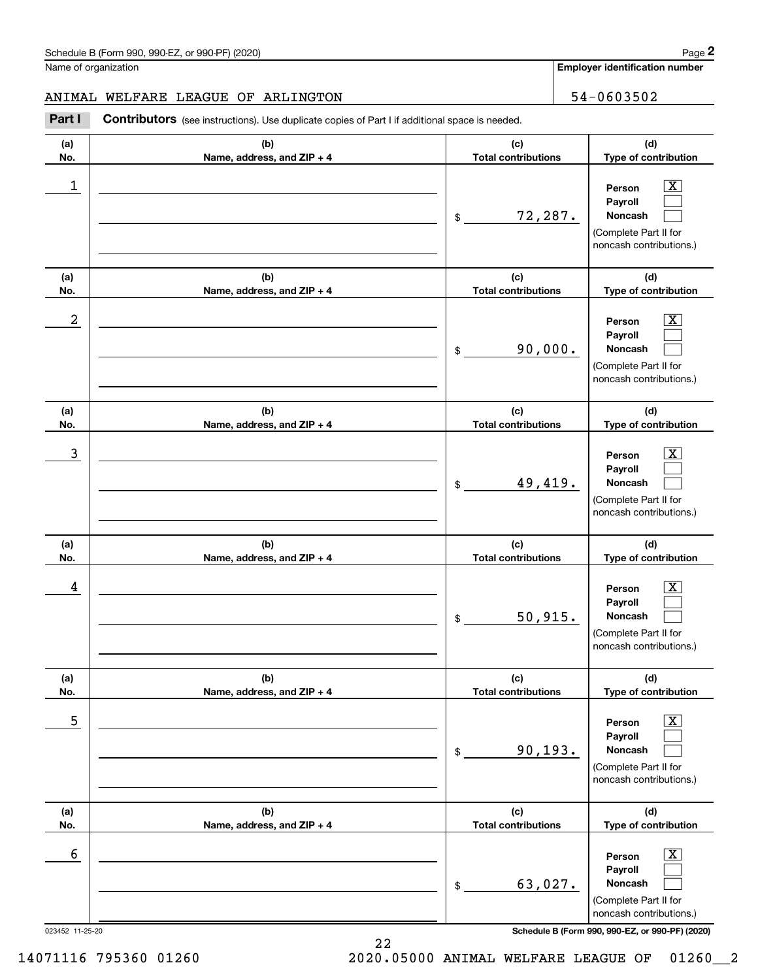**Employer identification number**

## ANIMAL WELFARE LEAGUE OF ARLINGTON 54-0603502

Chedule B (Form 990, 990-EZ, or 990-PF) (2020)<br>
lame of organization<br> **29 MIMAL WELFARE LEAGUE OF ARLINGTON**<br>
29 MIMAL WELFARE LEAGUE OF ARLINGTON<br>
29 MIMAL WELFARE LEAGUE OF ARLINGTON<br>
29 MIMAL Contributors (see instructi

| (a)<br>No.           | (b)<br>Name, address, and ZIP + 4 | (c)<br><b>Total contributions</b> | (d)<br>Type of contribution                                                                                                                                    |
|----------------------|-----------------------------------|-----------------------------------|----------------------------------------------------------------------------------------------------------------------------------------------------------------|
| 1                    |                                   | 72,287.<br>\$                     | $\overline{\text{X}}$<br>Person<br>Payroll<br>Noncash<br>(Complete Part II for<br>noncash contributions.)                                                      |
| (a)<br>No.           | (b)<br>Name, address, and ZIP + 4 | (c)<br><b>Total contributions</b> | (d)<br>Type of contribution                                                                                                                                    |
| 2                    |                                   | 90,000.<br>\$                     | $\overline{\mathbf{x}}$<br>Person<br>Payroll<br>Noncash<br>(Complete Part II for<br>noncash contributions.)                                                    |
| (a)<br>No.           | (b)<br>Name, address, and ZIP + 4 | (c)<br><b>Total contributions</b> | (d)<br>Type of contribution                                                                                                                                    |
| 3                    |                                   | 49,419.<br>\$                     | $\overline{\text{X}}$<br>Person<br>Payroll<br>Noncash<br>(Complete Part II for<br>noncash contributions.)                                                      |
| (a)<br>No.           | (b)<br>Name, address, and ZIP + 4 | (c)<br><b>Total contributions</b> | (d)<br>Type of contribution                                                                                                                                    |
| 4                    |                                   | 50,915.<br>\$                     | $\overline{\mathbf{X}}$<br>Person<br>Payroll<br>Noncash<br>(Complete Part II for<br>noncash contributions.)                                                    |
| (a)<br>No.           | (b)<br>Name, address, and ZIP + 4 | (c)<br><b>Total contributions</b> | (d)<br>Type of contribution                                                                                                                                    |
| 5                    |                                   | 90, 193.<br>\$                    | $\boxed{\text{X}}$<br>Person<br>Payroll<br>Noncash<br>(Complete Part II for<br>noncash contributions.)                                                         |
| (a)<br>No.           | (b)<br>Name, address, and ZIP + 4 | (c)<br><b>Total contributions</b> | (d)<br>Type of contribution                                                                                                                                    |
| 6<br>023452 11-25-20 |                                   | 63,027.<br>\$                     | $\overline{\mathbf{X}}$<br>Person<br>Payroll<br>Noncash<br>(Complete Part II for<br>noncash contributions.)<br>Schedule B (Form 990, 990-EZ, or 990-PF) (2020) |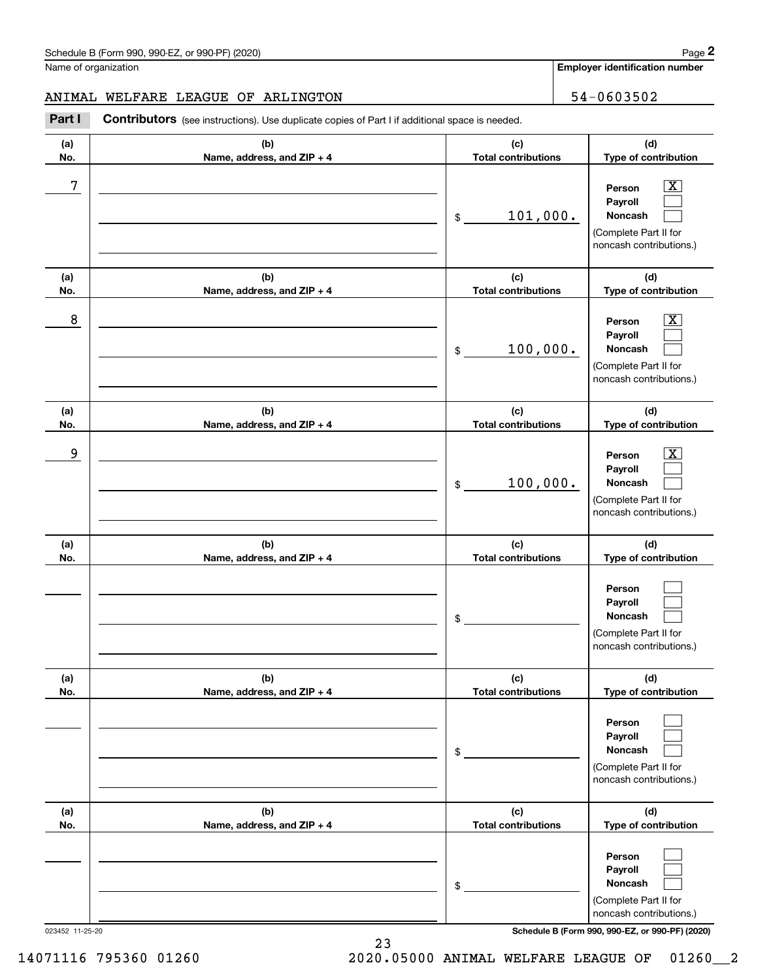**Employer identification number**

## ANIMAL WELFARE LEAGUE OF ARLINGTON 54-0603502

Contributors (see instructions). Use duplicate copies of Part I if additional space is needed. Chedule B (Form 990, 990-EZ, or 990-PF) (2020)<br>Iame of organization<br>**2Part I 2Part I 2Part I Contributors** (see instructions). Use duplicate copies of Part I if additional space is needed.

| (a)        | (b)                                 | (c)                               | (d)                                                                                   |
|------------|-------------------------------------|-----------------------------------|---------------------------------------------------------------------------------------|
| No.        | Name, address, and ZIP + 4          | <b>Total contributions</b>        | Type of contribution                                                                  |
| 7          |                                     | 101,000.<br>$\$$                  | Person<br>x<br>Payroll<br>Noncash<br>(Complete Part II for<br>noncash contributions.) |
| (a)<br>No. | (b)<br>Name, address, and ZIP + 4   | (c)<br><b>Total contributions</b> | (d)<br>Type of contribution                                                           |
| 8          |                                     | 100,000.<br>\$                    | Person<br>Payroll<br>Noncash<br>(Complete Part II for<br>noncash contributions.)      |
| (a)<br>No. | (b)<br>Name, address, and ZIP + 4   | (c)<br><b>Total contributions</b> | (d)<br>Type of contribution                                                           |
| 9          |                                     | 100,000.<br>\$                    | Person<br>Payroll<br>Noncash<br>(Complete Part II for<br>noncash contributions.)      |
| (a)<br>No. | (b)<br>Name, address, and ZIP + 4   | (c)<br><b>Total contributions</b> | (d)<br>Type of contribution                                                           |
|            |                                     | \$                                | Person<br>Payroll<br>Noncash<br>(Complete Part II for<br>noncash contributions.)      |
| (a)<br>No. | (b)<br>Name, address, and $ZIP + 4$ | (c)<br>Total contributions        | (d)<br><b>Type of contribution</b>                                                    |
|            |                                     | \$                                | Person<br>Payroll<br>Noncash<br>(Complete Part II for<br>noncash contributions.)      |
| (a)<br>No. | (b)<br>Name, address, and ZIP + 4   | (c)<br><b>Total contributions</b> | (d)<br>Type of contribution                                                           |
|            |                                     | \$                                | Person<br>Payroll<br>Noncash<br>(Complete Part II for<br>noncash contributions.)      |

023452 11-25-20 **Schedule B (Form 990, 990-EZ, or 990-PF) (2020)**

23 14071116 795360 01260 2020.05000 ANIMAL WELFARE LEAGUE OF 01260\_\_2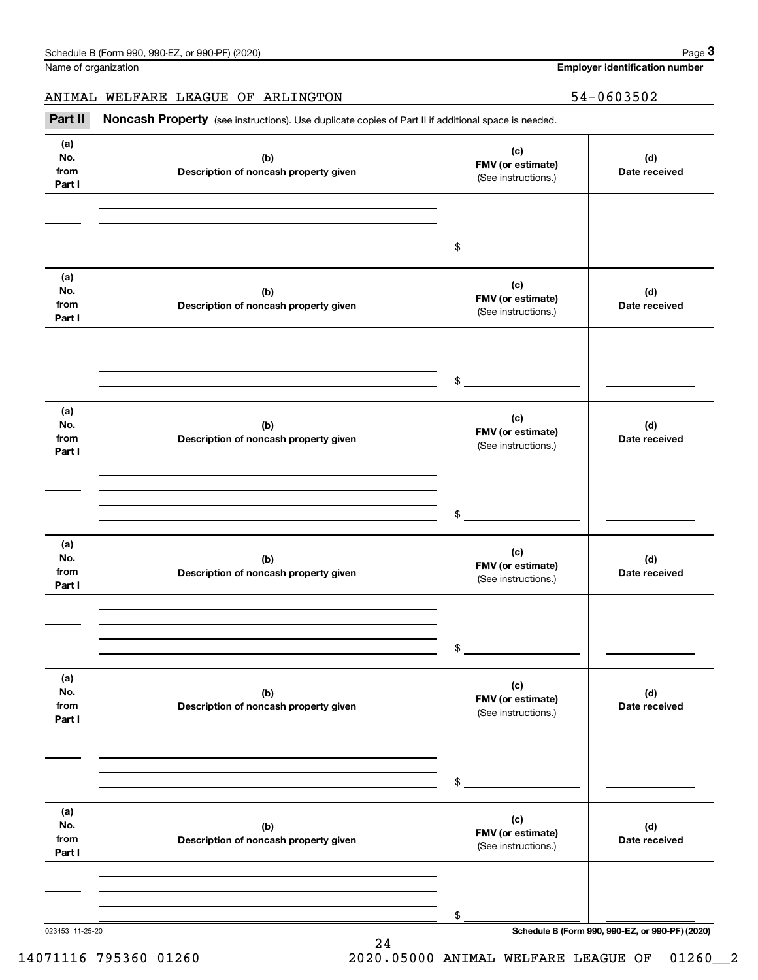**Employer identification number**

## ANIMAL WELFARE LEAGUE OF ARLINGTON 54-0603502

(see instructions). Use duplicate copies of Part II if additional space is needed.<br> **3Part II Noncash Property** (see instructions). Use duplicate copies of Part II if additional space is needed.<br> **3Part II Noncash Prop** 

| (a)<br>No.<br>(b)<br>from<br>Description of noncash property given<br>Part I<br>(a)<br>No.<br>(b) | (c)<br>FMV (or estimate)<br>(See instructions.)<br>$\frac{1}{2}$ | (d)<br>Date received                            |
|---------------------------------------------------------------------------------------------------|------------------------------------------------------------------|-------------------------------------------------|
|                                                                                                   |                                                                  |                                                 |
|                                                                                                   |                                                                  |                                                 |
| from<br>Description of noncash property given<br>Part I                                           | (c)<br>FMV (or estimate)<br>(See instructions.)                  | (d)<br>Date received                            |
|                                                                                                   | $\frac{1}{2}$                                                    |                                                 |
| (a)<br>No.<br>(b)<br>from<br>Description of noncash property given<br>Part I                      | (c)<br>FMV (or estimate)<br>(See instructions.)                  | (d)<br>Date received                            |
|                                                                                                   | $\frac{1}{2}$                                                    |                                                 |
| (a)<br>No.<br>(b)<br>from<br>Description of noncash property given<br>Part I                      | (c)<br>FMV (or estimate)<br>(See instructions.)                  | (d)<br>Date received                            |
|                                                                                                   | $\frac{1}{2}$                                                    |                                                 |
| (a)<br>No.<br>(b)<br>from<br>Description of noncash property given<br>Part I                      | (c)<br>FMV (or estimate)<br>(See instructions.)                  | (d)<br>Date received                            |
|                                                                                                   | \$                                                               |                                                 |
| (a)<br>No.<br>(b)<br>from<br>Description of noncash property given<br>Part I                      | (c)<br>FMV (or estimate)<br>(See instructions.)                  | (d)<br>Date received                            |
|                                                                                                   | \$                                                               | Schedule B (Form 990, 990-EZ, or 990-PF) (2020) |

24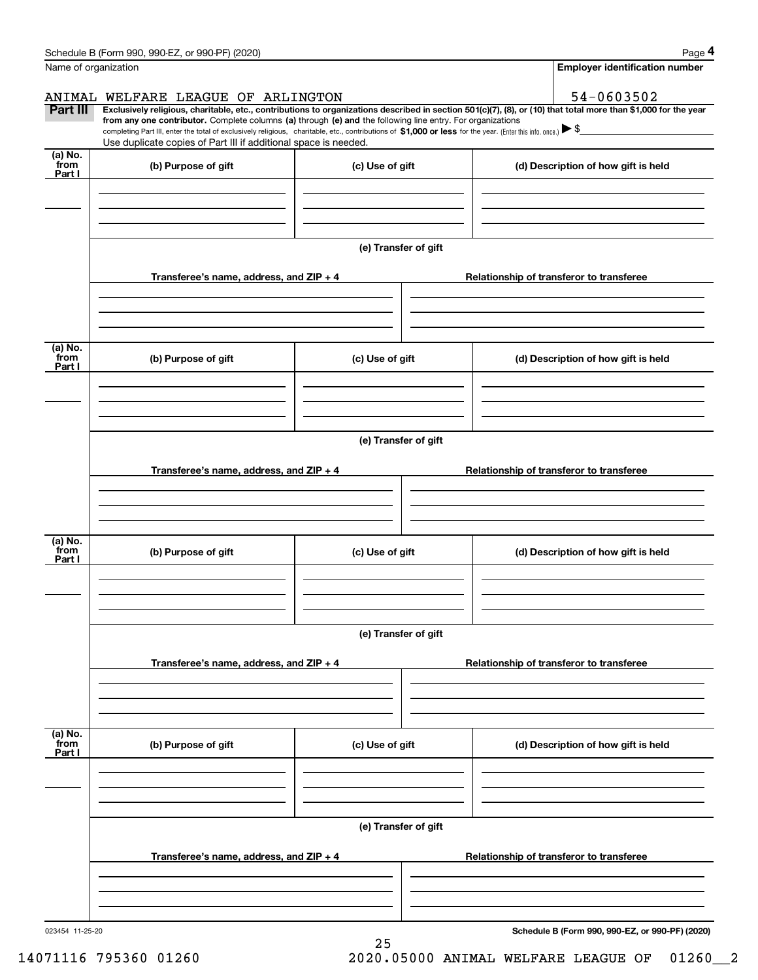| Schedule B (Form 990, 990-EZ, or 990-PF) (2020)                                                                                                                            | Page 4                                |
|----------------------------------------------------------------------------------------------------------------------------------------------------------------------------|---------------------------------------|
| Name of organization                                                                                                                                                       | <b>Employer identification number</b> |
|                                                                                                                                                                            |                                       |
| WELFARE LEAGUE OF ARLINGTON<br>ANIMAL                                                                                                                                      | 54-0603502                            |
| Part III<br>Exclusively religious, charitable, etc., contributions to organizations described in section 501(c)(7), (8), or (10) that total more than \$1,000 for the year |                                       |

Use duplicate copies of Part III if additional space is needed.

**Schedule B (Form 990, 990-EZ, or 990-PF) (2020)**

| (a) No.<br>_from<br>Part I       | (b) Purpose of gift                     | (c) Use of gift |                      | (d) Description of how gift is held      |
|----------------------------------|-----------------------------------------|-----------------|----------------------|------------------------------------------|
|                                  |                                         |                 |                      |                                          |
|                                  |                                         |                 | (e) Transfer of gift |                                          |
|                                  | Transferee's name, address, and ZIP + 4 |                 |                      | Relationship of transferor to transferee |
|                                  |                                         |                 |                      |                                          |
| (a) No.<br>_from<br>Part I       | (b) Purpose of gift                     | (c) Use of gift |                      | (d) Description of how gift is held      |
|                                  |                                         |                 | (e) Transfer of gift |                                          |
|                                  | Transferee's name, address, and ZIP + 4 |                 |                      | Relationship of transferor to transferee |
|                                  |                                         |                 |                      |                                          |
| (a) No.<br>_from<br>Part I       | (b) Purpose of gift                     | (c) Use of gift |                      | (d) Description of how gift is held      |
|                                  |                                         |                 | (e) Transfer of gift |                                          |
|                                  | Transferee's name, address, and ZIP + 4 |                 |                      | Relationship of transferor to transferee |
| (a) No.<br>from<br><u>Part I</u> | (b) Purpose of gift                     | (c) Use of gift |                      | (d) Description of how gift is held      |
|                                  |                                         |                 |                      |                                          |
|                                  |                                         |                 | (e) Transfer of gift |                                          |
|                                  | Transferee's name, address, and ZIP + 4 |                 |                      | Relationship of transferor to transferee |
|                                  |                                         |                 |                      |                                          |

25

completing Part III, enter the total of exclusively religious, charitable, etc., contributions of \$1,000 or less for the year. (Enter this info. once.)

**from any one contributor.** Complete columns (a) through (e) and the following line entry. For organizations

14071116 795360 01260 2020.05000 ANIMAL WELFARE LEAGUE OF 01260\_\_2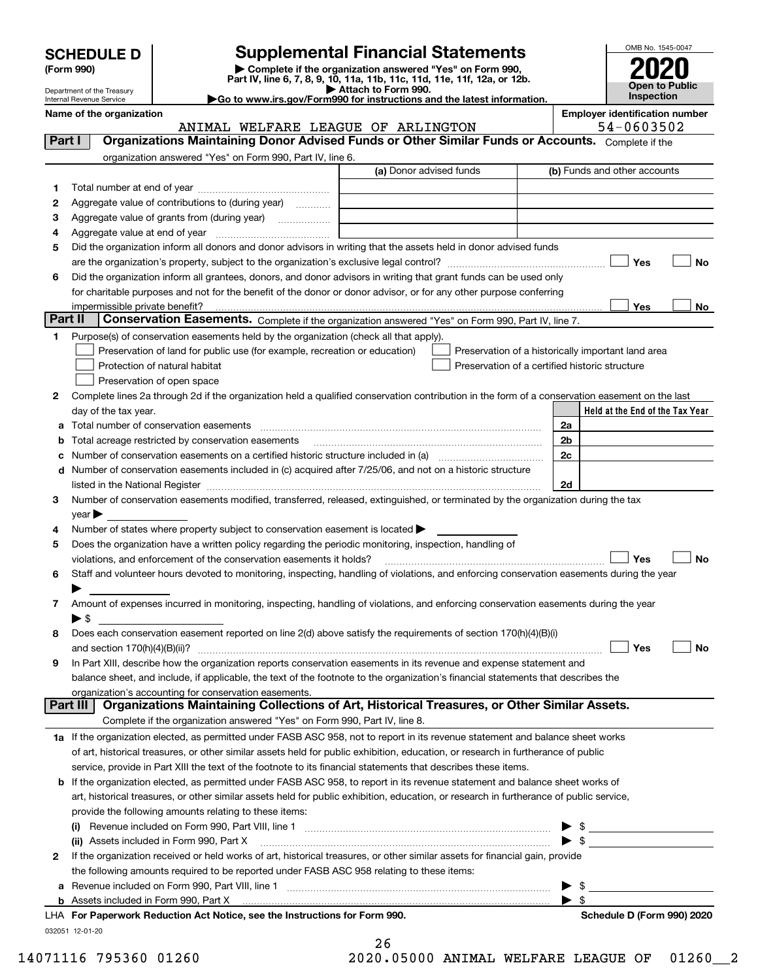| <b>SCHEDULE D</b> |  |
|-------------------|--|
|-------------------|--|

| (Form 990) |  |
|------------|--|
|------------|--|

## **SCHEDULE D Supplemental Financial Statements**

(Form 990)<br>
Pepartment of the Treasury<br>
Department of the Treasury<br>
Department of the Treasury<br>
Department of the Treasury<br> **Co to www.irs.gov/Form990 for instructions and the latest information.**<br> **Co to www.irs.gov/Form9** 



Department of the Treasury Internal Revenue Service

**Name of the organization Employer identification number**

ANIMAL WELFARE LEAGUE OF ARLINGTON 54-0603502

| Part I  | <b>Organizations Maintaining Donor Advised Funds or Other Similar Funds or Accounts.</b> Complete if the                                                                                                                       |                         |                                                    |
|---------|--------------------------------------------------------------------------------------------------------------------------------------------------------------------------------------------------------------------------------|-------------------------|----------------------------------------------------|
|         | organization answered "Yes" on Form 990, Part IV, line 6.                                                                                                                                                                      |                         |                                                    |
|         |                                                                                                                                                                                                                                | (a) Donor advised funds | (b) Funds and other accounts                       |
| 1.      |                                                                                                                                                                                                                                |                         |                                                    |
| 2       | Aggregate value of contributions to (during year)                                                                                                                                                                              |                         |                                                    |
| з       |                                                                                                                                                                                                                                |                         |                                                    |
| 4       |                                                                                                                                                                                                                                |                         |                                                    |
| 5       | Did the organization inform all donors and donor advisors in writing that the assets held in donor advised funds                                                                                                               |                         |                                                    |
|         |                                                                                                                                                                                                                                |                         | Yes<br>No                                          |
| 6       | Did the organization inform all grantees, donors, and donor advisors in writing that grant funds can be used only                                                                                                              |                         |                                                    |
|         | for charitable purposes and not for the benefit of the donor or donor advisor, or for any other purpose conferring                                                                                                             |                         |                                                    |
|         |                                                                                                                                                                                                                                |                         | Yes<br>No                                          |
| Part II | Conservation Easements. Complete if the organization answered "Yes" on Form 990, Part IV, line 7.                                                                                                                              |                         |                                                    |
| 1.      | Purpose(s) of conservation easements held by the organization (check all that apply).                                                                                                                                          |                         |                                                    |
|         | Preservation of land for public use (for example, recreation or education)                                                                                                                                                     |                         | Preservation of a historically important land area |
|         | Protection of natural habitat                                                                                                                                                                                                  |                         | Preservation of a certified historic structure     |
|         | Preservation of open space                                                                                                                                                                                                     |                         |                                                    |
| 2       | Complete lines 2a through 2d if the organization held a qualified conservation contribution in the form of a conservation easement on the last                                                                                 |                         |                                                    |
|         | day of the tax year.                                                                                                                                                                                                           |                         | Held at the End of the Tax Year                    |
|         | a Total number of conservation easements                                                                                                                                                                                       |                         | 2a                                                 |
|         | <b>b</b> Total acreage restricted by conservation easements                                                                                                                                                                    |                         | 2 <sub>b</sub>                                     |
|         |                                                                                                                                                                                                                                |                         | 2c                                                 |
|         | d Number of conservation easements included in (c) acquired after 7/25/06, and not on a historic structure                                                                                                                     |                         |                                                    |
|         | listed in the National Register [[11] matter contract to the National Register [11] matter is not all the National Register [11] matter is not all the National Register [11] matter is not all the National Register [11] mat |                         | 2d                                                 |
| 3       | Number of conservation easements modified, transferred, released, extinguished, or terminated by the organization during the tax                                                                                               |                         |                                                    |
|         | $year \blacktriangleright$                                                                                                                                                                                                     |                         |                                                    |
| 4       | Number of states where property subject to conservation easement is located $\blacktriangleright$                                                                                                                              |                         |                                                    |
| 5       | Does the organization have a written policy regarding the periodic monitoring, inspection, handling of                                                                                                                         |                         | Yes                                                |
|         | violations, and enforcement of the conservation easements it holds?                                                                                                                                                            |                         | <b>No</b>                                          |
| 6       | Staff and volunteer hours devoted to monitoring, inspecting, handling of violations, and enforcing conservation easements during the year                                                                                      |                         |                                                    |
|         | Amount of expenses incurred in monitoring, inspecting, handling of violations, and enforcing conservation easements during the year                                                                                            |                         |                                                    |
| 7       | $\blacktriangleright$ \$                                                                                                                                                                                                       |                         |                                                    |
| 8       | Does each conservation easement reported on line 2(d) above satisfy the requirements of section 170(h)(4)(B)(i)                                                                                                                |                         |                                                    |
|         |                                                                                                                                                                                                                                |                         | Yes<br>No                                          |
| 9       | In Part XIII, describe how the organization reports conservation easements in its revenue and expense statement and                                                                                                            |                         |                                                    |
|         | balance sheet, and include, if applicable, the text of the footnote to the organization's financial statements that describes the                                                                                              |                         |                                                    |
|         | organization's accounting for conservation easements.                                                                                                                                                                          |                         |                                                    |
|         | Organizations Maintaining Collections of Art, Historical Treasures, or Other Similar Assets.<br>Part III                                                                                                                       |                         |                                                    |
|         | Complete if the organization answered "Yes" on Form 990, Part IV, line 8.                                                                                                                                                      |                         |                                                    |
|         | 1a If the organization elected, as permitted under FASB ASC 958, not to report in its revenue statement and balance sheet works                                                                                                |                         |                                                    |
|         | of art, historical treasures, or other similar assets held for public exhibition, education, or research in furtherance of public                                                                                              |                         |                                                    |
|         | service, provide in Part XIII the text of the footnote to its financial statements that describes these items.                                                                                                                 |                         |                                                    |
|         | <b>b</b> If the organization elected, as permitted under FASB ASC 958, to report in its revenue statement and balance sheet works of                                                                                           |                         |                                                    |
|         | art, historical treasures, or other similar assets held for public exhibition, education, or research in furtherance of public service,                                                                                        |                         |                                                    |
|         | provide the following amounts relating to these items:                                                                                                                                                                         |                         |                                                    |
|         |                                                                                                                                                                                                                                |                         | $\frac{1}{2}$                                      |
|         | (ii) Assets included in Form 990, Part X                                                                                                                                                                                       |                         | $\triangleright$ \$                                |
| 2       | If the organization received or held works of art, historical treasures, or other similar assets for financial gain, provide                                                                                                   |                         |                                                    |
|         | the following amounts required to be reported under FASB ASC 958 relating to these items:                                                                                                                                      |                         |                                                    |
|         | a Revenue included on Form 990, Part VIII, line 1 [2000] [2000] [2000] [2000] [2000] [2000] [2000] [2000] [2000                                                                                                                |                         | $\mathfrak s$                                      |
|         |                                                                                                                                                                                                                                |                         | $\blacktriangleright$ s                            |
|         | LHA For Paperwork Reduction Act Notice, see the Instructions for Form 990.                                                                                                                                                     |                         | Schedule D (Form 990) 2020                         |
|         | 032051 12-01-20                                                                                                                                                                                                                |                         |                                                    |

| 26  |  |  |        |  |  |
|-----|--|--|--------|--|--|
| ገ ሰ |  |  | 0.5000 |  |  |

 $\sim$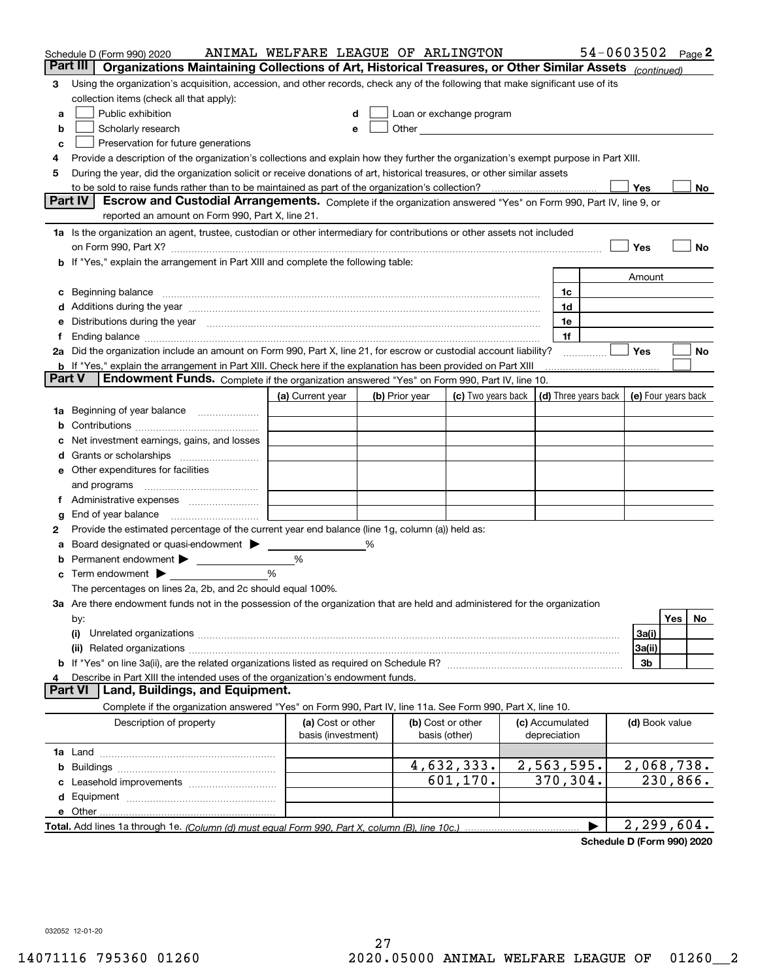|   | Schedule D (Form 990) 2020                                                                                                                                                                                                         | ANIMAL WELFARE LEAGUE OF ARLINGTON |   |                |                                                                                                                                                                                                                               |                 |   |                | $54 - 0603502$ Page 2 |
|---|------------------------------------------------------------------------------------------------------------------------------------------------------------------------------------------------------------------------------------|------------------------------------|---|----------------|-------------------------------------------------------------------------------------------------------------------------------------------------------------------------------------------------------------------------------|-----------------|---|----------------|-----------------------|
|   | Part III<br>Organizations Maintaining Collections of Art, Historical Treasures, or Other Similar Assets (continued)                                                                                                                |                                    |   |                |                                                                                                                                                                                                                               |                 |   |                |                       |
| 3 | Using the organization's acquisition, accession, and other records, check any of the following that make significant use of its                                                                                                    |                                    |   |                |                                                                                                                                                                                                                               |                 |   |                |                       |
|   | collection items (check all that apply):                                                                                                                                                                                           |                                    |   |                |                                                                                                                                                                                                                               |                 |   |                |                       |
| a | Public exhibition                                                                                                                                                                                                                  |                                    |   |                | Loan or exchange program                                                                                                                                                                                                      |                 |   |                |                       |
| b | Scholarly research                                                                                                                                                                                                                 |                                    |   |                | Other and the contract of the contract of the contract of the contract of the contract of the contract of the contract of the contract of the contract of the contract of the contract of the contract of the contract of the |                 |   |                |                       |
| с | Preservation for future generations                                                                                                                                                                                                |                                    |   |                |                                                                                                                                                                                                                               |                 |   |                |                       |
| 4 | Provide a description of the organization's collections and explain how they further the organization's exempt purpose in Part XIII.                                                                                               |                                    |   |                |                                                                                                                                                                                                                               |                 |   |                |                       |
| 5 | During the year, did the organization solicit or receive donations of art, historical treasures, or other similar assets                                                                                                           |                                    |   |                |                                                                                                                                                                                                                               |                 |   |                |                       |
|   | to be sold to raise funds rather than to be maintained as part of the organization's collection?                                                                                                                                   |                                    |   |                |                                                                                                                                                                                                                               |                 |   | Yes            | No                    |
|   | <b>Part IV</b><br>Escrow and Custodial Arrangements. Complete if the organization answered "Yes" on Form 990, Part IV, line 9, or<br>reported an amount on Form 990, Part X, line 21.                                              |                                    |   |                |                                                                                                                                                                                                                               |                 |   |                |                       |
|   |                                                                                                                                                                                                                                    |                                    |   |                |                                                                                                                                                                                                                               |                 |   |                |                       |
|   | 1a Is the organization an agent, trustee, custodian or other intermediary for contributions or other assets not included                                                                                                           |                                    |   |                |                                                                                                                                                                                                                               |                 |   |                |                       |
|   | on Form 990, Part X? [11] matter contracts and contracts and contracts are contracted as a form 990, Part X?                                                                                                                       |                                    |   |                |                                                                                                                                                                                                                               |                 |   | Yes            | No                    |
|   | <b>b</b> If "Yes," explain the arrangement in Part XIII and complete the following table:                                                                                                                                          |                                    |   |                |                                                                                                                                                                                                                               |                 |   |                |                       |
|   |                                                                                                                                                                                                                                    |                                    |   |                |                                                                                                                                                                                                                               | 1c              |   | Amount         |                       |
| c | Beginning balance <u>manual membershare communication</u> and the set of the set of the set of the set of the set of the set of the set of the set of the set of the set of the set of the set of the set of the set of the set of |                                    |   |                |                                                                                                                                                                                                                               | 1d              |   |                |                       |
|   | e Distributions during the year manufactured and contain an account of the state of the state of the state of                                                                                                                      |                                    |   |                |                                                                                                                                                                                                                               | 1e              |   |                |                       |
|   |                                                                                                                                                                                                                                    |                                    |   |                |                                                                                                                                                                                                                               | 1f              |   |                |                       |
|   | 2a Did the organization include an amount on Form 990, Part X, line 21, for escrow or custodial account liability?                                                                                                                 |                                    |   |                |                                                                                                                                                                                                                               |                 | . | Yes            | No                    |
|   | <b>b</b> If "Yes," explain the arrangement in Part XIII. Check here if the explanation has been provided on Part XIII                                                                                                              |                                    |   |                |                                                                                                                                                                                                                               |                 |   |                |                       |
|   | Part V<br>Endowment Funds. Complete if the organization answered "Yes" on Form 990, Part IV, line 10.                                                                                                                              |                                    |   |                |                                                                                                                                                                                                                               |                 |   |                |                       |
|   |                                                                                                                                                                                                                                    | (a) Current year                   |   | (b) Prior year | (c) Two years back $\vert$ (d) Three years back $\vert$                                                                                                                                                                       |                 |   |                | (e) Four years back   |
|   | 1a Beginning of year balance                                                                                                                                                                                                       |                                    |   |                |                                                                                                                                                                                                                               |                 |   |                |                       |
| b |                                                                                                                                                                                                                                    |                                    |   |                |                                                                                                                                                                                                                               |                 |   |                |                       |
|   | Net investment earnings, gains, and losses                                                                                                                                                                                         |                                    |   |                |                                                                                                                                                                                                                               |                 |   |                |                       |
|   |                                                                                                                                                                                                                                    |                                    |   |                |                                                                                                                                                                                                                               |                 |   |                |                       |
|   | e Other expenditures for facilities                                                                                                                                                                                                |                                    |   |                |                                                                                                                                                                                                                               |                 |   |                |                       |
|   |                                                                                                                                                                                                                                    |                                    |   |                |                                                                                                                                                                                                                               |                 |   |                |                       |
|   | f Administrative expenses                                                                                                                                                                                                          |                                    |   |                |                                                                                                                                                                                                                               |                 |   |                |                       |
| g | End of year balance <i>manually contained</i>                                                                                                                                                                                      |                                    |   |                |                                                                                                                                                                                                                               |                 |   |                |                       |
| 2 | Provide the estimated percentage of the current year end balance (line 1g, column (a)) held as:                                                                                                                                    |                                    |   |                |                                                                                                                                                                                                                               |                 |   |                |                       |
| а | Board designated or quasi-endowment >                                                                                                                                                                                              |                                    | % |                |                                                                                                                                                                                                                               |                 |   |                |                       |
| b | Permanent endowment >                                                                                                                                                                                                              | %                                  |   |                |                                                                                                                                                                                                                               |                 |   |                |                       |
|   | <b>c</b> Term endowment $\blacktriangleright$                                                                                                                                                                                      | %                                  |   |                |                                                                                                                                                                                                                               |                 |   |                |                       |
|   | The percentages on lines 2a, 2b, and 2c should equal 100%.                                                                                                                                                                         |                                    |   |                |                                                                                                                                                                                                                               |                 |   |                |                       |
|   | 3a Are there endowment funds not in the possession of the organization that are held and administered for the organization                                                                                                         |                                    |   |                |                                                                                                                                                                                                                               |                 |   |                |                       |
|   | by:                                                                                                                                                                                                                                |                                    |   |                |                                                                                                                                                                                                                               |                 |   |                | Yes<br>No             |
|   | (i)                                                                                                                                                                                                                                |                                    |   |                |                                                                                                                                                                                                                               |                 |   | 3a(i)          |                       |
|   |                                                                                                                                                                                                                                    |                                    |   |                |                                                                                                                                                                                                                               |                 |   | 3a(ii)<br>3b   |                       |
|   | Describe in Part XIII the intended uses of the organization's endowment funds.                                                                                                                                                     |                                    |   |                |                                                                                                                                                                                                                               |                 |   |                |                       |
|   | Land, Buildings, and Equipment.<br>Part VI                                                                                                                                                                                         |                                    |   |                |                                                                                                                                                                                                                               |                 |   |                |                       |
|   | Complete if the organization answered "Yes" on Form 990, Part IV, line 11a. See Form 990, Part X, line 10.                                                                                                                         |                                    |   |                |                                                                                                                                                                                                                               |                 |   |                |                       |
|   | Description of property                                                                                                                                                                                                            | (a) Cost or other                  |   |                | (b) Cost or other                                                                                                                                                                                                             | (c) Accumulated |   | (d) Book value |                       |
|   |                                                                                                                                                                                                                                    | basis (investment)                 |   |                | basis (other)                                                                                                                                                                                                                 | depreciation    |   |                |                       |
|   |                                                                                                                                                                                                                                    |                                    |   |                |                                                                                                                                                                                                                               |                 |   |                |                       |
| b |                                                                                                                                                                                                                                    |                                    |   |                | 4,632,333.                                                                                                                                                                                                                    | 2,563,595.      |   |                | 2,068,738.            |
|   |                                                                                                                                                                                                                                    |                                    |   |                | 601,170.                                                                                                                                                                                                                      | 370,304.        |   |                | 230,866.              |
|   |                                                                                                                                                                                                                                    |                                    |   |                |                                                                                                                                                                                                                               |                 |   |                |                       |
|   |                                                                                                                                                                                                                                    |                                    |   |                |                                                                                                                                                                                                                               |                 |   |                |                       |
|   |                                                                                                                                                                                                                                    |                                    |   |                |                                                                                                                                                                                                                               |                 |   |                | 2,299,604.            |

**Schedule D (Form 990) 2020**

032052 12-01-20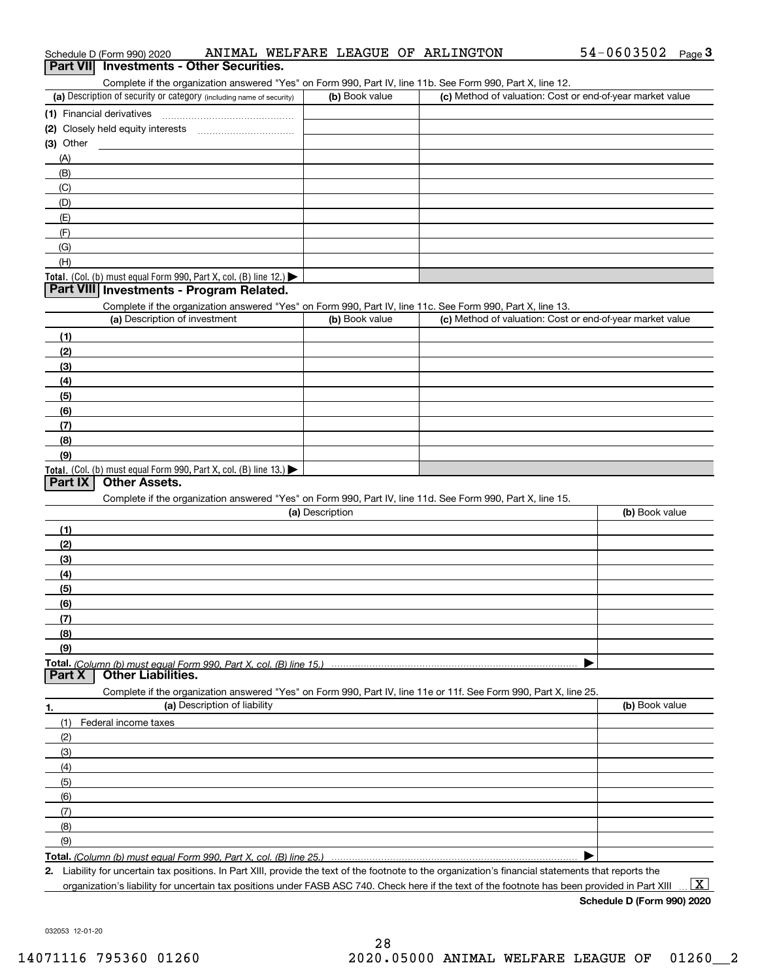| (a) Description of security or category (including name of security)                                                                          | (b) Book value  | Complete if the organization answered "Yes" on Form 990, Part IV, line 11b. See Form 990, Part X, line 12.<br>(c) Method of valuation: Cost or end-of-year market value |                |
|-----------------------------------------------------------------------------------------------------------------------------------------------|-----------------|-------------------------------------------------------------------------------------------------------------------------------------------------------------------------|----------------|
| (1) Financial derivatives                                                                                                                     |                 |                                                                                                                                                                         |                |
|                                                                                                                                               |                 |                                                                                                                                                                         |                |
| $(3)$ Other                                                                                                                                   |                 |                                                                                                                                                                         |                |
| (A)                                                                                                                                           |                 |                                                                                                                                                                         |                |
| (B)                                                                                                                                           |                 |                                                                                                                                                                         |                |
| (C)                                                                                                                                           |                 |                                                                                                                                                                         |                |
| (D)                                                                                                                                           |                 |                                                                                                                                                                         |                |
| (E)                                                                                                                                           |                 |                                                                                                                                                                         |                |
| (F)                                                                                                                                           |                 |                                                                                                                                                                         |                |
| (G)                                                                                                                                           |                 |                                                                                                                                                                         |                |
| (H)                                                                                                                                           |                 |                                                                                                                                                                         |                |
| Total. (Col. (b) must equal Form 990, Part X, col. (B) line 12.) $\blacktriangleright$                                                        |                 |                                                                                                                                                                         |                |
| Part VIII Investments - Program Related.                                                                                                      |                 |                                                                                                                                                                         |                |
| Complete if the organization answered "Yes" on Form 990, Part IV, line 11c. See Form 990, Part X, line 13.                                    |                 |                                                                                                                                                                         |                |
| (a) Description of investment                                                                                                                 | (b) Book value  | (c) Method of valuation: Cost or end-of-year market value                                                                                                               |                |
| (1)                                                                                                                                           |                 |                                                                                                                                                                         |                |
| (2)                                                                                                                                           |                 |                                                                                                                                                                         |                |
|                                                                                                                                               |                 |                                                                                                                                                                         |                |
| (3)                                                                                                                                           |                 |                                                                                                                                                                         |                |
| (4)                                                                                                                                           |                 |                                                                                                                                                                         |                |
| (5)                                                                                                                                           |                 |                                                                                                                                                                         |                |
| (6)                                                                                                                                           |                 |                                                                                                                                                                         |                |
| (7)                                                                                                                                           |                 |                                                                                                                                                                         |                |
| (8)                                                                                                                                           |                 |                                                                                                                                                                         |                |
| (9)<br>Total. (Col. (b) must equal Form 990, Part X, col. (B) line 13.)                                                                       |                 |                                                                                                                                                                         |                |
| <b>Other Assets.</b><br>Part IX<br>Complete if the organization answered "Yes" on Form 990, Part IV, line 11d. See Form 990, Part X, line 15. | (a) Description |                                                                                                                                                                         | (b) Book value |
| (1)                                                                                                                                           |                 |                                                                                                                                                                         |                |
| (2)                                                                                                                                           |                 |                                                                                                                                                                         |                |
|                                                                                                                                               |                 |                                                                                                                                                                         |                |
| (3)                                                                                                                                           |                 |                                                                                                                                                                         |                |
| (4)                                                                                                                                           |                 |                                                                                                                                                                         |                |
| (5)                                                                                                                                           |                 |                                                                                                                                                                         |                |
| (6)                                                                                                                                           |                 |                                                                                                                                                                         |                |
| (7)                                                                                                                                           |                 |                                                                                                                                                                         |                |
| (8)                                                                                                                                           |                 |                                                                                                                                                                         |                |
| (9)                                                                                                                                           |                 |                                                                                                                                                                         |                |
| <b>Other Liabilities.</b>                                                                                                                     |                 |                                                                                                                                                                         |                |
| Complete if the organization answered "Yes" on Form 990, Part IV, line 11e or 11f. See Form 990, Part X, line 25.                             |                 |                                                                                                                                                                         |                |
| (a) Description of liability                                                                                                                  |                 |                                                                                                                                                                         | (b) Book value |
| (1)<br>Federal income taxes                                                                                                                   |                 |                                                                                                                                                                         |                |
| (2)                                                                                                                                           |                 |                                                                                                                                                                         |                |
| (3)                                                                                                                                           |                 |                                                                                                                                                                         |                |
| (4)                                                                                                                                           |                 |                                                                                                                                                                         |                |
| (5)                                                                                                                                           |                 |                                                                                                                                                                         |                |
| (6)                                                                                                                                           |                 |                                                                                                                                                                         |                |
| (7)                                                                                                                                           |                 |                                                                                                                                                                         |                |
| Total. (Column (b) must equal Form 990. Part X, col. (B) line 15.)<br>Part X<br><u>1.</u><br>(8)                                              |                 |                                                                                                                                                                         |                |
| (9)                                                                                                                                           |                 |                                                                                                                                                                         |                |

# Schedule D (Form 990) 2020 ANIMAL WELFARE LEAGUE OF ARLINGTON 54-0603502 <sub>Page</sub> 3<br>| **Part VII** | Investments - Other Securities.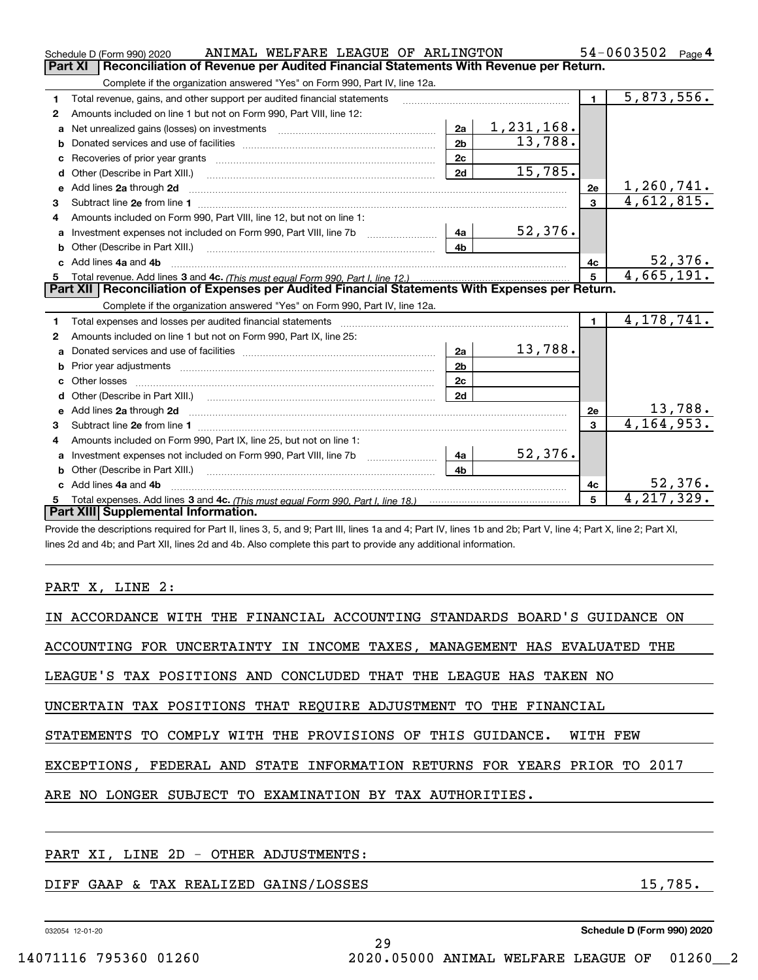|    | ANIMAL WELFARE LEAGUE OF ARLINGTON<br>Schedule D (Form 990) 2020                                                                                                                                                                                                                                                                                                                                                                                             |                         |                   |                | 54-0603502<br>Page 4    |  |  |  |
|----|--------------------------------------------------------------------------------------------------------------------------------------------------------------------------------------------------------------------------------------------------------------------------------------------------------------------------------------------------------------------------------------------------------------------------------------------------------------|-------------------------|-------------------|----------------|-------------------------|--|--|--|
|    | <b>Part XI</b><br>Reconciliation of Revenue per Audited Financial Statements With Revenue per Return.                                                                                                                                                                                                                                                                                                                                                        |                         |                   |                |                         |  |  |  |
|    | Complete if the organization answered "Yes" on Form 990, Part IV, line 12a.                                                                                                                                                                                                                                                                                                                                                                                  |                         |                   |                |                         |  |  |  |
| 1  | Total revenue, gains, and other support per audited financial statements                                                                                                                                                                                                                                                                                                                                                                                     |                         |                   | $\blacksquare$ | $\overline{5,873},556.$ |  |  |  |
| 2  | Amounts included on line 1 but not on Form 990, Part VIII, line 12:                                                                                                                                                                                                                                                                                                                                                                                          |                         |                   |                |                         |  |  |  |
| a  | Net unrealized gains (losses) on investments [11] matter contracts and the unrealized gains (losses) on investments                                                                                                                                                                                                                                                                                                                                          | 2a                      | <u>1,231,168.</u> |                |                         |  |  |  |
| b  |                                                                                                                                                                                                                                                                                                                                                                                                                                                              | 2 <sub>b</sub>          | 13,788.           |                |                         |  |  |  |
|    |                                                                                                                                                                                                                                                                                                                                                                                                                                                              | 2c                      |                   |                |                         |  |  |  |
| d  |                                                                                                                                                                                                                                                                                                                                                                                                                                                              | 2d                      | 15,785.           |                |                         |  |  |  |
| е  | Add lines 2a through 2d                                                                                                                                                                                                                                                                                                                                                                                                                                      |                         |                   | 2e             | 1,260,741.              |  |  |  |
| 3  |                                                                                                                                                                                                                                                                                                                                                                                                                                                              |                         |                   | $\mathbf{3}$   | 4,612,815.              |  |  |  |
| 4  | Amounts included on Form 990, Part VIII, line 12, but not on line 1:                                                                                                                                                                                                                                                                                                                                                                                         |                         |                   |                |                         |  |  |  |
| a  |                                                                                                                                                                                                                                                                                                                                                                                                                                                              | 4a                      | 52,376.           |                |                         |  |  |  |
|    |                                                                                                                                                                                                                                                                                                                                                                                                                                                              | 4h                      |                   |                |                         |  |  |  |
|    | c Add lines 4a and 4b                                                                                                                                                                                                                                                                                                                                                                                                                                        |                         |                   | 4c             | 52, 376.                |  |  |  |
| 5  |                                                                                                                                                                                                                                                                                                                                                                                                                                                              | $\overline{\mathbf{5}}$ | 4,665,191.        |                |                         |  |  |  |
|    | Part XII   Reconciliation of Expenses per Audited Financial Statements With Expenses per Return.                                                                                                                                                                                                                                                                                                                                                             |                         |                   |                |                         |  |  |  |
|    | Complete if the organization answered "Yes" on Form 990, Part IV, line 12a.                                                                                                                                                                                                                                                                                                                                                                                  |                         |                   |                |                         |  |  |  |
| 1  | Total expenses and losses per audited financial statements                                                                                                                                                                                                                                                                                                                                                                                                   |                         |                   | $\mathbf{1}$   | 4, 178, 741.            |  |  |  |
| 2  | Amounts included on line 1 but not on Form 990, Part IX, line 25:                                                                                                                                                                                                                                                                                                                                                                                            |                         |                   |                |                         |  |  |  |
| a  |                                                                                                                                                                                                                                                                                                                                                                                                                                                              | 2a                      | 13,788.           |                |                         |  |  |  |
| b  | Prior year adjustments material contracts and all prior year adjustments material contracts and all prior year                                                                                                                                                                                                                                                                                                                                               | 2 <sub>b</sub>          |                   |                |                         |  |  |  |
| c. |                                                                                                                                                                                                                                                                                                                                                                                                                                                              | 2c                      |                   |                |                         |  |  |  |
| d  |                                                                                                                                                                                                                                                                                                                                                                                                                                                              | 2d                      |                   |                |                         |  |  |  |
|    | e Add lines 2a through 2d                                                                                                                                                                                                                                                                                                                                                                                                                                    |                         |                   | 2e             | 13,788.                 |  |  |  |
| 3  |                                                                                                                                                                                                                                                                                                                                                                                                                                                              |                         |                   | $\mathbf{3}$   | 4, 164, 953.            |  |  |  |
| 4  | Amounts included on Form 990, Part IX, line 25, but not on line 1:                                                                                                                                                                                                                                                                                                                                                                                           |                         |                   |                |                         |  |  |  |
| a  | Investment expenses not included on Form 990, Part VIII, line 7b [100] [100] [100] [100] [100] [100] [100] [10                                                                                                                                                                                                                                                                                                                                               | 4a                      | 52,376.           |                |                         |  |  |  |
| b  | Other (Describe in Part XIII.)<br>$\overline{a_1, \ldots, a_n, \ldots, a_n, \ldots, a_n, \ldots, a_n, \ldots, a_n, \ldots, a_n, \ldots, a_n, \ldots, a_n, \ldots, a_n, \ldots, a_n, \ldots, a_n, \ldots, a_n, \ldots, a_n, \ldots, a_n, \ldots, a_n, \ldots, a_n, \ldots, a_n, \ldots, a_n, \ldots, a_n, \ldots, a_n, \ldots, a_n, \ldots, a_n, \ldots, a_n, \ldots, a_n, \ldots, a_n, \ldots, a_n, \ldots, a_n, \ldots, a_n, \ldots, a_n, \ldots, a_n, \ld$ | 4 <sub>b</sub>          |                   |                |                         |  |  |  |
|    | c Add lines 4a and 4b                                                                                                                                                                                                                                                                                                                                                                                                                                        |                         |                   | 4c             | 52,376.                 |  |  |  |
| 5  |                                                                                                                                                                                                                                                                                                                                                                                                                                                              |                         |                   | 5              | 4, 217, 329.            |  |  |  |
|    | Part XIII Supplemental Information.                                                                                                                                                                                                                                                                                                                                                                                                                          |                         |                   |                |                         |  |  |  |
|    |                                                                                                                                                                                                                                                                                                                                                                                                                                                              |                         |                   |                |                         |  |  |  |

Provide the descriptions required for Part II, lines 3, 5, and 9; Part III, lines 1a and 4; Part IV, lines 1b and 2b; Part V, line 4; Part X, line 2; Part XI, lines 2d and 4b; and Part XII, lines 2d and 4b. Also complete this part to provide any additional information.

## PART X, LINE 2:

| IN ACCORDANCE WITH THE FINANCIAL ACCOUNTING STANDARDS BOARD'S GUIDANCE ON |
|---------------------------------------------------------------------------|
| ACCOUNTING FOR UNCERTAINTY IN INCOME TAXES, MANAGEMENT HAS EVALUATED THE  |
| LEAGUE'S TAX POSITIONS AND CONCLUDED THAT THE LEAGUE HAS TAKEN NO         |
| UNCERTAIN TAX POSITIONS THAT REOUIRE ADJUSTMENT TO THE FINANCIAL          |
| STATEMENTS TO COMPLY WITH THE PROVISIONS OF THIS GUIDANCE. WITH FEW       |
| EXCEPTIONS, FEDERAL AND STATE INFORMATION RETURNS FOR YEARS PRIOR TO 2017 |
| ARE NO LONGER SUBJECT TO EXAMINATION BY TAX AUTHORITIES.                  |
|                                                                           |
|                                                                           |

29

## PART XI, LINE 2D - OTHER ADJUSTMENTS:

## DIFF GAAP & TAX REALIZED GAINS/LOSSES 15,785.

032054 12-01-20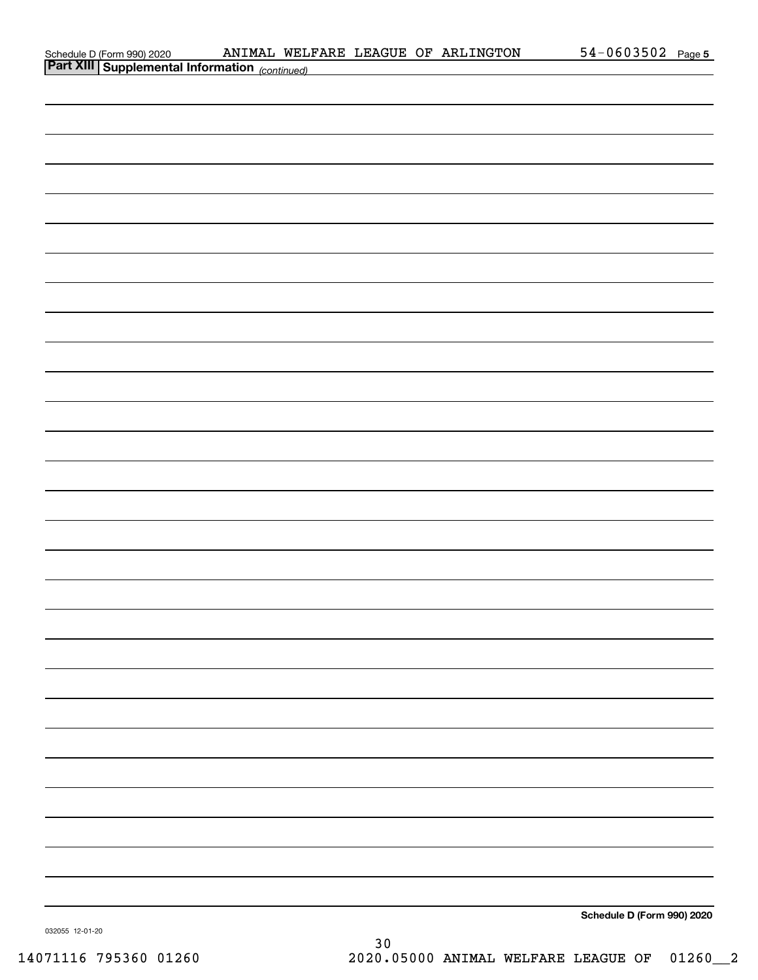| Schedule D (Form 990) 2020 |  |  |
|----------------------------|--|--|
| $R = 1$ VIII               |  |  |

| <b>Part XIII Supplemental Information</b> (continued) |                            |
|-------------------------------------------------------|----------------------------|
|                                                       |                            |
|                                                       |                            |
|                                                       |                            |
|                                                       |                            |
|                                                       |                            |
|                                                       |                            |
|                                                       |                            |
|                                                       |                            |
|                                                       |                            |
|                                                       |                            |
|                                                       |                            |
|                                                       |                            |
|                                                       |                            |
|                                                       |                            |
|                                                       |                            |
|                                                       |                            |
|                                                       |                            |
|                                                       |                            |
|                                                       |                            |
|                                                       |                            |
|                                                       |                            |
|                                                       |                            |
|                                                       |                            |
|                                                       |                            |
|                                                       |                            |
|                                                       |                            |
|                                                       |                            |
|                                                       |                            |
|                                                       |                            |
|                                                       |                            |
|                                                       |                            |
|                                                       | Schedule D (Form 990) 2020 |

032055 12-01-20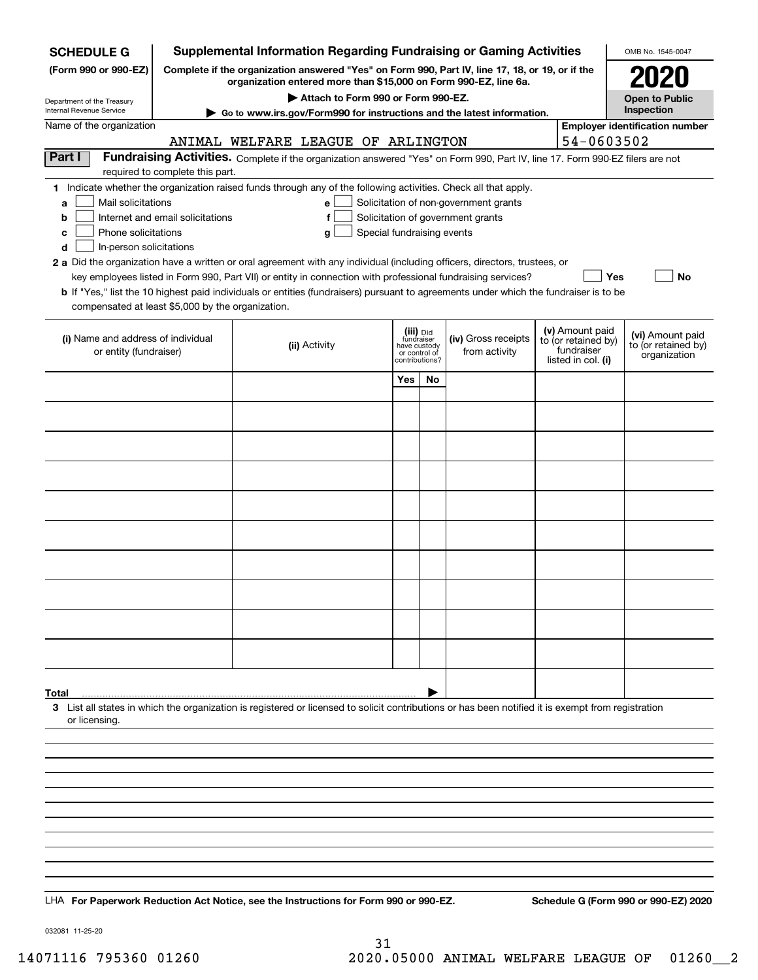| <b>SCHEDULE G</b>                                            |                                                                                                                                                                     | <b>Supplemental Information Regarding Fundraising or Gaming Activities</b>                                                                                                                                                                |                                             |    |                                       |  |                                   | OMB No. 1545-0047                       |  |
|--------------------------------------------------------------|---------------------------------------------------------------------------------------------------------------------------------------------------------------------|-------------------------------------------------------------------------------------------------------------------------------------------------------------------------------------------------------------------------------------------|---------------------------------------------|----|---------------------------------------|--|-----------------------------------|-----------------------------------------|--|
| (Form 990 or 990-EZ)                                         | Complete if the organization answered "Yes" on Form 990, Part IV, line 17, 18, or 19, or if the<br>organization entered more than \$15,000 on Form 990-EZ, line 6a. |                                                                                                                                                                                                                                           |                                             |    |                                       |  |                                   | 2021                                    |  |
| Department of the Treasury<br>Internal Revenue Service       | Attach to Form 990 or Form 990-EZ.<br>Go to www.irs.gov/Form990 for instructions and the latest information.                                                        |                                                                                                                                                                                                                                           |                                             |    |                                       |  |                                   | <b>Open to Public</b><br>Inspection     |  |
| Name of the organization                                     |                                                                                                                                                                     |                                                                                                                                                                                                                                           |                                             |    |                                       |  |                                   | <b>Employer identification number</b>   |  |
|                                                              |                                                                                                                                                                     | ANIMAL WELFARE LEAGUE OF ARLINGTON                                                                                                                                                                                                        |                                             |    |                                       |  | 54-0603502                        |                                         |  |
| Part I                                                       | Fundraising Activities. Complete if the organization answered "Yes" on Form 990, Part IV, line 17. Form 990-EZ filers are not                                       |                                                                                                                                                                                                                                           |                                             |    |                                       |  |                                   |                                         |  |
|                                                              | required to complete this part.                                                                                                                                     |                                                                                                                                                                                                                                           |                                             |    |                                       |  |                                   |                                         |  |
| Mail solicitations<br>a                                      |                                                                                                                                                                     | 1 Indicate whether the organization raised funds through any of the following activities. Check all that apply.<br>e                                                                                                                      |                                             |    | Solicitation of non-government grants |  |                                   |                                         |  |
| b                                                            | Internet and email solicitations                                                                                                                                    | f                                                                                                                                                                                                                                         |                                             |    | Solicitation of government grants     |  |                                   |                                         |  |
| Phone solicitations<br>c                                     |                                                                                                                                                                     | Special fundraising events<br>g                                                                                                                                                                                                           |                                             |    |                                       |  |                                   |                                         |  |
| In-person solicitations<br>d                                 |                                                                                                                                                                     |                                                                                                                                                                                                                                           |                                             |    |                                       |  |                                   |                                         |  |
|                                                              |                                                                                                                                                                     | 2 a Did the organization have a written or oral agreement with any individual (including officers, directors, trustees, or<br>key employees listed in Form 990, Part VII) or entity in connection with professional fundraising services? |                                             |    |                                       |  | Yes                               | No                                      |  |
|                                                              |                                                                                                                                                                     | <b>b</b> If "Yes," list the 10 highest paid individuals or entities (fundraisers) pursuant to agreements under which the fundraiser is to be                                                                                              |                                             |    |                                       |  |                                   |                                         |  |
| compensated at least \$5,000 by the organization.            |                                                                                                                                                                     |                                                                                                                                                                                                                                           |                                             |    |                                       |  |                                   |                                         |  |
|                                                              |                                                                                                                                                                     |                                                                                                                                                                                                                                           | (iii) Did                                   |    |                                       |  | (v) Amount paid                   |                                         |  |
| (i) Name and address of individual<br>or entity (fundraiser) |                                                                                                                                                                     | (ii) Activity                                                                                                                                                                                                                             | fundraiser<br>have custody<br>or control of |    | (iv) Gross receipts<br>from activity  |  | to (or retained by)<br>fundraiser | (vi) Amount paid<br>to (or retained by) |  |
|                                                              |                                                                                                                                                                     |                                                                                                                                                                                                                                           | contributions?                              |    |                                       |  | listed in col. (i)                | organization                            |  |
|                                                              |                                                                                                                                                                     |                                                                                                                                                                                                                                           | Yes                                         | No |                                       |  |                                   |                                         |  |
|                                                              |                                                                                                                                                                     |                                                                                                                                                                                                                                           |                                             |    |                                       |  |                                   |                                         |  |
|                                                              |                                                                                                                                                                     |                                                                                                                                                                                                                                           |                                             |    |                                       |  |                                   |                                         |  |
|                                                              |                                                                                                                                                                     |                                                                                                                                                                                                                                           |                                             |    |                                       |  |                                   |                                         |  |
|                                                              |                                                                                                                                                                     |                                                                                                                                                                                                                                           |                                             |    |                                       |  |                                   |                                         |  |
|                                                              |                                                                                                                                                                     |                                                                                                                                                                                                                                           |                                             |    |                                       |  |                                   |                                         |  |
|                                                              |                                                                                                                                                                     |                                                                                                                                                                                                                                           |                                             |    |                                       |  |                                   |                                         |  |
|                                                              |                                                                                                                                                                     |                                                                                                                                                                                                                                           |                                             |    |                                       |  |                                   |                                         |  |
|                                                              |                                                                                                                                                                     |                                                                                                                                                                                                                                           |                                             |    |                                       |  |                                   |                                         |  |
|                                                              |                                                                                                                                                                     |                                                                                                                                                                                                                                           |                                             |    |                                       |  |                                   |                                         |  |
|                                                              |                                                                                                                                                                     |                                                                                                                                                                                                                                           |                                             |    |                                       |  |                                   |                                         |  |
|                                                              |                                                                                                                                                                     |                                                                                                                                                                                                                                           |                                             |    |                                       |  |                                   |                                         |  |
|                                                              |                                                                                                                                                                     |                                                                                                                                                                                                                                           |                                             |    |                                       |  |                                   |                                         |  |
|                                                              |                                                                                                                                                                     |                                                                                                                                                                                                                                           |                                             |    |                                       |  |                                   |                                         |  |
|                                                              |                                                                                                                                                                     |                                                                                                                                                                                                                                           |                                             |    |                                       |  |                                   |                                         |  |
|                                                              |                                                                                                                                                                     |                                                                                                                                                                                                                                           |                                             |    |                                       |  |                                   |                                         |  |
|                                                              |                                                                                                                                                                     |                                                                                                                                                                                                                                           |                                             |    |                                       |  |                                   |                                         |  |
| Total                                                        |                                                                                                                                                                     |                                                                                                                                                                                                                                           |                                             |    |                                       |  |                                   |                                         |  |
| or licensing.                                                |                                                                                                                                                                     | 3 List all states in which the organization is registered or licensed to solicit contributions or has been notified it is exempt from registration                                                                                        |                                             |    |                                       |  |                                   |                                         |  |
|                                                              |                                                                                                                                                                     |                                                                                                                                                                                                                                           |                                             |    |                                       |  |                                   |                                         |  |
|                                                              |                                                                                                                                                                     |                                                                                                                                                                                                                                           |                                             |    |                                       |  |                                   |                                         |  |
|                                                              |                                                                                                                                                                     |                                                                                                                                                                                                                                           |                                             |    |                                       |  |                                   |                                         |  |
|                                                              |                                                                                                                                                                     |                                                                                                                                                                                                                                           |                                             |    |                                       |  |                                   |                                         |  |
|                                                              |                                                                                                                                                                     |                                                                                                                                                                                                                                           |                                             |    |                                       |  |                                   |                                         |  |
|                                                              |                                                                                                                                                                     |                                                                                                                                                                                                                                           |                                             |    |                                       |  |                                   |                                         |  |
|                                                              |                                                                                                                                                                     |                                                                                                                                                                                                                                           |                                             |    |                                       |  |                                   |                                         |  |
|                                                              |                                                                                                                                                                     |                                                                                                                                                                                                                                           |                                             |    |                                       |  |                                   |                                         |  |
|                                                              |                                                                                                                                                                     |                                                                                                                                                                                                                                           |                                             |    |                                       |  |                                   |                                         |  |
|                                                              |                                                                                                                                                                     | LHA For Paperwork Reduction Act Notice, see the Instructions for Form 990 or 990-EZ.                                                                                                                                                      |                                             |    |                                       |  |                                   | Schedule G (Form 990 or 990-EZ) 2020    |  |

032081 11-25-20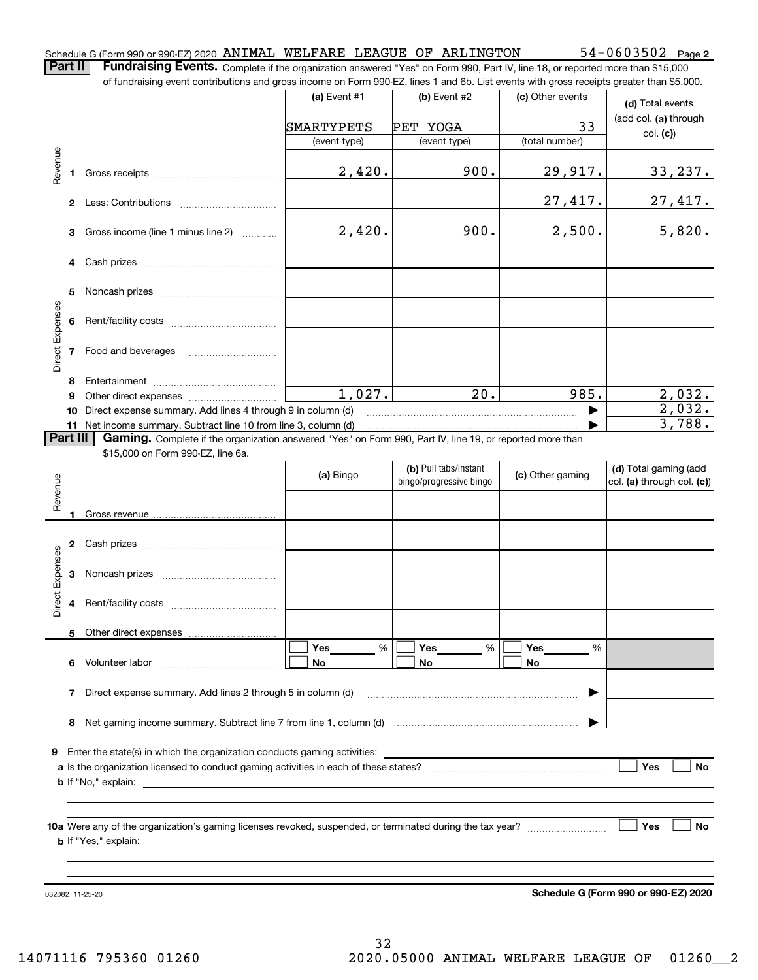**Part II** | Fundraising Events. Complete if the organization answered "Yes" on Form 990, Part IV, line 18, or reported more than \$15,000

|                 |              | of fundraising event contributions and gross income on Form 990-EZ, lines 1 and 6b. List events with gross receipts greater than \$5,000.                                   |              |                         |                  |                                      |
|-----------------|--------------|-----------------------------------------------------------------------------------------------------------------------------------------------------------------------------|--------------|-------------------------|------------------|--------------------------------------|
|                 |              |                                                                                                                                                                             | (a) Event #1 | (b) Event #2            | (c) Other events | (d) Total events                     |
|                 |              |                                                                                                                                                                             | SMARTYPETS   | PET YOGA                | 33               | (add col. (a) through                |
|                 |              |                                                                                                                                                                             | (event type) | (event type)            | (total number)   | col. (c)                             |
| Revenue         | 1            |                                                                                                                                                                             | 2,420.       | 900.                    | 29,917.          | <u>33,237.</u>                       |
|                 |              |                                                                                                                                                                             |              |                         | 27,417.          | 27,417.                              |
|                 | 3            | Gross income (line 1 minus line 2)                                                                                                                                          | 2,420.       | 900.                    | 2,500.           | 5,820.                               |
|                 | 4            |                                                                                                                                                                             |              |                         |                  |                                      |
|                 | 5            |                                                                                                                                                                             |              |                         |                  |                                      |
|                 | 6            |                                                                                                                                                                             |              |                         |                  |                                      |
| Direct Expenses | 7            | Food and beverages                                                                                                                                                          |              |                         |                  |                                      |
|                 | 8            |                                                                                                                                                                             |              |                         |                  |                                      |
|                 | 9            |                                                                                                                                                                             | 1,027.       | 20.                     | 985.             | 2,032.                               |
|                 | 10           | Direct expense summary. Add lines 4 through 9 in column (d)                                                                                                                 |              |                         |                  | 2,032.                               |
|                 | Part III     | 11 Net income summary. Subtract line 10 from line 3, column (d)<br>Gaming. Complete if the organization answered "Yes" on Form 990, Part IV, line 19, or reported more than |              |                         |                  | 3,788.                               |
|                 |              | \$15,000 on Form 990-EZ, line 6a.                                                                                                                                           |              |                         |                  |                                      |
|                 |              |                                                                                                                                                                             |              | (b) Pull tabs/instant   |                  | (d) Total gaming (add                |
| Revenue         |              |                                                                                                                                                                             | (a) Bingo    | bingo/progressive bingo | (c) Other gaming | col. (a) through col. (c))           |
|                 |              |                                                                                                                                                                             |              |                         |                  |                                      |
|                 | 1            |                                                                                                                                                                             |              |                         |                  |                                      |
|                 | $\mathbf{2}$ |                                                                                                                                                                             |              |                         |                  |                                      |
| Expenses        | 3            |                                                                                                                                                                             |              |                         |                  |                                      |
| Direct          | 4            |                                                                                                                                                                             |              |                         |                  |                                      |
|                 |              | 5 Other direct expenses                                                                                                                                                     |              |                         |                  |                                      |
|                 |              |                                                                                                                                                                             | %<br>Yes     | %<br>Yes                | Yes<br>%         |                                      |
|                 | 6.           | Volunteer labor                                                                                                                                                             | No           | No                      | No               |                                      |
|                 | 7            | Direct expense summary. Add lines 2 through 5 in column (d)                                                                                                                 |              |                         |                  |                                      |
|                 |              |                                                                                                                                                                             |              |                         |                  |                                      |
| 9.              |              |                                                                                                                                                                             |              |                         |                  |                                      |
|                 |              |                                                                                                                                                                             |              |                         |                  | Yes<br>No                            |
|                 |              |                                                                                                                                                                             |              |                         |                  |                                      |
|                 |              |                                                                                                                                                                             |              |                         |                  | Yes<br>No                            |
|                 |              |                                                                                                                                                                             |              |                         |                  |                                      |
|                 |              |                                                                                                                                                                             |              |                         |                  |                                      |
|                 |              | 032082 11-25-20                                                                                                                                                             |              |                         |                  | Schedule G (Form 990 or 990-EZ) 2020 |

**2**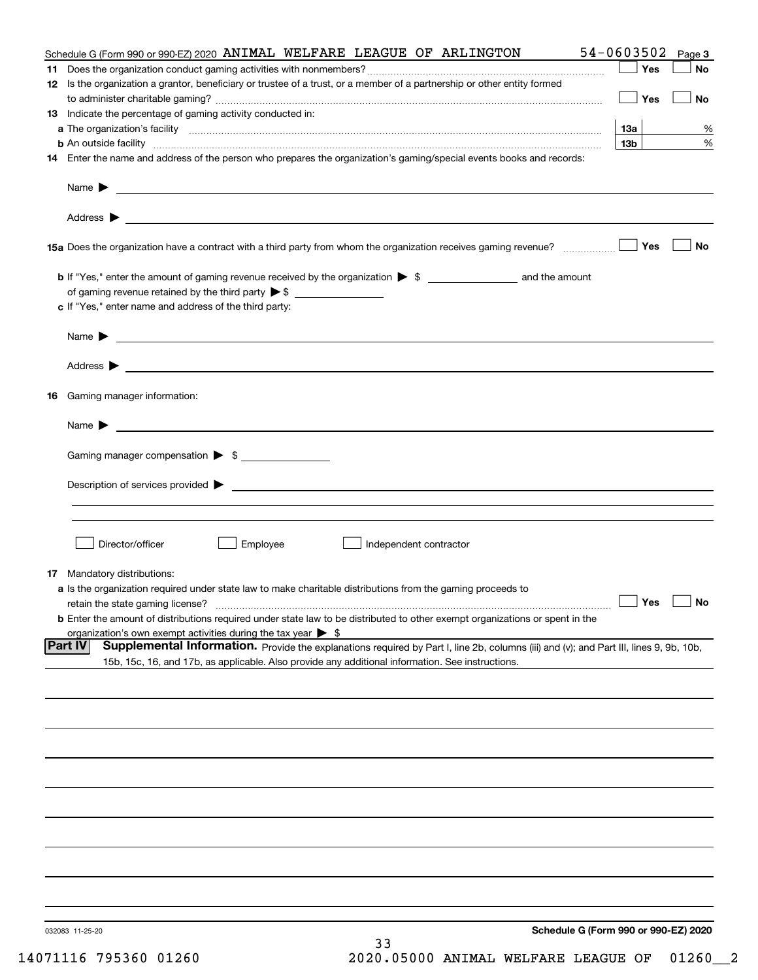|                | Schedule G (Form 990 or 990-EZ) 2020<br>032083 11-25-20<br>33                                                                                                                                                                              |                   |              |
|----------------|--------------------------------------------------------------------------------------------------------------------------------------------------------------------------------------------------------------------------------------------|-------------------|--------------|
|                |                                                                                                                                                                                                                                            |                   |              |
|                |                                                                                                                                                                                                                                            |                   |              |
|                |                                                                                                                                                                                                                                            |                   |              |
|                |                                                                                                                                                                                                                                            |                   |              |
|                |                                                                                                                                                                                                                                            |                   |              |
|                |                                                                                                                                                                                                                                            |                   |              |
|                |                                                                                                                                                                                                                                            |                   |              |
|                |                                                                                                                                                                                                                                            |                   |              |
|                |                                                                                                                                                                                                                                            |                   |              |
| <b>Part IV</b> | Supplemental Information. Provide the explanations required by Part I, line 2b, columns (iii) and (v); and Part III, lines 9, 9b, 10b,<br>15b, 15c, 16, and 17b, as applicable. Also provide any additional information. See instructions. |                   |              |
|                | <b>b</b> Enter the amount of distributions required under state law to be distributed to other exempt organizations or spent in the<br>organization's own exempt activities during the tax year $\triangleright$ \$                        |                   |              |
|                | retain the state gaming license?                                                                                                                                                                                                           | $\Box$ Yes        | $\Box$ No    |
|                | <b>17</b> Mandatory distributions:<br>a Is the organization required under state law to make charitable distributions from the gaming proceeds to                                                                                          |                   |              |
|                | Independent contractor                                                                                                                                                                                                                     |                   |              |
|                | Director/officer<br>Employee                                                                                                                                                                                                               |                   |              |
|                |                                                                                                                                                                                                                                            |                   |              |
|                |                                                                                                                                                                                                                                            |                   |              |
|                | Gaming manager compensation > \$                                                                                                                                                                                                           |                   |              |
|                | $Name \rightarrow$                                                                                                                                                                                                                         |                   |              |
| 16             | Gaming manager information:                                                                                                                                                                                                                |                   |              |
|                |                                                                                                                                                                                                                                            |                   |              |
|                |                                                                                                                                                                                                                                            |                   |              |
|                | <u> 1989 - Johann Barbara, marka a shekara ta 1989 - An tsaran tsara a shekara tsara tsara tsara tsara tsara tsa</u><br>Name $\blacktriangleright$                                                                                         |                   |              |
|                | of gaming revenue retained by the third party $\triangleright$ \$<br>c If "Yes," enter name and address of the third party:                                                                                                                |                   |              |
|                |                                                                                                                                                                                                                                            |                   |              |
|                |                                                                                                                                                                                                                                            | Yes               | No           |
|                |                                                                                                                                                                                                                                            |                   |              |
|                |                                                                                                                                                                                                                                            |                   |              |
|                |                                                                                                                                                                                                                                            |                   |              |
|                | 14 Enter the name and address of the person who prepares the organization's gaming/special events books and records:                                                                                                                       | 13 <sub>b</sub>   | %            |
|                |                                                                                                                                                                                                                                            | 13а               | %            |
|                | 13 Indicate the percentage of gaming activity conducted in:                                                                                                                                                                                | Yes               | No           |
|                | 12 Is the organization a grantor, beneficiary or trustee of a trust, or a member of a partnership or other entity formed                                                                                                                   |                   |              |
|                | Schedule G (Form 990 or 990-EZ) 2020 ANIMAL WELFARE LEAGUE OF ARLINGTON                                                                                                                                                                    | 54-0603502<br>Yes | Page 3<br>No |
|                |                                                                                                                                                                                                                                            |                   |              |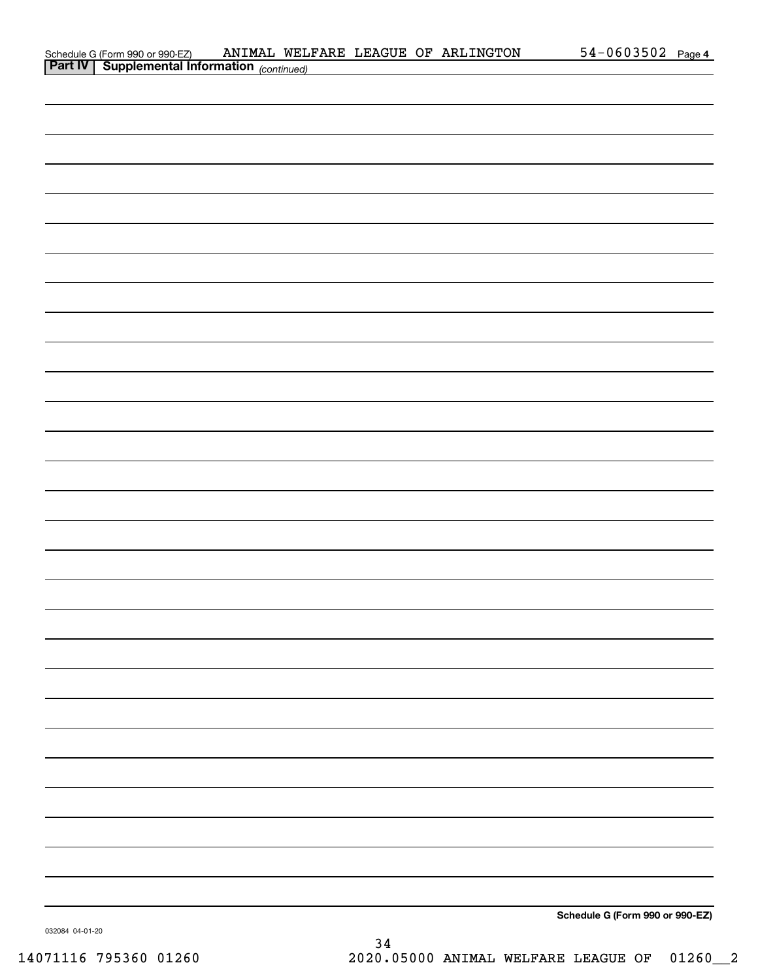| Schedule G (Form 990 or 990-EZ)                            |  |  | ANIMAL WELFARE LEAGUE OF ARLINGTON | $54 - 0603502$ Page 4 |  |
|------------------------------------------------------------|--|--|------------------------------------|-----------------------|--|
| <b>Part IV</b>   Supplemental Information $_{(continued)}$ |  |  |                                    |                       |  |

| <b>Part IV   Supplemental Information</b> (continued) |  |  |
|-------------------------------------------------------|--|--|
|                                                       |  |  |
|                                                       |  |  |
|                                                       |  |  |
|                                                       |  |  |
|                                                       |  |  |
|                                                       |  |  |
|                                                       |  |  |
|                                                       |  |  |
|                                                       |  |  |
|                                                       |  |  |
|                                                       |  |  |
|                                                       |  |  |
|                                                       |  |  |
|                                                       |  |  |
|                                                       |  |  |
|                                                       |  |  |
|                                                       |  |  |
|                                                       |  |  |
|                                                       |  |  |
|                                                       |  |  |
|                                                       |  |  |
|                                                       |  |  |
|                                                       |  |  |
|                                                       |  |  |
|                                                       |  |  |
|                                                       |  |  |
|                                                       |  |  |
|                                                       |  |  |
|                                                       |  |  |
|                                                       |  |  |

**Schedule G (Form 990 or 990-EZ)**

032084 04-01-20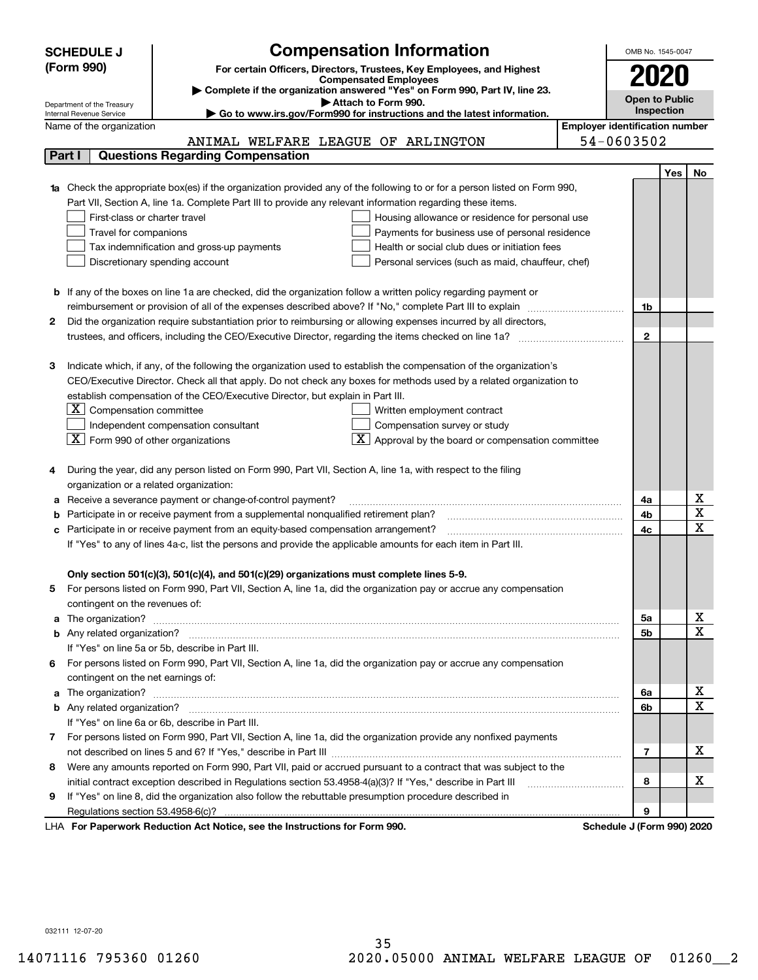|        | <b>Compensation Information</b><br><b>SCHEDULE J</b>                                                                                   | OMB No. 1545-0047     |     |             |  |  |  |  |  |
|--------|----------------------------------------------------------------------------------------------------------------------------------------|-----------------------|-----|-------------|--|--|--|--|--|
|        | (Form 990)<br>For certain Officers, Directors, Trustees, Key Employees, and Highest                                                    |                       |     |             |  |  |  |  |  |
|        | <b>Compensated Employees</b>                                                                                                           | 2020                  |     |             |  |  |  |  |  |
|        | Complete if the organization answered "Yes" on Form 990, Part IV, line 23.<br>Attach to Form 990.                                      | <b>Open to Public</b> |     |             |  |  |  |  |  |
|        | Department of the Treasury<br>Go to www.irs.gov/Form990 for instructions and the latest information.<br>Internal Revenue Service       | Inspection            |     |             |  |  |  |  |  |
|        | <b>Employer identification number</b><br>Name of the organization                                                                      |                       |     |             |  |  |  |  |  |
|        | 54-0603502<br>ANIMAL WELFARE LEAGUE OF ARLINGTON                                                                                       |                       |     |             |  |  |  |  |  |
| Part I | <b>Questions Regarding Compensation</b>                                                                                                |                       |     |             |  |  |  |  |  |
|        |                                                                                                                                        |                       | Yes | No          |  |  |  |  |  |
|        | Check the appropriate box(es) if the organization provided any of the following to or for a person listed on Form 990,                 |                       |     |             |  |  |  |  |  |
|        | Part VII, Section A, line 1a. Complete Part III to provide any relevant information regarding these items.                             |                       |     |             |  |  |  |  |  |
|        | First-class or charter travel<br>Housing allowance or residence for personal use                                                       |                       |     |             |  |  |  |  |  |
|        | Travel for companions<br>Payments for business use of personal residence                                                               |                       |     |             |  |  |  |  |  |
|        | Tax indemnification and gross-up payments<br>Health or social club dues or initiation fees                                             |                       |     |             |  |  |  |  |  |
|        | Discretionary spending account<br>Personal services (such as maid, chauffeur, chef)                                                    |                       |     |             |  |  |  |  |  |
|        |                                                                                                                                        |                       |     |             |  |  |  |  |  |
|        | <b>b</b> If any of the boxes on line 1a are checked, did the organization follow a written policy regarding payment or                 |                       |     |             |  |  |  |  |  |
|        | reimbursement or provision of all of the expenses described above? If "No," complete Part III to explain                               | 1b                    |     |             |  |  |  |  |  |
| 2      | Did the organization require substantiation prior to reimbursing or allowing expenses incurred by all directors,                       | $\mathbf{2}$          |     |             |  |  |  |  |  |
|        |                                                                                                                                        |                       |     |             |  |  |  |  |  |
| з      | Indicate which, if any, of the following the organization used to establish the compensation of the organization's                     |                       |     |             |  |  |  |  |  |
|        | CEO/Executive Director. Check all that apply. Do not check any boxes for methods used by a related organization to                     |                       |     |             |  |  |  |  |  |
|        | establish compensation of the CEO/Executive Director, but explain in Part III.                                                         |                       |     |             |  |  |  |  |  |
|        | $X$ Compensation committee<br>Written employment contract                                                                              |                       |     |             |  |  |  |  |  |
|        | Compensation survey or study<br>Independent compensation consultant                                                                    |                       |     |             |  |  |  |  |  |
|        | $\boxed{\textbf{X}}$ Form 990 of other organizations<br>$\boxed{\textbf{X}}$ Approval by the board or compensation committee           |                       |     |             |  |  |  |  |  |
|        |                                                                                                                                        |                       |     |             |  |  |  |  |  |
|        | During the year, did any person listed on Form 990, Part VII, Section A, line 1a, with respect to the filing                           |                       |     |             |  |  |  |  |  |
|        | organization or a related organization:                                                                                                |                       |     |             |  |  |  |  |  |
| а      | Receive a severance payment or change-of-control payment?                                                                              | 4a                    |     | х           |  |  |  |  |  |
| b      | Participate in or receive payment from a supplemental nonqualified retirement plan?                                                    | 4b                    |     | X           |  |  |  |  |  |
| c      | Participate in or receive payment from an equity-based compensation arrangement?                                                       | 4c                    |     | X           |  |  |  |  |  |
|        | If "Yes" to any of lines 4a-c, list the persons and provide the applicable amounts for each item in Part III.                          |                       |     |             |  |  |  |  |  |
|        |                                                                                                                                        |                       |     |             |  |  |  |  |  |
|        | Only section 501(c)(3), 501(c)(4), and 501(c)(29) organizations must complete lines 5-9.                                               |                       |     |             |  |  |  |  |  |
|        | For persons listed on Form 990, Part VII, Section A, line 1a, did the organization pay or accrue any compensation                      |                       |     |             |  |  |  |  |  |
|        | contingent on the revenues of:                                                                                                         |                       |     |             |  |  |  |  |  |
| a      |                                                                                                                                        | 5a                    |     | x           |  |  |  |  |  |
|        |                                                                                                                                        | 5b                    |     | X           |  |  |  |  |  |
|        | If "Yes" on line 5a or 5b, describe in Part III.                                                                                       |                       |     |             |  |  |  |  |  |
| 6.     | For persons listed on Form 990, Part VII, Section A, line 1a, did the organization pay or accrue any compensation                      |                       |     |             |  |  |  |  |  |
|        | contingent on the net earnings of:                                                                                                     |                       |     |             |  |  |  |  |  |
| a      |                                                                                                                                        | 6a                    |     | x           |  |  |  |  |  |
|        |                                                                                                                                        | 6b                    |     | $\mathbf X$ |  |  |  |  |  |
|        | If "Yes" on line 6a or 6b, describe in Part III.                                                                                       |                       |     |             |  |  |  |  |  |
|        | 7 For persons listed on Form 990, Part VII, Section A, line 1a, did the organization provide any nonfixed payments                     |                       |     |             |  |  |  |  |  |
|        |                                                                                                                                        | 7                     |     | х           |  |  |  |  |  |
| 8      | Were any amounts reported on Form 990, Part VII, paid or accrued pursuant to a contract that was subject to the                        |                       |     |             |  |  |  |  |  |
|        | initial contract exception described in Regulations section 53.4958-4(a)(3)? If "Yes," describe in Part III                            | 8                     |     | х           |  |  |  |  |  |
| 9      | If "Yes" on line 8, did the organization also follow the rebuttable presumption procedure described in                                 |                       |     |             |  |  |  |  |  |
|        | Regulations section 53.4958-6(c)?<br>Departments Reduction Act Notice, see the Instructions for Ferm 000<br>Schodule I (Form 000) 2020 | 9                     |     |             |  |  |  |  |  |

LHA For Paperwork Reduction Act Notice, see the Instructions for Form 990. Schedule J (Form 990) 2020

032111 12-07-20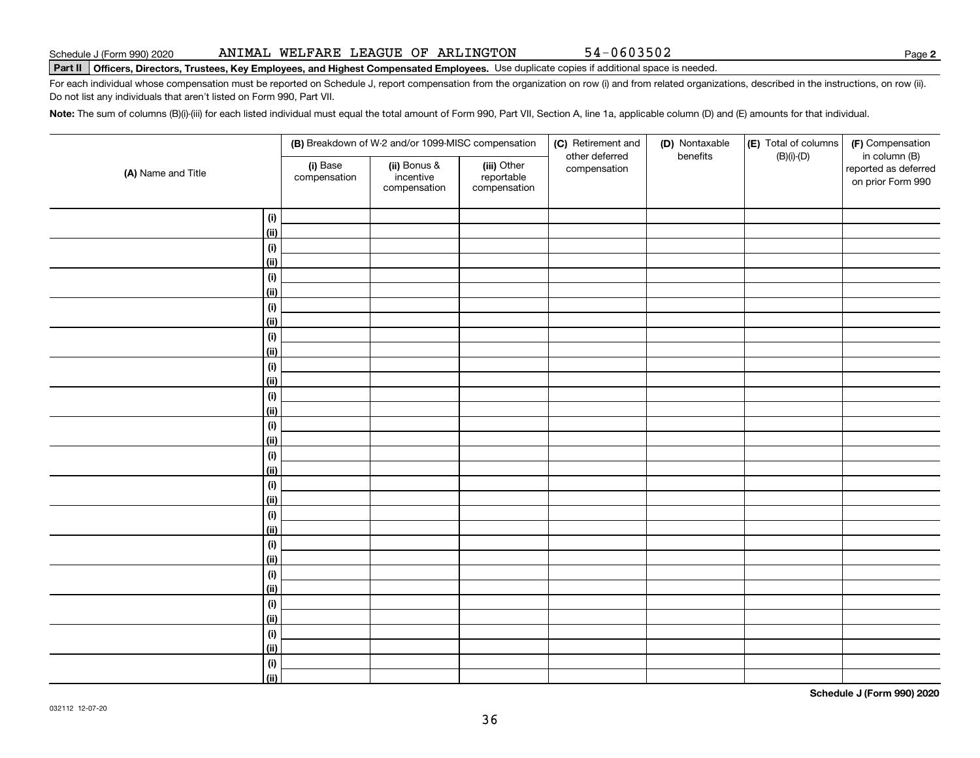032112 12-07-20

## ANIMAL WELFARE LEAGUE OF ARLINGTON 54-0603502

# **Part II Officers, Directors, Trustees, Key Employees, and Highest Compensated Employees.**  Schedule J (Form 990) 2020 Page Use duplicate copies if additional space is needed.

For each individual whose compensation must be reported on Schedule J, report compensation from the organization on row (i) and from related organizations, described in the instructions, on row (ii). Do not list any individuals that aren't listed on Form 990, Part VII.

**Note:**  The sum of columns (B)(i)-(iii) for each listed individual must equal the total amount of Form 990, Part VII, Section A, line 1a, applicable column (D) and (E) amounts for that individual.

|                    |                          | (B) Breakdown of W-2 and/or 1099-MISC compensation |                                           | (C) Retirement and<br>other deferred | (D) Nontaxable<br>benefits | (E) Total of columns<br>$(B)(i)-(D)$ | (F) Compensation<br>in column (B)         |  |
|--------------------|--------------------------|----------------------------------------------------|-------------------------------------------|--------------------------------------|----------------------------|--------------------------------------|-------------------------------------------|--|
| (A) Name and Title | (i) Base<br>compensation | (ii) Bonus &<br>incentive<br>compensation          | (iii) Other<br>reportable<br>compensation | compensation                         |                            |                                      | reported as deferred<br>on prior Form 990 |  |
| (i)                |                          |                                                    |                                           |                                      |                            |                                      |                                           |  |
| <u>(ii)</u>        |                          |                                                    |                                           |                                      |                            |                                      |                                           |  |
| $(\sf{i})$         |                          |                                                    |                                           |                                      |                            |                                      |                                           |  |
| <u>(ii)</u>        |                          |                                                    |                                           |                                      |                            |                                      |                                           |  |
| (i)                |                          |                                                    |                                           |                                      |                            |                                      |                                           |  |
| <u>(ii)</u>        |                          |                                                    |                                           |                                      |                            |                                      |                                           |  |
| (i)                |                          |                                                    |                                           |                                      |                            |                                      |                                           |  |
| (ii)               |                          |                                                    |                                           |                                      |                            |                                      |                                           |  |
| (i)                |                          |                                                    |                                           |                                      |                            |                                      |                                           |  |
| (ii)               |                          |                                                    |                                           |                                      |                            |                                      |                                           |  |
| (i)                |                          |                                                    |                                           |                                      |                            |                                      |                                           |  |
| (ii)               |                          |                                                    |                                           |                                      |                            |                                      |                                           |  |
| (i)                |                          |                                                    |                                           |                                      |                            |                                      |                                           |  |
| (ii)               |                          |                                                    |                                           |                                      |                            |                                      |                                           |  |
| (i)                |                          |                                                    |                                           |                                      |                            |                                      |                                           |  |
| <u>(ii)</u>        |                          |                                                    |                                           |                                      |                            |                                      |                                           |  |
| $(\sf{i})$         |                          |                                                    |                                           |                                      |                            |                                      |                                           |  |
| <u>(ii)</u>        |                          |                                                    |                                           |                                      |                            |                                      |                                           |  |
| $(\sf{i})$         |                          |                                                    |                                           |                                      |                            |                                      |                                           |  |
| (ii)               |                          |                                                    |                                           |                                      |                            |                                      |                                           |  |
| (i)                |                          |                                                    |                                           |                                      |                            |                                      |                                           |  |
| <u>(ii)</u>        |                          |                                                    |                                           |                                      |                            |                                      |                                           |  |
| $(\sf{i})$         |                          |                                                    |                                           |                                      |                            |                                      |                                           |  |
| <u>(ii)</u>        |                          |                                                    |                                           |                                      |                            |                                      |                                           |  |
| $(\sf{i})$         |                          |                                                    |                                           |                                      |                            |                                      |                                           |  |
| <u>(ii)</u>        |                          |                                                    |                                           |                                      |                            |                                      |                                           |  |
| $(\sf{i})$         |                          |                                                    |                                           |                                      |                            |                                      |                                           |  |
| <u>(ii)</u>        |                          |                                                    |                                           |                                      |                            |                                      |                                           |  |
| (i)                |                          |                                                    |                                           |                                      |                            |                                      |                                           |  |
| (ii)               |                          |                                                    |                                           |                                      |                            |                                      |                                           |  |
| (i)                |                          |                                                    |                                           |                                      |                            |                                      |                                           |  |
| (ii)               |                          |                                                    |                                           |                                      |                            |                                      |                                           |  |
|                    |                          |                                                    |                                           |                                      |                            |                                      |                                           |  |

36

**Schedule J (Form 990) 2020**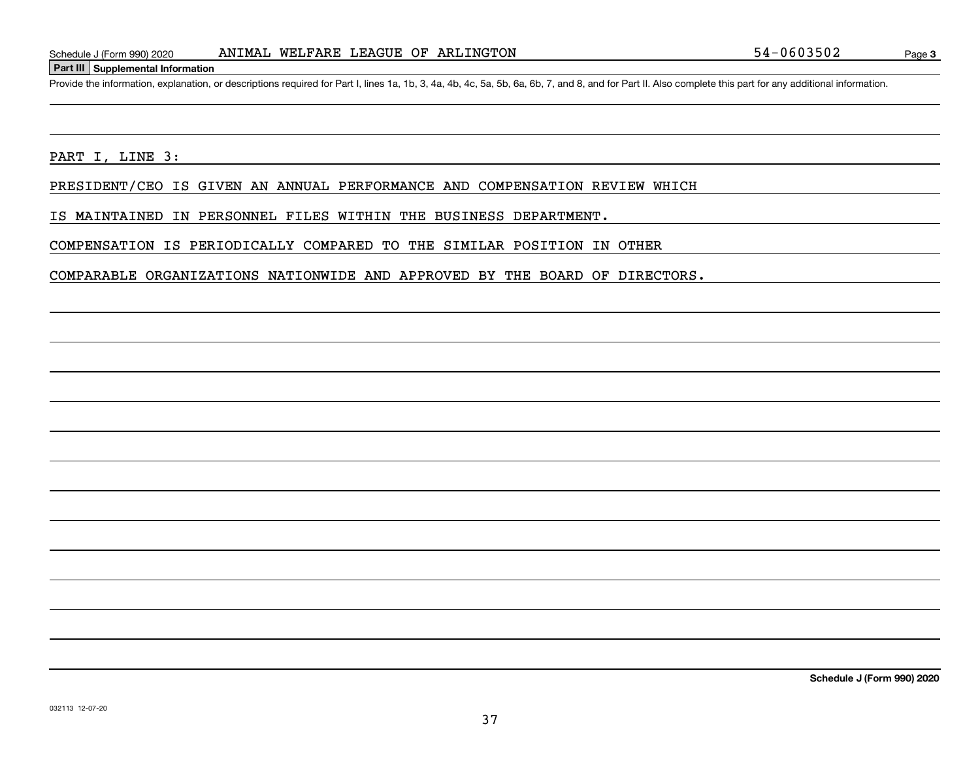## **Part III Supplemental Information**

Schedule J (Form 990) 2020 ANIMAL WELFARE LEAGUE OF ARLINGTON 54-0603502<br>Part III Supplemental Information<br>Provide the information, explanation, or descriptions required for Part I, lines 1a, 1b, 3, 4a, 4b, 4c, 5a, 5b, 6a,

PART I, LINE 3:

PRESIDENT/CEO IS GIVEN AN ANNUAL PERFORMANCE AND COMPENSATION REVIEW WHICH

IS MAINTAINED IN PERSONNEL FILES WITHIN THE BUSINESS DEPARTMENT.

COMPENSATION IS PERIODICALLY COMPARED TO THE SIMILAR POSITION IN OTHER

COMPARABLE ORGANIZATIONS NATIONWIDE AND APPROVED BY THE BOARD OF DIRECTORS.

**Schedule J (Form 990) 2020**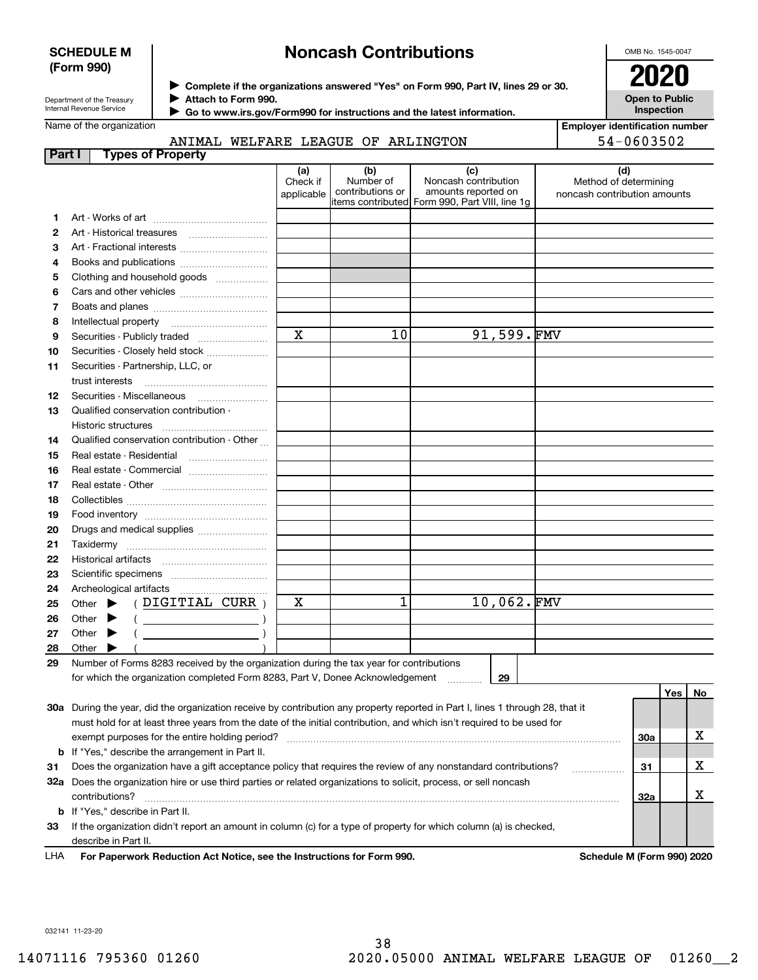## **SCHEDULE M (Form 990)**

## **Noncash Contributions**

OMB No. 1545-0047

| Department of the Treasury |
|----------------------------|
| Internal Revenue Service   |

**Complete if the organizations answered "Yes" on Form 990, Part IV, lines 29 or 30.** <sup>J</sup>**2020 Attach to Form 990.** J

 **Go to www.irs.gov/Form990 for instructions and the latest information.** J

**Open to Public InspectionEmployer identification number**

| Name of the organization |  |
|--------------------------|--|
|--------------------------|--|

ANIMAL WELFARE LEAGUE OF ARLINGTON

|        | ANIMAL WELFARE LEAGUE OF ARLINGTON                                                                                             |                               |                                      |                                                                                                      | 54-0603502                                                   |     |     |    |
|--------|--------------------------------------------------------------------------------------------------------------------------------|-------------------------------|--------------------------------------|------------------------------------------------------------------------------------------------------|--------------------------------------------------------------|-----|-----|----|
| Part I | <b>Types of Property</b>                                                                                                       |                               |                                      |                                                                                                      |                                                              |     |     |    |
|        |                                                                                                                                | (a)<br>Check if<br>applicable | (b)<br>Number of<br>contributions or | (c)<br>Noncash contribution<br>amounts reported on<br>items contributed Form 990, Part VIII, line 1g | (d)<br>Method of determining<br>noncash contribution amounts |     |     |    |
| 1      |                                                                                                                                |                               |                                      |                                                                                                      |                                                              |     |     |    |
| 2      |                                                                                                                                |                               |                                      |                                                                                                      |                                                              |     |     |    |
| з      | Art - Fractional interests                                                                                                     |                               |                                      |                                                                                                      |                                                              |     |     |    |
| 4      | Books and publications                                                                                                         |                               |                                      |                                                                                                      |                                                              |     |     |    |
| 5      | Clothing and household goods                                                                                                   |                               |                                      |                                                                                                      |                                                              |     |     |    |
| 6      |                                                                                                                                |                               |                                      |                                                                                                      |                                                              |     |     |    |
| 7      |                                                                                                                                |                               |                                      |                                                                                                      |                                                              |     |     |    |
| 8      |                                                                                                                                |                               |                                      |                                                                                                      |                                                              |     |     |    |
| 9      | Securities - Publicly traded                                                                                                   | $\mathbf x$                   | 10                                   | 91,599.FMV                                                                                           |                                                              |     |     |    |
| 10     | Securities - Closely held stock                                                                                                |                               |                                      |                                                                                                      |                                                              |     |     |    |
| 11     | Securities - Partnership, LLC, or                                                                                              |                               |                                      |                                                                                                      |                                                              |     |     |    |
|        | trust interests                                                                                                                |                               |                                      |                                                                                                      |                                                              |     |     |    |
| 12     |                                                                                                                                |                               |                                      |                                                                                                      |                                                              |     |     |    |
| 13     | Qualified conservation contribution -                                                                                          |                               |                                      |                                                                                                      |                                                              |     |     |    |
|        | Historic structures                                                                                                            |                               |                                      |                                                                                                      |                                                              |     |     |    |
| 14     | Qualified conservation contribution - Other                                                                                    |                               |                                      |                                                                                                      |                                                              |     |     |    |
| 15     | Real estate - Residential                                                                                                      |                               |                                      |                                                                                                      |                                                              |     |     |    |
| 16     | Real estate - Commercial                                                                                                       |                               |                                      |                                                                                                      |                                                              |     |     |    |
| 17     |                                                                                                                                |                               |                                      |                                                                                                      |                                                              |     |     |    |
| 18     |                                                                                                                                |                               |                                      |                                                                                                      |                                                              |     |     |    |
| 19     |                                                                                                                                |                               |                                      |                                                                                                      |                                                              |     |     |    |
| 20     | Drugs and medical supplies                                                                                                     |                               |                                      |                                                                                                      |                                                              |     |     |    |
| 21     | Taxidermy                                                                                                                      |                               |                                      |                                                                                                      |                                                              |     |     |    |
| 22     |                                                                                                                                |                               |                                      |                                                                                                      |                                                              |     |     |    |
| 23     |                                                                                                                                |                               |                                      |                                                                                                      |                                                              |     |     |    |
| 24     |                                                                                                                                |                               |                                      |                                                                                                      |                                                              |     |     |    |
| 25     | (DIGITIAL CURR)<br>Other $\blacktriangleright$                                                                                 | х                             | 1                                    | 10,062.FMV                                                                                           |                                                              |     |     |    |
| 26     | Other<br>▸<br>$($ $)$                                                                                                          |                               |                                      |                                                                                                      |                                                              |     |     |    |
| 27     | Other $\blacktriangleright$                                                                                                    |                               |                                      |                                                                                                      |                                                              |     |     |    |
| 28     | Other $\blacktriangleright$                                                                                                    |                               |                                      |                                                                                                      |                                                              |     |     |    |
| 29     | Number of Forms 8283 received by the organization during the tax year for contributions                                        |                               |                                      |                                                                                                      |                                                              |     |     |    |
|        | for which the organization completed Form 8283, Part V, Donee Acknowledgement                                                  |                               |                                      | 29<br>$\ldots \ldots$                                                                                |                                                              |     |     |    |
|        |                                                                                                                                |                               |                                      |                                                                                                      |                                                              |     | Yes | No |
|        | 30a During the year, did the organization receive by contribution any property reported in Part I, lines 1 through 28, that it |                               |                                      |                                                                                                      |                                                              |     |     |    |
|        | must hold for at least three years from the date of the initial contribution, and which isn't required to be used for          |                               |                                      |                                                                                                      |                                                              |     |     |    |
|        | exempt purposes for the entire holding period?                                                                                 |                               |                                      |                                                                                                      |                                                              | 30a |     | х  |
| b      | If "Yes," describe the arrangement in Part II.                                                                                 |                               |                                      |                                                                                                      |                                                              |     |     |    |
| 31     | Does the organization have a gift acceptance policy that requires the review of any nonstandard contributions?                 |                               |                                      |                                                                                                      |                                                              | 31  |     | х  |
|        | 32a Does the organization hire or use third parties or related organizations to solicit, process, or sell noncash              |                               |                                      |                                                                                                      |                                                              |     |     |    |
|        | contributions?                                                                                                                 |                               |                                      |                                                                                                      |                                                              | 32a |     | х  |
| b      | If "Yes," describe in Part II.                                                                                                 |                               |                                      |                                                                                                      |                                                              |     |     |    |
| 33     | If the organization didn't report an amount in column (c) for a type of property for which column (a) is checked,              |                               |                                      |                                                                                                      |                                                              |     |     |    |
|        | describe in Part II.                                                                                                           |                               |                                      |                                                                                                      |                                                              |     |     |    |

**For Paperwork Reduction Act Notice, see the Instructions for Form 990. Schedule M (Form 990) 2020** LHA

032141 11-23-20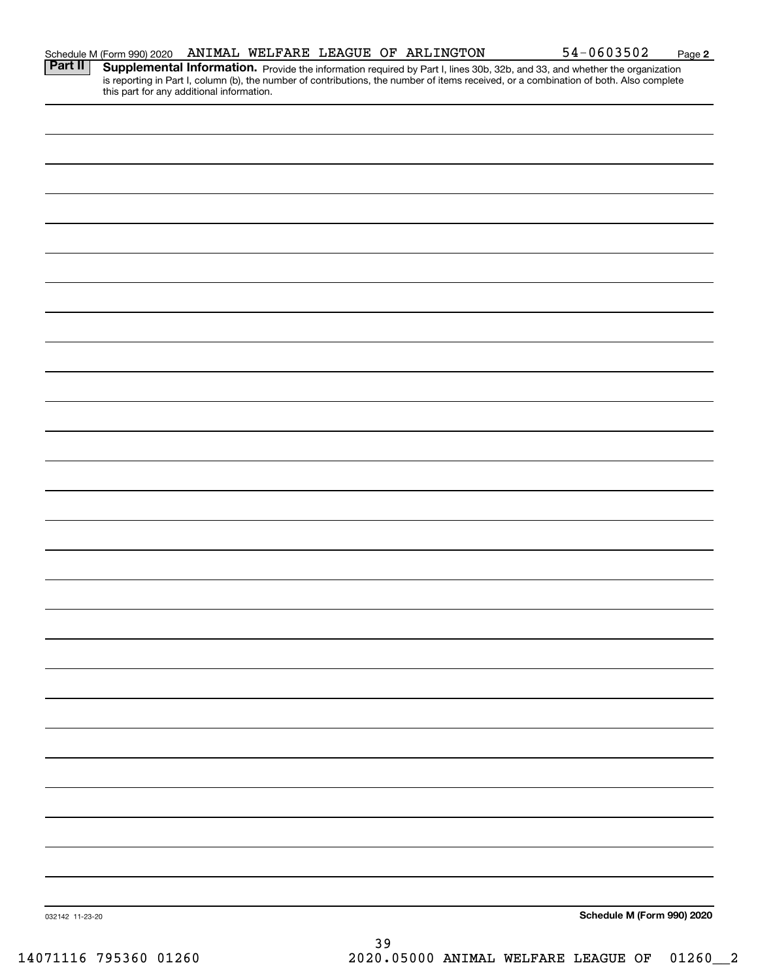| Part II         | <b>Supplemental Information.</b> Provide the information required by Part I, lines 30b, 32b, and 33, and whether the organization is reporting in Part I, column (b), the number of contributions, the number of items received, or |
|-----------------|-------------------------------------------------------------------------------------------------------------------------------------------------------------------------------------------------------------------------------------|
|                 |                                                                                                                                                                                                                                     |
|                 |                                                                                                                                                                                                                                     |
|                 |                                                                                                                                                                                                                                     |
|                 |                                                                                                                                                                                                                                     |
|                 |                                                                                                                                                                                                                                     |
|                 |                                                                                                                                                                                                                                     |
|                 |                                                                                                                                                                                                                                     |
|                 |                                                                                                                                                                                                                                     |
|                 |                                                                                                                                                                                                                                     |
|                 |                                                                                                                                                                                                                                     |
|                 |                                                                                                                                                                                                                                     |
|                 |                                                                                                                                                                                                                                     |
|                 |                                                                                                                                                                                                                                     |
|                 |                                                                                                                                                                                                                                     |
|                 |                                                                                                                                                                                                                                     |
|                 |                                                                                                                                                                                                                                     |
|                 |                                                                                                                                                                                                                                     |
|                 |                                                                                                                                                                                                                                     |
|                 |                                                                                                                                                                                                                                     |
|                 |                                                                                                                                                                                                                                     |
|                 |                                                                                                                                                                                                                                     |
|                 |                                                                                                                                                                                                                                     |
|                 |                                                                                                                                                                                                                                     |
|                 |                                                                                                                                                                                                                                     |
|                 |                                                                                                                                                                                                                                     |
|                 |                                                                                                                                                                                                                                     |
|                 |                                                                                                                                                                                                                                     |
|                 |                                                                                                                                                                                                                                     |
|                 |                                                                                                                                                                                                                                     |
|                 |                                                                                                                                                                                                                                     |
|                 |                                                                                                                                                                                                                                     |
|                 |                                                                                                                                                                                                                                     |
| 032142 11-23-20 | Schedule M (Form 990) 2020                                                                                                                                                                                                          |
|                 | າ ດ                                                                                                                                                                                                                                 |

**2** Schedule M (Form 990) 2020 Page

ANIMAL WELFARE LEAGUE OF ARLINGTON 54-0603502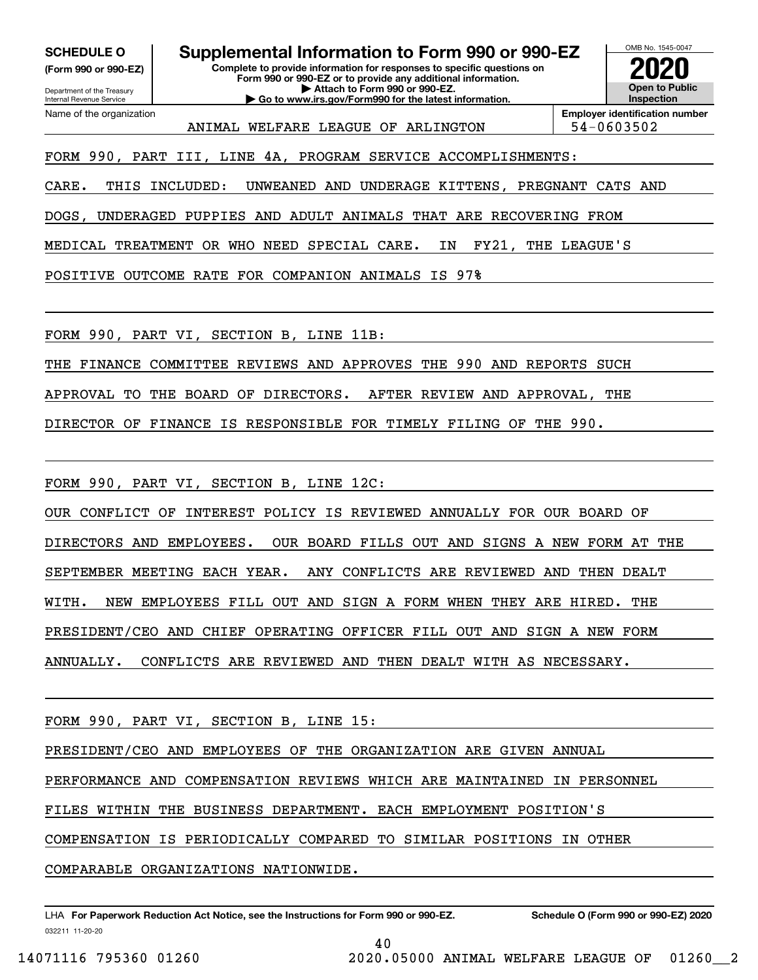**(Form 990 or 990-EZ)**

**Complete to provide information for responses to specific questions on Form 990 or 990-EZ or to provide any additional information. | Attach to Form 990 or 990-EZ. | Go to www.irs.gov/Form990 for the latest information. SCHEDULE O Supplemental Information to Form 990 or 990-EZ**



ANIMAL WELFARE LEAGUE OF ARLINGTON | 54-0603502

**Employer identification number**

FORM 990, PART III, LINE 4A, PROGRAM SERVICE ACCOMPLISHMENTS:

CARE. THIS INCLUDED: UNWEANED AND UNDERAGE KITTENS, PREGNANT CATS AND

DOGS, UNDERAGED PUPPIES AND ADULT ANIMALS THAT ARE RECOVERING FROM

MEDICAL TREATMENT OR WHO NEED SPECIAL CARE. IN FY21, THE LEAGUE'S

POSITIVE OUTCOME RATE FOR COMPANION ANIMALS IS 97%

FORM 990, PART VI, SECTION B, LINE 11B:

THE FINANCE COMMITTEE REVIEWS AND APPROVES THE 990 AND REPORTS SUCH

APPROVAL TO THE BOARD OF DIRECTORS. AFTER REVIEW AND APPROVAL, THE

DIRECTOR OF FINANCE IS RESPONSIBLE FOR TIMELY FILING OF THE 990.

FORM 990, PART VI, SECTION B, LINE 12C:

OUR CONFLICT OF INTEREST POLICY IS REVIEWED ANNUALLY FOR OUR BOARD OF

DIRECTORS AND EMPLOYEES. OUR BOARD FILLS OUT AND SIGNS A NEW FORM AT THE

SEPTEMBER MEETING EACH YEAR. ANY CONFLICTS ARE REVIEWED AND THEN DEALT

WITH. NEW EMPLOYEES FILL OUT AND SIGN A FORM WHEN THEY ARE HIRED. THE

PRESIDENT/CEO AND CHIEF OPERATING OFFICER FILL OUT AND SIGN A NEW FORM

ANNUALLY. CONFLICTS ARE REVIEWED AND THEN DEALT WITH AS NECESSARY.

FORM 990, PART VI, SECTION B, LINE 15:

PRESIDENT/CEO AND EMPLOYEES OF THE ORGANIZATION ARE GIVEN ANNUAL

PERFORMANCE AND COMPENSATION REVIEWS WHICH ARE MAINTAINED IN PERSONNEL

40

FILES WITHIN THE BUSINESS DEPARTMENT. EACH EMPLOYMENT POSITION'S

COMPENSATION IS PERIODICALLY COMPARED TO SIMILAR POSITIONS IN OTHER

COMPARABLE ORGANIZATIONS NATIONWIDE.

032211 11-20-20 LHA For Paperwork Reduction Act Notice, see the Instructions for Form 990 or 990-EZ. Schedule O (Form 990 or 990-EZ) 2020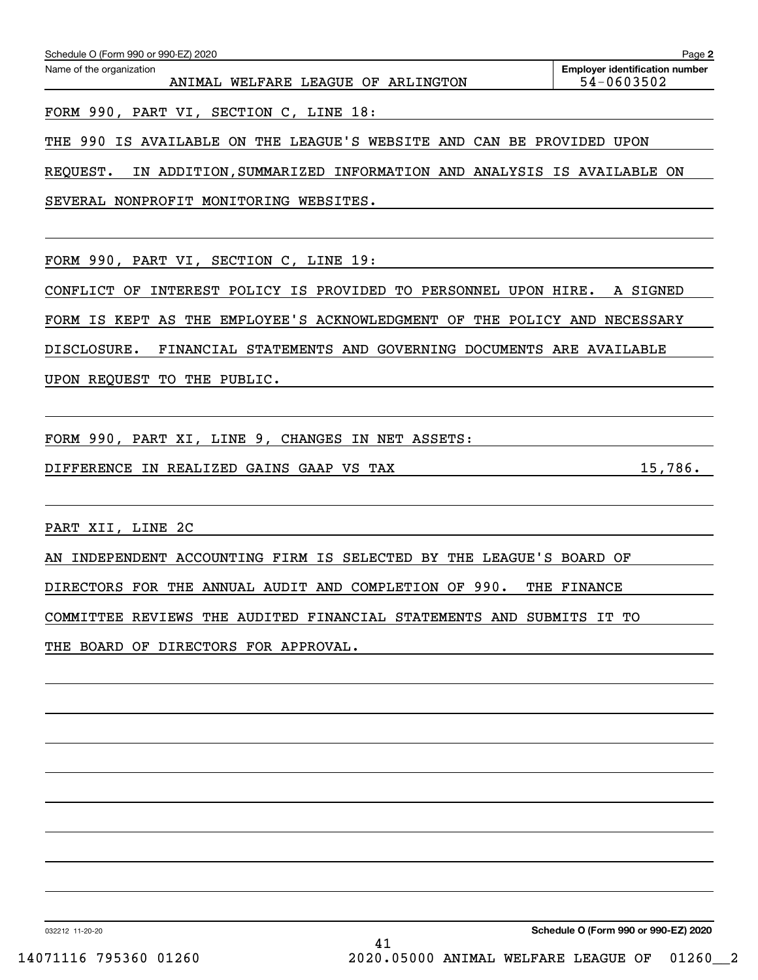| Name of the organization<br>ANIMAL WELFARE LEAGUE OF ARLINGTON               | <b>Employer identification number</b> |
|------------------------------------------------------------------------------|---------------------------------------|
|                                                                              | 54-0603502                            |
| FORM 990, PART VI, SECTION C, LINE 18:                                       |                                       |
| IS AVAILABLE ON THE LEAGUE'S WEBSITE AND CAN BE PROVIDED UPON<br>THE 990     |                                       |
| REQUEST.<br>IN ADDITION, SUMMARIZED INFORMATION AND ANALYSIS IS AVAILABLE ON |                                       |
| SEVERAL NONPROFIT MONITORING WEBSITES.                                       |                                       |
|                                                                              |                                       |
| FORM 990, PART VI, SECTION C, LINE 19:                                       |                                       |
| INTEREST POLICY IS PROVIDED TO PERSONNEL UPON HIRE.<br>CONFLICT OF           | A SIGNED                              |
| THE EMPLOYEE'S ACKNOWLEDGMENT OF<br>FORM IS KEPT AS                          | THE POLICY AND NECESSARY              |
| DISCLOSURE.<br>FINANCIAL STATEMENTS AND GOVERNING DOCUMENTS ARE AVAILABLE    |                                       |
| UPON REQUEST TO THE PUBLIC.                                                  |                                       |
|                                                                              |                                       |
| FORM 990, PART XI, LINE 9, CHANGES IN NET ASSETS:                            |                                       |
| DIFFERENCE IN REALIZED GAINS GAAP VS TAX                                     | 15,786.                               |
|                                                                              |                                       |
| PART XII, LINE 2C                                                            |                                       |
| INDEPENDENT ACCOUNTING FIRM IS SELECTED BY THE LEAGUE'S BOARD OF<br>AN       |                                       |
| DIRECTORS FOR THE ANNUAL AUDIT AND COMPLETION OF 990. THE FINANCE            |                                       |
| COMMITTEE REVIEWS THE AUDITED FINANCIAL STATEMENTS AND SUBMITS IT TO         |                                       |
| THE BOARD OF DIRECTORS FOR APPROVAL.                                         |                                       |
|                                                                              |                                       |
|                                                                              |                                       |
|                                                                              |                                       |
|                                                                              |                                       |
|                                                                              |                                       |
|                                                                              |                                       |

032212 11-20-20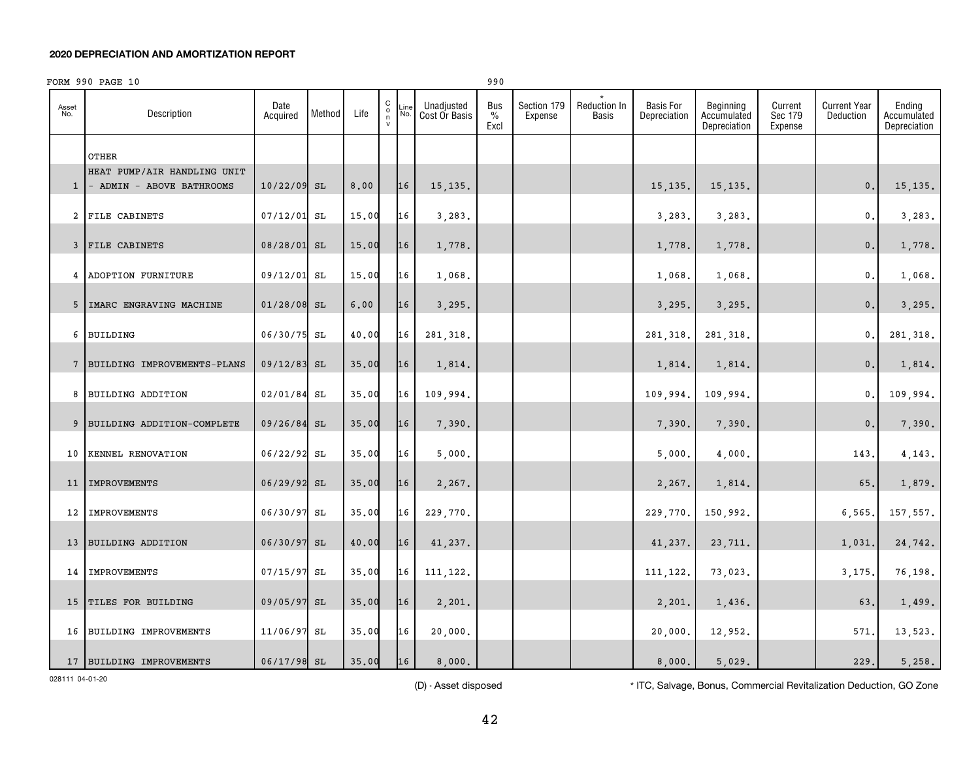|              | FORM 990 PAGE 10              |                  |        |       |                                                    |             |                             | 990                          |                        |                       |                                  |                                          |                               |                                  |                                       |
|--------------|-------------------------------|------------------|--------|-------|----------------------------------------------------|-------------|-----------------------------|------------------------------|------------------------|-----------------------|----------------------------------|------------------------------------------|-------------------------------|----------------------------------|---------------------------------------|
| Asset<br>No. | Description                   | Date<br>Acquired | Method | Life  | $\mathtt{C}$<br>$_{\rm n}^{\rm o}$<br>$\mathsf{v}$ | Line<br>No. | Unadjusted<br>Cost Or Basis | Bus<br>$\frac{0}{0}$<br>Excl | Section 179<br>Expense | Reduction In<br>Basis | <b>Basis For</b><br>Depreciation | Beginning<br>Accumulated<br>Depreciation | Current<br>Sec 179<br>Expense | <b>Current Year</b><br>Deduction | Ending<br>Accumulated<br>Depreciation |
|              | OTHER                         |                  |        |       |                                                    |             |                             |                              |                        |                       |                                  |                                          |                               |                                  |                                       |
|              | HEAT PUMP/AIR HANDLING UNIT   |                  |        |       |                                                    |             |                             |                              |                        |                       |                                  |                                          |                               |                                  |                                       |
| $\mathbf{1}$ | - ADMIN - ABOVE BATHROOMS     | $10/22/09$ SL    |        | 8,00  |                                                    | 16          | 15, 135.                    |                              |                        |                       | 15, 135.                         | 15, 135.                                 |                               | 0.                               | 15, 135.                              |
|              | 2 FILE CABINETS               | 07/12/01         | SL     | 15.00 |                                                    | 16          | 3,283.                      |                              |                        |                       | 3,283.                           | 3,283.                                   |                               | $\mathbf{0}$ .                   | 3,283.                                |
|              | 3 FILE CABINETS               | 08/28/01 SL      |        | 15.00 |                                                    | 16          | 1,778.                      |                              |                        |                       | 1,778.                           | 1,778.                                   |                               | 0.                               | 1,778.                                |
|              | 4 ADOPTION FURNITURE          | 09/12/01 SL      |        | 15.00 |                                                    | 16          | 1,068.                      |                              |                        |                       | 1,068.                           | 1,068.                                   |                               | $\mathfrak o$ .                  | 1,068.                                |
|              | 5   IMARC ENGRAVING MACHINE   | $01/28/08$ SL    |        | 6,00  |                                                    | 16          | 3,295.                      |                              |                        |                       | 3,295.                           | 3,295.                                   |                               | 0.                               | 3,295.                                |
| 6            | <b>BUILDING</b>               | 06/30/75         | SL     | 40.00 |                                                    | 16          | 281,318.                    |                              |                        |                       | 281,318.                         | 281, 318.                                |                               | 0.                               | 281, 318.                             |
|              | 7 BUILDING IMPROVEMENTS-PLANS | 09/12/83         | SL     | 35.00 |                                                    | 16          | 1,814.                      |                              |                        |                       | 1,814.                           | 1,814.                                   |                               | 0.                               | 1,814.                                |
|              | 8 BUILDING ADDITION           | 02/01/84         | SL     | 35.00 |                                                    | 16          | 109,994.                    |                              |                        |                       | 109,994.                         | 109,994.                                 |                               | 0.                               | 109,994.                              |
|              | 9 BUILDING ADDITION-COMPLETE  | 09/26/84 SL      |        | 35.00 |                                                    | 16          | 7,390.                      |                              |                        |                       | 7,390.                           | 7,390.                                   |                               | 0.                               | 7,390.                                |
| 10           | KENNEL RENOVATION             | 06/22/92 SL      |        | 35.00 |                                                    | 16          | 5,000.                      |                              |                        |                       | 5,000.                           | 4,000.                                   |                               | 143.                             | 4,143.                                |
|              | 11   IMPROVEMENTS             | 06/29/92 SL      |        | 35.00 |                                                    | 16          | 2,267.                      |                              |                        |                       | 2,267.                           | 1,814.                                   |                               | 65.                              | 1,879.                                |
|              |                               |                  |        |       |                                                    |             |                             |                              |                        |                       |                                  |                                          |                               |                                  |                                       |
| 12           | <b>IMPROVEMENTS</b>           | 06/30/97         | SL     | 35.00 |                                                    | 16          | 229,770.                    |                              |                        |                       | 229,770.                         | 150,992.                                 |                               | 6,565.                           | 157,557.                              |
|              | 13 BUILDING ADDITION          | 06/30/97 SL      |        | 40.00 |                                                    | 16          | 41,237.                     |                              |                        |                       | 41,237.                          | 23,711.                                  |                               | 1,031.                           | 24,742.                               |
|              | 14 IMPROVEMENTS               | 07/15/97         | SL     | 35.00 |                                                    | 16          | 111,122.                    |                              |                        |                       | 111,122.                         | 73,023.                                  |                               | 3,175.                           | 76,198.                               |
|              | 15 TILES FOR BUILDING         | 09/05/97         | SL     | 35.00 |                                                    | 16          | 2,201.                      |                              |                        |                       | 2,201.                           | 1,436.                                   |                               | 63.                              | 1,499.                                |
|              | 16 BUILDING IMPROVEMENTS      | 11/06/97         | SL     | 35.00 |                                                    | 16          | 20,000.                     |                              |                        |                       | 20,000.                          | 12,952.                                  |                               | 571.                             | 13,523.                               |
|              | 17 BUILDING IMPROVEMENTS      | 06/17/98 SL      |        | 35.00 |                                                    | 16          | 8,000.                      |                              |                        |                       | 8,000.                           | 5.029.                                   |                               | 229.                             | 5,258.                                |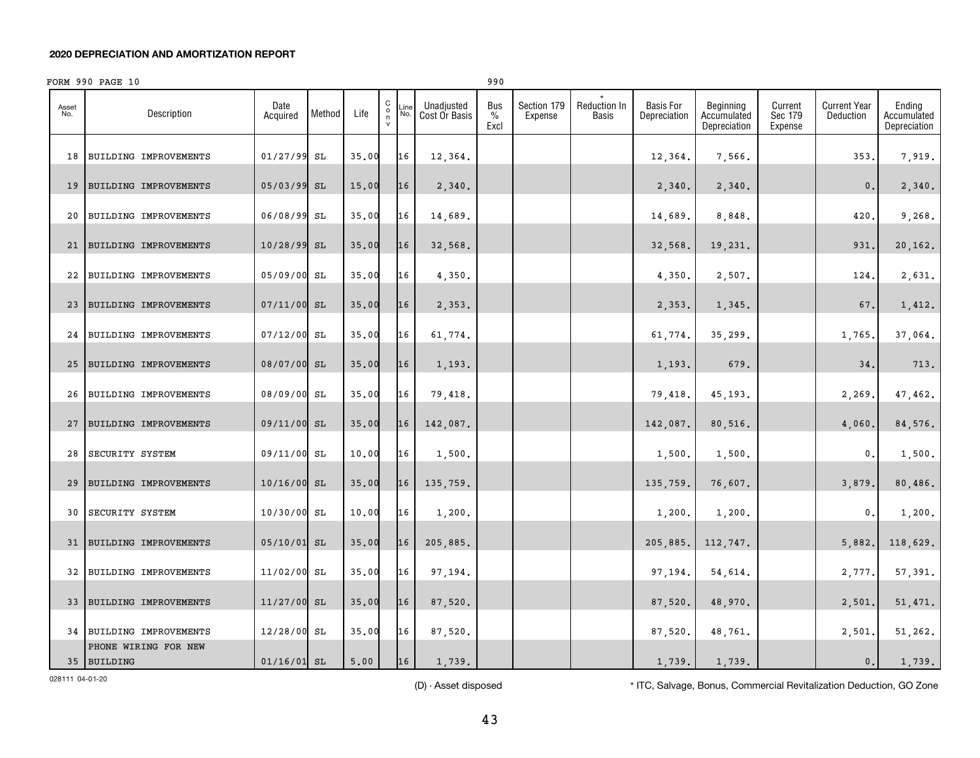|              | FORM 990 PAGE 10                    |                  |        |       |                                              |                                            | 990                          |                        |                              |                                  |                                          |                               |                                  |                                       |
|--------------|-------------------------------------|------------------|--------|-------|----------------------------------------------|--------------------------------------------|------------------------------|------------------------|------------------------------|----------------------------------|------------------------------------------|-------------------------------|----------------------------------|---------------------------------------|
| Asset<br>No. | Description                         | Date<br>Acquired | Method | Life  | $\begin{array}{c}\nC \\ O \\ N\n\end{array}$ | Unadjusted<br>Line<br>No.<br>Cost Or Basis | Bus<br>$\frac{0}{0}$<br>Excl | Section 179<br>Expense | <b>Reduction In</b><br>Basis | <b>Basis For</b><br>Depreciation | Beginning<br>Accumulated<br>Depreciation | Current<br>Sec 179<br>Expense | <b>Current Year</b><br>Deduction | Ending<br>Accumulated<br>Depreciation |
| 18           | BUILDING IMPROVEMENTS               | 01/27/99 SL      |        | 35.00 | 16                                           | 12,364.                                    |                              |                        |                              | 12,364.                          | 7,566.                                   |                               | 353.                             | 7,919.                                |
| 19           | <b>BUILDING IMPROVEMENTS</b>        | 05/03/99 SL      |        | 15.00 | 16                                           | 2,340.                                     |                              |                        |                              | 2,340.                           | 2,340.                                   |                               | $\mathbf{0}$ .                   | 2,340.                                |
| 20           | BUILDING IMPROVEMENTS               | 06/08/99 SL      |        | 35.00 | 16                                           | 14,689.                                    |                              |                        |                              | 14,689.                          | 8,848.                                   |                               | 420,                             | 9,268.                                |
| 21           | BUILDING IMPROVEMENTS               | 10/28/99 SL      |        | 35.00 | 16                                           | 32,568.                                    |                              |                        |                              | 32,568.                          | 19,231.                                  |                               | 931.                             | 20,162.                               |
| 22           | BUILDING IMPROVEMENTS               | 05/09/00 SL      |        | 35.00 | 16                                           | 4,350.                                     |                              |                        |                              | 4,350.                           | 2,507.                                   |                               | 124,                             | 2,631.                                |
| 23           | BUILDING IMPROVEMENTS               | $07/11/00$ SL    |        | 35.00 | 16                                           | 2,353.                                     |                              |                        |                              | 2,353.                           | 1,345.                                   |                               | 67.                              | 1,412.                                |
| 24           | BUILDING IMPROVEMENTS               | 07/12/00 SL      |        | 35.00 | 16                                           | 61,774.                                    |                              |                        |                              | 61,774.                          | 35,299.                                  |                               | 1,765                            | 37,064.                               |
| 25           | <b>BUILDING IMPROVEMENTS</b>        | 08/07/00 SL      |        | 35.00 | 16                                           | 1,193.                                     |                              |                        |                              | 1,193.                           | 679.                                     |                               | 34.                              | 713.                                  |
| 26           | BUILDING IMPROVEMENTS               | 08/09/00 SL      |        | 35.00 | 16                                           | 79,418.                                    |                              |                        |                              | 79,418.                          | 45,193.                                  |                               | 2,269.                           | 47,462.                               |
|              |                                     |                  |        |       |                                              |                                            |                              |                        |                              |                                  |                                          |                               |                                  |                                       |
| 27           | <b>BUILDING IMPROVEMENTS</b>        | 09/11/00 SL      |        | 35.00 | 16                                           | 142,087.                                   |                              |                        |                              | 142,087.                         | 80,516.                                  |                               | 4,060                            | 84,576.                               |
| 28           | SECURITY SYSTEM                     | 09/11/00 SL      |        | 10.00 | 16                                           | 1,500.                                     |                              |                        |                              | 1,500.                           | 1,500.                                   |                               | 0.                               | 1,500.                                |
| 29           | BUILDING IMPROVEMENTS               | 10/16/00 SL      |        | 35.00 | 16                                           | 135,759.                                   |                              |                        |                              | 135,759                          | 76,607.                                  |                               | 3,879.                           | 80,486.                               |
| 30           | SECURITY SYSTEM                     | 10/30/00 SL      |        | 10.00 | 16                                           | 1,200.                                     |                              |                        |                              | 1,200.                           | 1,200.                                   |                               | 0.                               | 1,200.                                |
|              | 31   BUILDING IMPROVEMENTS          | 05/10/01 SL      |        | 35.00 | 16                                           | 205,885.                                   |                              |                        |                              | 205,885.                         | 112,747.                                 |                               | 5,882.                           | 118,629.                              |
| 32           | BUILDING IMPROVEMENTS               | 11/02/00 SL      |        | 35.00 | 16                                           | 97,194.                                    |                              |                        |                              | 97,194.                          | 54,614.                                  |                               | 2,777.                           | 57,391.                               |
| 33           | BUILDING IMPROVEMENTS               | $11/27/00$ SL    |        | 35.00 | 16                                           | 87,520.                                    |                              |                        |                              | 87,520.                          | 48,970.                                  |                               | 2,501.                           | 51,471.                               |
|              | 34 BUILDING IMPROVEMENTS            | 12/28/00 SL      |        | 35.00 | 16                                           | 87,520.                                    |                              |                        |                              | 87,520.                          | 48,761.                                  |                               | 2,501.                           | 51,262.                               |
|              | PHONE WIRING FOR NEW<br>35 BUILDING | $01/16/01$ SL    |        | 5,00  | 16                                           | 1,739.                                     |                              |                        |                              | 1,739.                           | 1,739.                                   |                               | 0.                               | 1,739.                                |

028111 04-01-20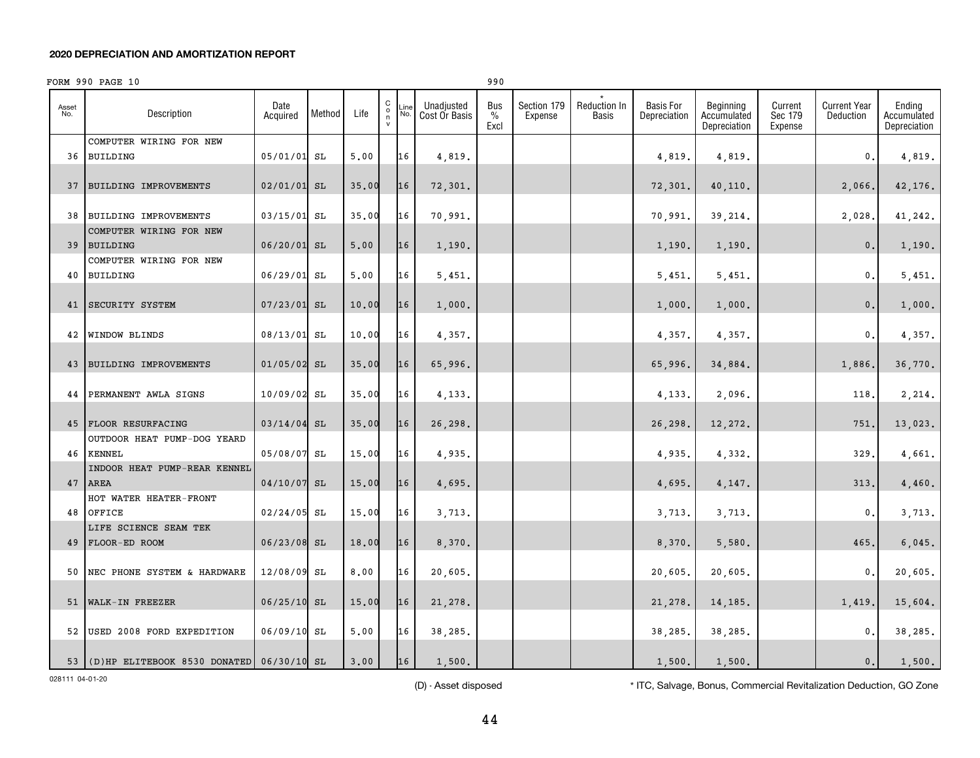|              | FORM 990 PAGE 10                            |                  |        |       |                                                        |             |                             | 990                          |                        |                       |                                  |                                          |                               |                                  |                                       |
|--------------|---------------------------------------------|------------------|--------|-------|--------------------------------------------------------|-------------|-----------------------------|------------------------------|------------------------|-----------------------|----------------------------------|------------------------------------------|-------------------------------|----------------------------------|---------------------------------------|
| Asset<br>No. | Description                                 | Date<br>Acquired | Method | Life  | $\begin{matrix} 0 \\ 0 \\ n \end{matrix}$<br>${\sf v}$ | .ine<br>No. | Unadjusted<br>Cost Or Basis | Bus<br>$\frac{0}{0}$<br>Excl | Section 179<br>Expense | Reduction In<br>Basis | <b>Basis For</b><br>Depreciation | Beginning<br>Accumulated<br>Depreciation | Current<br>Sec 179<br>Expense | <b>Current Year</b><br>Deduction | Ending<br>Accumulated<br>Depreciation |
|              | COMPUTER WIRING FOR NEW                     |                  |        |       |                                                        |             |                             |                              |                        |                       |                                  |                                          |                               |                                  |                                       |
| 36           | <b>BUILDING</b>                             | 05/01/01 SL      |        | 5.00  |                                                        | 16          | 4,819.                      |                              |                        |                       | 4,819.                           | 4,819.                                   |                               | 0.                               | 4,819.                                |
| 37           | BUILDING IMPROVEMENTS                       | $02/01/01$ SL    |        | 35.00 |                                                        | 16          | 72,301.                     |                              |                        |                       | 72,301.                          | 40,110.                                  |                               | 2,066.                           | 42,176.                               |
| 38           | BUILDING IMPROVEMENTS                       | 03/15/01 SL      |        | 35.00 |                                                        | 16          | 70,991.                     |                              |                        |                       | 70,991.                          | 39,214.                                  |                               | 2,028.                           | 41,242.                               |
| 39           | COMPUTER WIRING FOR NEW<br><b>BUILDING</b>  | 06/20/01 SL      |        | 5.00  |                                                        | 16          | 1,190.                      |                              |                        |                       | 1,190.                           | 1,190.                                   |                               | 0.                               | 1,190.                                |
|              | COMPUTER WIRING FOR NEW                     |                  |        |       |                                                        |             |                             |                              |                        |                       |                                  |                                          |                               |                                  |                                       |
| 40           | <b>BUILDING</b>                             | 06/29/01 SL      |        | 5.00  |                                                        | 16          | 5,451.                      |                              |                        |                       | 5,451.                           | 5,451.                                   |                               | 0.                               | 5,451.                                |
| 41           | SECURITY SYSTEM                             | 07/23/01         | SL     | 10.00 |                                                        | 16          | 1,000.                      |                              |                        |                       | 1,000.                           | 1,000.                                   |                               | 0.                               | 1,000.                                |
| 42           | <b>WINDOW BLINDS</b>                        | 08/13/01         | SL     | 10.00 |                                                        | 16          | 4,357.                      |                              |                        |                       | 4,357.                           | 4,357.                                   |                               | $\mathbf{0}$                     | 4,357.                                |
| 43           | BUILDING IMPROVEMENTS                       | $01/05/02$ SL    |        | 35.00 |                                                        | 16          | 65,996.                     |                              |                        |                       | 65,996.                          | 34,884.                                  |                               | 1,886.                           | 36,770.                               |
| 44           | PERMANENT AWLA SIGNS                        | 10/09/02 SL      |        | 35.00 |                                                        | 16          | 4,133.                      |                              |                        |                       | 4,133.                           | 2,096.                                   |                               | 118                              | 2,214.                                |
|              | 45 FLOOR RESURFACING                        | 03/14/04         | SL     | 35.00 |                                                        | 16          | 26,298.                     |                              |                        |                       | 26,298                           | 12,272.                                  |                               | 751                              | 13,023.                               |
|              | OUTDOOR HEAT PUMP-DOG YEARD<br>46 KENNEL    | 05/08/07         | SL     | 15.00 |                                                        | 16          | 4,935.                      |                              |                        |                       | 4,935.                           | 4,332.                                   |                               | 329                              | 4,661.                                |
|              | INDOOR HEAT PUMP-REAR KENNEL<br>47 AREA     | 04/10/07         | SL     | 15.00 |                                                        | 16          | 4,695.                      |                              |                        |                       | 4,695.                           | 4,147.                                   |                               | 313                              | 4,460.                                |
|              | HOT WATER HEATER-FRONT                      |                  |        |       |                                                        |             |                             |                              |                        |                       |                                  |                                          |                               |                                  |                                       |
| 48           | OFFICE                                      | $02/24/05$ SL    |        | 15.00 |                                                        | 16          | 3,713.                      |                              |                        |                       | 3,713.                           | 3,713.                                   |                               | 0                                | 3,713.                                |
|              | LIFE SCIENCE SEAM TEK<br>49 FLOOR-ED ROOM   | 06/23/08 SL      |        | 18.00 |                                                        | 16          | 8,370.                      |                              |                        |                       | 8,370.                           | 5,580.                                   |                               | 465                              | 6,045.                                |
| 50           | NEC PHONE SYSTEM & HARDWARE                 | 12/08/09 SL      |        | 8,00  |                                                        | 16          | 20,605.                     |                              |                        |                       | 20,605.                          | 20,605.                                  |                               | 0.                               | 20,605.                               |
| 51           | WALK-IN FREEZER                             | $06/25/10$ SL    |        | 15.00 |                                                        | 16          | 21,278.                     |                              |                        |                       | 21,278.                          | 14,185.                                  |                               | 1,419.                           | 15,604.                               |
|              | 52 USED 2008 FORD EXPEDITION                | 06/09/10 SL      |        | 5.00  |                                                        | 16          | 38,285.                     |                              |                        |                       | 38,285.                          | 38,285.                                  |                               | $\mathbf{0}$                     | 38,285.                               |
|              | 53 (D)HP ELITEBOOK 8530 DONATED 06/30/10 SL |                  |        | 3.00  |                                                        | 16          | 1,500.                      |                              |                        |                       | 1,500.                           | 1,500.                                   |                               | 0.                               | 1,500.                                |

028111 04-01-20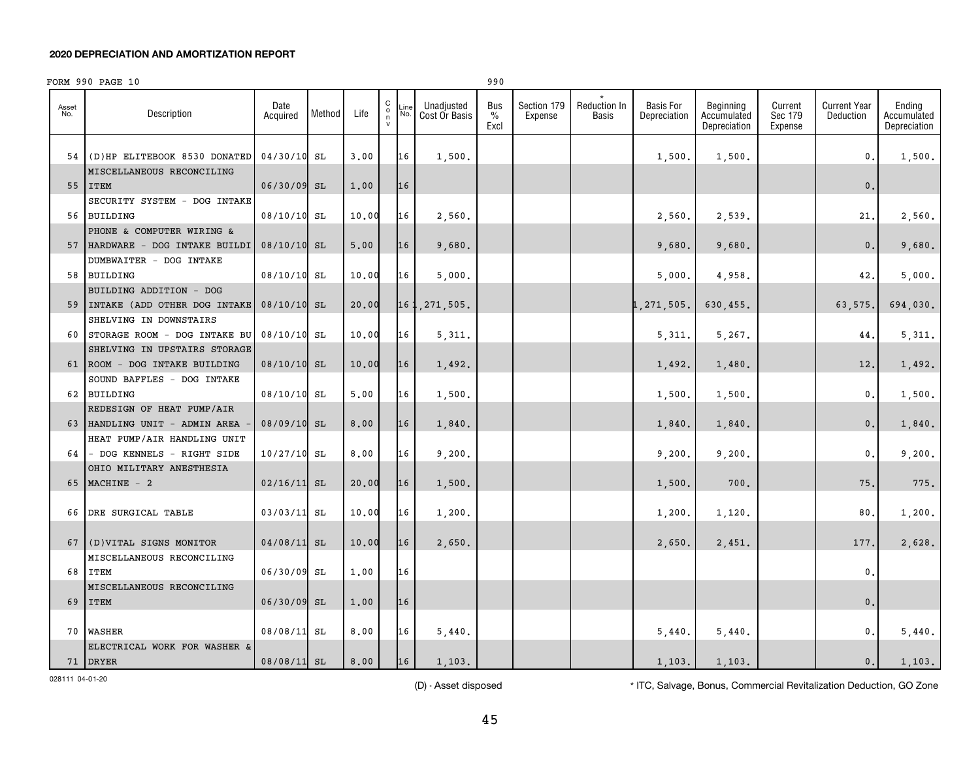|              | FORM 990 PAGE 10                                          |                  |        |       |                         |             |                             | 990                 |                        |                                     |                                  |                                          |                               |                                  |                                       |
|--------------|-----------------------------------------------------------|------------------|--------|-------|-------------------------|-------------|-----------------------------|---------------------|------------------------|-------------------------------------|----------------------------------|------------------------------------------|-------------------------------|----------------------------------|---------------------------------------|
| Asset<br>No. | Description                                               | Date<br>Acquired | Method | Life  | C<br>$_{\rm n}^{\rm o}$ | .ine<br>No. | Unadjusted<br>Cost Or Basis | Bus<br>$\%$<br>Excl | Section 179<br>Expense | <b>Reduction In</b><br><b>Basis</b> | <b>Basis For</b><br>Depreciation | Beginning<br>Accumulated<br>Depreciation | Current<br>Sec 179<br>Expense | <b>Current Year</b><br>Deduction | Ending<br>Accumulated<br>Depreciation |
| 54 I         | (D)HP ELITEBOOK 8530 DONATED<br>MISCELLANEOUS RECONCILING | 04/30/10         | SL     | 3.00  |                         | 16          | 1,500.                      |                     |                        |                                     | 1,500.                           | 1,500.                                   |                               | 0.                               | 1,500.                                |
|              | 55 TTEM                                                   | 06/30/09 SL      |        | 1.00  |                         | 16          |                             |                     |                        |                                     |                                  |                                          |                               | $\mathbf{0}$ .                   |                                       |
|              | SECURITY SYSTEM - DOG INTAKE                              |                  |        |       |                         |             |                             |                     |                        |                                     |                                  |                                          |                               |                                  |                                       |
| 56           | <b>BUILDING</b>                                           | 08/10/10 SL      |        | 10.00 |                         | 16          | 2,560.                      |                     |                        |                                     | 2,560.                           | 2,539.                                   |                               | 21                               | 2,560.                                |
|              | PHONE & COMPUTER WIRING &                                 |                  |        |       |                         |             |                             |                     |                        |                                     |                                  |                                          |                               |                                  |                                       |
| 57           | HARDWARE - DOG INTAKE BUILDI                              | 08/10/10         | SL     | 5,00  |                         | 16          | 9,680.                      |                     |                        |                                     | 9,680.                           | 9,680.                                   |                               | $\mathbf{0}$                     | 9,680.                                |
|              | DUMBWAITER - DOG INTAKE                                   |                  |        |       |                         |             |                             |                     |                        |                                     |                                  |                                          |                               |                                  |                                       |
|              | 58 BUILDING                                               | 08/10/10 SL      |        | 10.00 |                         | 16          | 5.000.                      |                     |                        |                                     | 5,000,                           | 4.958.                                   |                               | 42                               | 5.000.                                |
|              | BUILDING ADDITION - DOG                                   |                  |        |       |                         |             |                             |                     |                        |                                     |                                  |                                          |                               |                                  |                                       |
| 59           | INTAKE (ADD OTHER DOG INTAKE                              | 08/10/10 SL      |        | 20,00 |                         |             | 161,271,505,                |                     |                        |                                     | 1,271,505.                       | 630,455.                                 |                               | 63,575                           | 694,030.                              |
|              | SHELVING IN DOWNSTAIRS                                    |                  |        |       |                         |             |                             |                     |                        |                                     |                                  |                                          |                               |                                  |                                       |
| 60           | STORAGE ROOM - DOG INTAKE BU                              | 08/10/10         | SL     | 10.00 |                         | 16          | 5.311.                      |                     |                        |                                     | 5, 311.                          | 5,267.                                   |                               | 44                               | 5,311.                                |
|              | SHELVING IN UPSTAIRS STORAGE                              |                  |        |       |                         |             |                             |                     |                        |                                     |                                  |                                          |                               |                                  |                                       |
|              | 61 ROOM - DOG INTAKE BUILDING                             | 08/10/10 SL      |        | 10.00 |                         | 16          | 1,492.                      |                     |                        |                                     | 1,492.                           | 1,480.                                   |                               | 12                               | 1,492.                                |
|              | SOUND BAFFLES - DOG INTAKE                                |                  |        |       |                         |             |                             |                     |                        |                                     |                                  |                                          |                               |                                  |                                       |
|              | 62 BUILDING                                               | 08/10/10 SL      |        | 5.00  |                         | 16          | 1,500.                      |                     |                        |                                     | 1,500.                           | 1,500.                                   |                               | 0.                               | 1,500.                                |
|              | REDESIGN OF HEAT PUMP/AIR                                 |                  |        |       |                         |             |                             |                     |                        |                                     |                                  |                                          |                               |                                  |                                       |
|              | 63 HANDLING UNIT - ADMIN AREA                             | 08/09/10 SL      |        | 8,00  |                         | 16          | 1,840.                      |                     |                        |                                     | 1,840.                           | 1,840.                                   |                               | $\mathbf{0}$ .                   | 1,840.                                |
|              | HEAT PUMP/AIR HANDLING UNIT                               |                  |        |       |                         |             |                             |                     |                        |                                     |                                  |                                          |                               |                                  |                                       |
| 64           | - DOG KENNELS - RIGHT SIDE                                | 10/27/10         | SL     | 8,00  |                         | 16          | 9,200.                      |                     |                        |                                     | 9,200.                           | 9,200.                                   |                               | 0.                               | 9,200.                                |
|              | OHIO MILITARY ANESTHESIA                                  |                  |        |       |                         |             |                             |                     |                        |                                     |                                  |                                          |                               |                                  |                                       |
|              | 65 MACHINE - 2                                            | $02/16/11$ SL    |        | 20,00 |                         | 16          | 1,500.                      |                     |                        |                                     | 1,500.                           | 700.                                     |                               | 75.                              | 775.                                  |
|              |                                                           |                  |        |       |                         |             |                             |                     |                        |                                     |                                  |                                          |                               |                                  |                                       |
| 66           | DRE SURGICAL TABLE                                        | 03/03/11 SL      |        | 10.00 |                         | 16          | 1,200.                      |                     |                        |                                     | 1,200.                           | 1,120.                                   |                               | 80                               | 1,200.                                |
|              |                                                           |                  |        |       |                         |             |                             |                     |                        |                                     |                                  |                                          |                               |                                  |                                       |
|              | 67 (D) VITAL SIGNS MONITOR                                | 04/08/11 SL      |        | 10.00 |                         | 16          | 2,650.                      |                     |                        |                                     | 2,650.                           | 2,451.                                   |                               | 177                              | 2,628.                                |
|              | MISCELLANEOUS RECONCILING                                 |                  |        |       |                         |             |                             |                     |                        |                                     |                                  |                                          |                               |                                  |                                       |
|              | 68 IITEM                                                  | 06/30/09         | SL     | 1.00  |                         | 16          |                             |                     |                        |                                     |                                  |                                          |                               | $\mathbf{0}$                     |                                       |
|              | MISCELLANEOUS RECONCILING                                 |                  |        |       |                         |             |                             |                     |                        |                                     |                                  |                                          |                               |                                  |                                       |
| 69           | <b>ITEM</b>                                               | 06/30/09 SL      |        | 1.00  |                         | 16          |                             |                     |                        |                                     |                                  |                                          |                               | 0.                               |                                       |
| 70           | <b>WASHER</b>                                             | 08/08/11 SL      |        | 8,00  |                         | 16          |                             |                     |                        |                                     | 5,440.                           |                                          |                               | $\mathbf{0}$                     |                                       |
|              | ELECTRICAL WORK FOR WASHER &                              |                  |        |       |                         |             | 5,440.                      |                     |                        |                                     |                                  | 5,440.                                   |                               |                                  | 5,440.                                |
|              | 71 DRYER                                                  | 08/08/11 SL      |        | 8,00  |                         | 16          | 1.103.                      |                     |                        |                                     | 1,103.                           | 1.103.                                   |                               | 0.                               | 1,103.                                |
|              |                                                           |                  |        |       |                         |             |                             |                     |                        |                                     |                                  |                                          |                               |                                  |                                       |

028111 04-01-20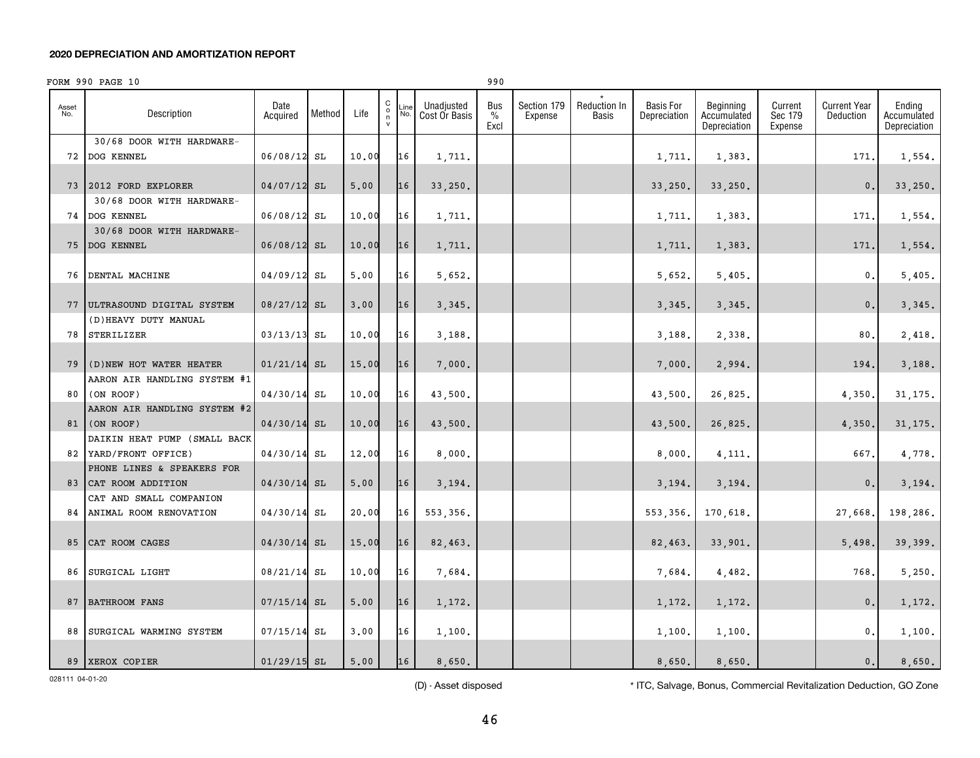|              | FORM 990 PAGE 10             |                  |        |       |                                               |             |                             | 990                 |                        |                              |                                  |                                          |                               |                                  |                                       |
|--------------|------------------------------|------------------|--------|-------|-----------------------------------------------|-------------|-----------------------------|---------------------|------------------------|------------------------------|----------------------------------|------------------------------------------|-------------------------------|----------------------------------|---------------------------------------|
| Asset<br>No. | Description                  | Date<br>Acquired | Method | Life  | C<br>$_\mathrm{n}^\mathrm{o}$<br>$\mathsf{v}$ | -ine<br>No. | Unadjusted<br>Cost Or Basis | Bus<br>$\%$<br>Excl | Section 179<br>Expense | <b>Reduction In</b><br>Basis | <b>Basis For</b><br>Depreciation | Beginning<br>Accumulated<br>Depreciation | Current<br>Sec 179<br>Expense | <b>Current Year</b><br>Deduction | Ending<br>Accumulated<br>Depreciation |
|              | 30/68 DOOR WITH HARDWARE-    |                  |        |       |                                               |             |                             |                     |                        |                              |                                  |                                          |                               |                                  |                                       |
|              | 72 DOG KENNEL                | 06/08/12         | SL     | 10.00 |                                               | 16          | 1,711.                      |                     |                        |                              | 1,711.                           | 1,383.                                   |                               | 171                              | 1,554.                                |
|              |                              |                  |        |       |                                               |             |                             |                     |                        |                              |                                  |                                          |                               |                                  |                                       |
|              | 73 2012 FORD EXPLORER        | 04/07/12 SL      |        | 5,00  |                                               | 16          | 33,250.                     |                     |                        |                              | 33,250.                          | 33,250.                                  |                               | $\mathbf{0}$ .                   | 33,250.                               |
|              | 30/68 DOOR WITH HARDWARE-    |                  |        |       |                                               |             |                             |                     |                        |                              |                                  |                                          |                               |                                  |                                       |
|              | 74 DOG KENNEL                | 06/08/12         | SL     | 10.00 |                                               | 16          | 1,711.                      |                     |                        |                              | 1,711.                           | 1,383.                                   |                               | 171                              | 1,554.                                |
|              | 30/68 DOOR WITH HARDWARE-    |                  |        |       |                                               |             |                             |                     |                        |                              |                                  |                                          |                               |                                  |                                       |
|              | 75 DOG KENNEL                | $06/08/12$ SL    |        | 10.00 |                                               | 16          | 1,711.                      |                     |                        |                              | 1,711.                           | 1,383.                                   |                               | 171                              | 1,554.                                |
|              |                              |                  |        |       |                                               |             |                             |                     |                        |                              |                                  |                                          |                               |                                  |                                       |
|              | <b>76 DENTAL MACHINE</b>     | 04/09/12         | SL     | 5,00  |                                               | 16          | 5.652.                      |                     |                        |                              | 5,652.                           | 5,405.                                   |                               | 0.                               | 5.405.                                |
|              |                              |                  |        |       |                                               |             |                             |                     |                        |                              |                                  |                                          |                               |                                  |                                       |
| 77           | ULTRASOUND DIGITAL SYSTEM    | $08/27/12$ SL    |        | 3,00  |                                               | 16          | 3,345.                      |                     |                        |                              | 3,345.                           | 3,345.                                   |                               | $\mathbf{0}$ .                   | 3,345.                                |
|              | (D) HEAVY DUTY MANUAL        |                  |        |       |                                               |             |                             |                     |                        |                              |                                  |                                          |                               |                                  |                                       |
| 78           | STERILIZER                   | 03/13/13         | SL     | 10.00 |                                               | 16          | 3.188.                      |                     |                        |                              | 3,188.                           | 2,338.                                   |                               | 80                               | 2,418.                                |
|              |                              |                  |        |       |                                               |             |                             |                     |                        |                              |                                  |                                          |                               |                                  |                                       |
| 79           | (D) NEW HOT WATER HEATER     | 01/21/14         | SL     | 15.00 |                                               | 16          | 7,000.                      |                     |                        |                              | 7,000.                           | 2,994.                                   |                               | 194                              | 3,188.                                |
|              | AARON AIR HANDLING SYSTEM #1 |                  |        |       |                                               |             |                             |                     |                        |                              |                                  |                                          |                               |                                  |                                       |
| 80 I         | (ON ROOF)                    | 04/30/14         | SL     | 10.00 |                                               | 16          | 43,500.                     |                     |                        |                              | 43,500.                          | 26,825.                                  |                               | 4,350.                           | 31, 175.                              |
|              | AARON AIR HANDLING SYSTEM #2 |                  |        |       |                                               |             |                             |                     |                        |                              |                                  |                                          |                               |                                  |                                       |
|              | 81 (ON ROOF)                 | 04/30/14         | SL     | 10.00 |                                               | 16          | 43,500.                     |                     |                        |                              | 43,500.                          | 26,825.                                  |                               | 4,350                            | 31, 175.                              |
|              | DAIKIN HEAT PUMP (SMALL BACK |                  |        |       |                                               |             |                             |                     |                        |                              |                                  |                                          |                               |                                  |                                       |
|              | 82 YARD/FRONT OFFICE)        | 04/30/14         | SL     | 12.00 |                                               | 16          | 8,000.                      |                     |                        |                              | 8,000.                           | 4,111.                                   |                               | 667,                             | 4,778.                                |
|              | PHONE LINES & SPEAKERS FOR   |                  |        |       |                                               |             |                             |                     |                        |                              |                                  |                                          |                               |                                  |                                       |
| 83           | CAT ROOM ADDITION            | 04/30/14         | SL     | 5,00  |                                               | 16          | 3,194.                      |                     |                        |                              | 3,194.                           | 3,194.                                   |                               | $\mathbf{0}$ .                   | 3,194.                                |
|              | CAT AND SMALL COMPANION      |                  |        |       |                                               |             |                             |                     |                        |                              |                                  |                                          |                               |                                  |                                       |
|              | 84 ANIMAL ROOM RENOVATION    | 04/30/14         | SL     | 20,00 |                                               | 16          | 553,356.                    |                     |                        |                              | 553,356.                         | 170.618.                                 |                               | 27,668.                          | 198,286.                              |
|              |                              |                  |        |       |                                               |             |                             |                     |                        |                              |                                  |                                          |                               |                                  |                                       |
| 85           | CAT ROOM CAGES               | $04/30/14$ SL    |        | 15.00 |                                               | 16          | 82,463.                     |                     |                        |                              | 82,463.                          | 33,901.                                  |                               | 5,498.                           | 39,399.                               |
|              |                              |                  |        |       |                                               |             |                             |                     |                        |                              |                                  |                                          |                               |                                  |                                       |
| 86           | SURGICAL LIGHT               | 08/21/14         | SL     | 10.00 |                                               | 16          | 7.684.                      |                     |                        |                              | 7,684.                           | 4,482.                                   |                               | 768.                             | 5.250.                                |
|              |                              |                  |        |       |                                               |             |                             |                     |                        |                              |                                  |                                          |                               |                                  |                                       |
| 87           | BATHROOM FANS                | 07/15/14         | SL     | 5,00  |                                               | 16          | 1,172.                      |                     |                        |                              | 1,172.                           | 1,172.                                   |                               | $\mathbf{0}$ .                   | 1,172.                                |
|              |                              |                  |        |       |                                               |             |                             |                     |                        |                              |                                  |                                          |                               |                                  |                                       |
| 88           | SURGICAL WARMING SYSTEM      | 07/15/14         | SL     | 3.00  |                                               | 16          | 1,100.                      |                     |                        |                              | 1,100.                           | 1,100.                                   |                               | $\mathbf{0}$ .                   | 1,100.                                |
|              |                              |                  |        |       |                                               |             |                             |                     |                        |                              |                                  |                                          |                               |                                  |                                       |
|              | 89 XEROX COPIER              | $01/29/15$ SL    |        | 5.00  |                                               | 16          | 8.650.                      |                     |                        |                              | 8.650.                           | 8,650.                                   |                               | 0.                               | 8,650.                                |

028111 04-01-20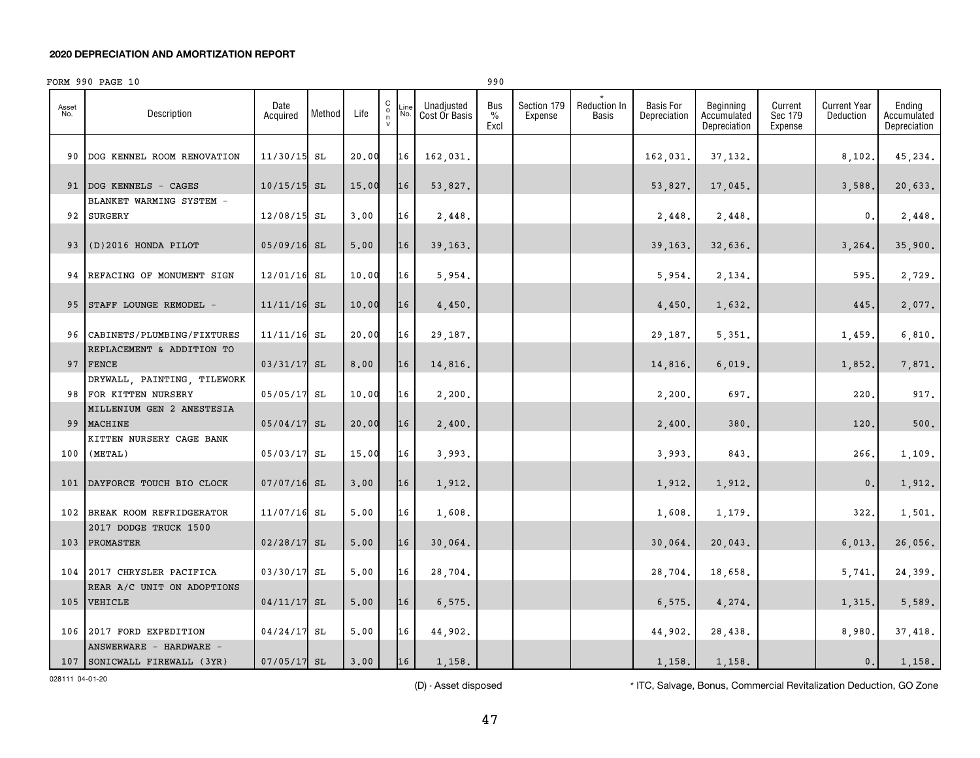|              | FORM 990 PAGE 10                                     |                  |        |       |                                              |             |                             | 990                 |                        |                              |                                  |                                          |                               |                                  |                                       |
|--------------|------------------------------------------------------|------------------|--------|-------|----------------------------------------------|-------------|-----------------------------|---------------------|------------------------|------------------------------|----------------------------------|------------------------------------------|-------------------------------|----------------------------------|---------------------------------------|
| Asset<br>No. | Description                                          | Date<br>Acquired | Method | Life  | $\begin{array}{c}\nC \\ O \\ N\n\end{array}$ | Line<br>No. | Unadjusted<br>Cost Or Basis | Bus<br>$\%$<br>Excl | Section 179<br>Expense | Reduction In<br><b>Basis</b> | <b>Basis For</b><br>Depreciation | Beginning<br>Accumulated<br>Depreciation | Current<br>Sec 179<br>Expense | <b>Current Year</b><br>Deduction | Ending<br>Accumulated<br>Depreciation |
| 90           | DOG KENNEL ROOM RENOVATION                           | 11/30/15 SL      |        | 20.00 |                                              | 16          | 162,031.                    |                     |                        |                              | 162,031.                         | 37,132.                                  |                               | 8,102.                           | 45,234.                               |
|              | 91   DOG KENNELS - CAGES                             | $10/15/15$ SL    |        | 15.00 |                                              | 16          | 53,827.                     |                     |                        |                              | 53,827.                          | 17,045.                                  |                               | 3,588                            | 20,633.                               |
|              | BLANKET WARMING SYSTEM -<br>92 SURGERY               | 12/08/15 SL      |        | 3,00  |                                              | 16          | 2,448.                      |                     |                        |                              | 2,448.                           | 2,448.                                   |                               | 0.                               | 2,448.                                |
|              | 93 (D)2016 HONDA PILOT                               | 05/09/16 SL      |        | 5,00  |                                              | 16          | 39, 163.                    |                     |                        |                              | 39,163.                          | 32,636.                                  |                               | 3, 264.                          | 35,900.                               |
|              | 94 REFACING OF MONUMENT SIGN                         | $12/01/16$ SL    |        | 10.00 |                                              | 16          | 5,954.                      |                     |                        |                              | 5,954.                           | 2,134.                                   |                               | 595.                             | 2,729.                                |
|              | 95 STAFF LOUNGE REMODEL -                            | $11/11/16$ SL    |        | 10.00 |                                              | 16          | 4,450.                      |                     |                        |                              | 4,450.                           | 1,632.                                   |                               | 445                              | 2,077.                                |
|              | 96 CABINETS/PLUMBING/FIXTURES                        | $11/11/16$ SL    |        | 20.00 |                                              | 16          | 29,187.                     |                     |                        |                              | 29,187.                          | 5,351.                                   |                               | 1,459.                           | 6,810.                                |
|              | REPLACEMENT & ADDITION TO<br>97 FENCE                | 03/31/17 SL      |        | 8,00  |                                              | 16          | 14,816.                     |                     |                        |                              | 14,816.                          | 6,019.                                   |                               | 1,852                            | 7,871.                                |
|              | DRYWALL, PAINTING, TILEWORK<br>98 FOR KITTEN NURSERY | 05/05/17         | SL     | 10.00 |                                              | 16          | 2,200.                      |                     |                        |                              | 2,200.                           | 697.                                     |                               | 220                              | 917.                                  |
|              | MILLENIUM GEN 2 ANESTESIA<br>99 MACHINE              | 05/04/17 SL      |        | 20.00 |                                              | 16          | 2,400.                      |                     |                        |                              | 2,400.                           | 380.                                     |                               | 120                              | 500.                                  |
|              | KITTEN NURSERY CAGE BANK<br>$100$ (METAL)            | 05/03/17 SL      |        | 15.00 |                                              | 16          | 3,993.                      |                     |                        |                              | 3,993.                           | 843.                                     |                               | 266.                             | 1,109.                                |
|              | 101 DAYFORCE TOUCH BIO CLOCK                         | 07/07/16 SL      |        | 3,00  |                                              | 16          | 1,912.                      |                     |                        |                              | 1,912.                           | 1,912.                                   |                               | $\mathbf{0}$ .                   | 1,912.                                |
|              | 102 BREAK ROOM REFRIDGERATOR                         | 11/07/16 SL      |        | 5.00  |                                              | 16          | 1,608.                      |                     |                        |                              | 1,608.                           | 1,179.                                   |                               | 322.                             | 1,501.                                |
|              | 2017 DODGE TRUCK 1500<br>103 PROMASTER               | 02/28/17 SL      |        | 5,00  |                                              | 16          | 30,064.                     |                     |                        |                              | 30,064.                          | 20,043.                                  |                               | 6,013,                           | 26,056.                               |
|              | 104 2017 CHRYSLER PACIFICA                           | 03/30/17 SL      |        | 5.00  |                                              | 16          | 28,704.                     |                     |                        |                              | 28,704.                          | 18,658.                                  |                               | 5,741.                           | 24,399.                               |
| 105          | REAR A/C UNIT ON ADOPTIONS<br><b>VEHICLE</b>         | 04/11/17 SL      |        | 5.00  |                                              | 16          | 6,575.                      |                     |                        |                              | 6,575.                           | 4,274.                                   |                               | 1,315,                           | 5,589.                                |
| 106          | 2017 FORD EXPEDITION<br>ANSWERWARE - HARDWARE -      | 04/24/17         | SL     | 5.00  |                                              | 16          | 44,902.                     |                     |                        |                              | 44,902.                          | 28,438.                                  |                               | 8,980.                           | 37,418.                               |
|              | 107 SONICWALL FIREWALL (3YR)                         | $07/05/17$ SL    |        | 3.00  |                                              | 16          | 1,158.                      |                     |                        |                              | 1,158.                           | 1,158.                                   |                               | 0.                               | 1,158.                                |

028111 04-01-20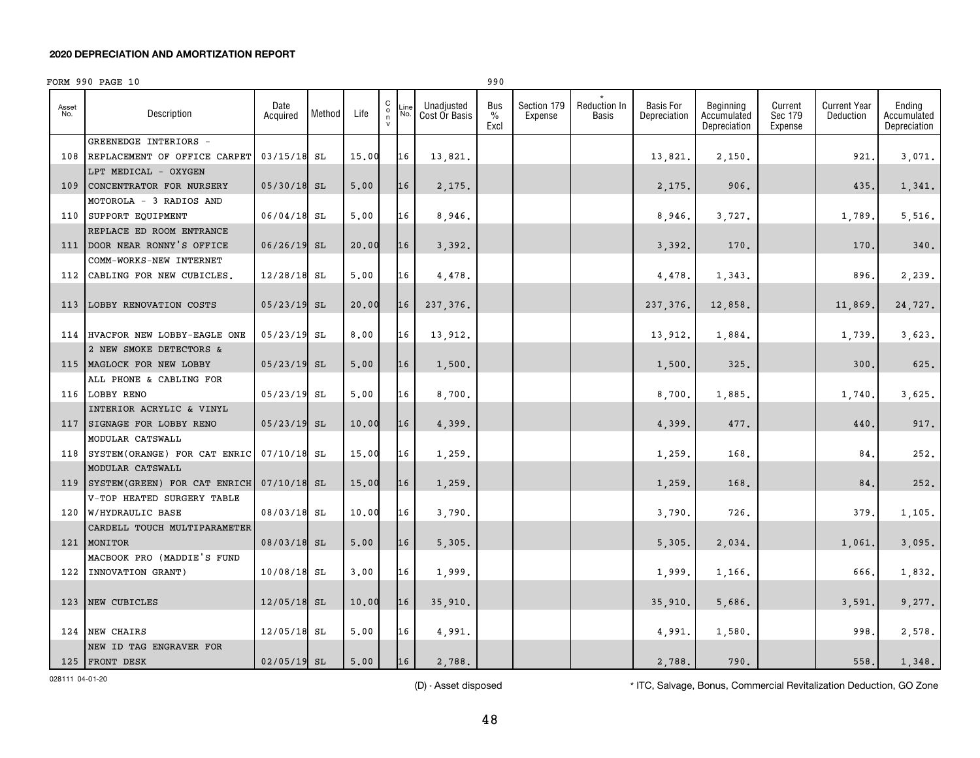|              | FORM 990 PAGE 10              |                  |        |       |                                                           |                                            | 990                          |                        |                       |                                  |                                          |                               |                                  |                                       |
|--------------|-------------------------------|------------------|--------|-------|-----------------------------------------------------------|--------------------------------------------|------------------------------|------------------------|-----------------------|----------------------------------|------------------------------------------|-------------------------------|----------------------------------|---------------------------------------|
| Asset<br>No. | Description                   | Date<br>Acquired | Method | Life  | $\begin{matrix} 0 \\ 0 \\ n \end{matrix}$<br>$\mathsf{v}$ | Unadjusted<br>.ine<br>No.<br>Cost Or Basis | Bus<br>$\frac{0}{0}$<br>Excl | Section 179<br>Expense | Reduction In<br>Basis | <b>Basis For</b><br>Depreciation | Beginning<br>Accumulated<br>Depreciation | Current<br>Sec 179<br>Expense | <b>Current Year</b><br>Deduction | Ending<br>Accumulated<br>Depreciation |
|              | GREENEDGE INTERIORS -         |                  |        |       |                                                           |                                            |                              |                        |                       |                                  |                                          |                               |                                  |                                       |
| 108          | REPLACEMENT OF OFFICE CARPET  | $03/15/18$ SL    |        | 15.00 | 16                                                        | 13,821.                                    |                              |                        |                       | 13,821,                          | 2,150.                                   |                               | 921                              | 3,071.                                |
|              | LPT MEDICAL - OXYGEN          |                  |        |       |                                                           |                                            |                              |                        |                       |                                  |                                          |                               |                                  |                                       |
| 109          | CONCENTRATOR FOR NURSERY      | $05/30/18$ SL    |        | 5.00  | 16                                                        | 2.175.                                     |                              |                        |                       | 2,175.                           | 906.                                     |                               | 435                              | 1,341.                                |
|              | MOTOROLA - 3 RADIOS AND       |                  |        |       |                                                           |                                            |                              |                        |                       |                                  |                                          |                               |                                  |                                       |
| 110          | SUPPORT EQUIPMENT             | 06/04/18         | SL     | 5.00  | 16                                                        | 8,946.                                     |                              |                        |                       | 8,946.                           | 3,727.                                   |                               | 1,789.                           | 5,516.                                |
|              | REPLACE ED ROOM ENTRANCE      |                  |        |       |                                                           |                                            |                              |                        |                       |                                  |                                          |                               |                                  |                                       |
| 111          | DOOR NEAR RONNY'S OFFICE      | 06/26/19         | SL     | 20,00 | 16                                                        | 3,392.                                     |                              |                        |                       | 3,392.                           | 170.                                     |                               | 170                              | 340.                                  |
|              | COMM-WORKS-NEW INTERNET       |                  |        |       |                                                           |                                            |                              |                        |                       |                                  |                                          |                               |                                  |                                       |
|              | 112 CABLING FOR NEW CUBICLES. | $12/28/18$ SL    |        | 5.00  | 16                                                        | 4.478.                                     |                              |                        |                       | 4,478.                           | 1,343.                                   |                               | 896                              | 2,239.                                |
|              |                               |                  |        |       |                                                           |                                            |                              |                        |                       |                                  |                                          |                               |                                  |                                       |
| 113          | LOBBY RENOVATION COSTS        | 05/23/19         | SL     | 20,00 | 16                                                        | 237, 376.                                  |                              |                        |                       | 237, 376.                        | 12,858.                                  |                               | 11,869.                          | 24,727.                               |
|              |                               |                  |        |       |                                                           |                                            |                              |                        |                       |                                  |                                          |                               |                                  |                                       |
| 114          | HVACFOR NEW LOBBY-EAGLE ONE   | 05/23/19         | SL     | 8.00  | 16                                                        | 13,912.                                    |                              |                        |                       | 13,912.                          | 1,884.                                   |                               | 1,739                            | 3,623.                                |
|              | 2 NEW SMOKE DETECTORS &       |                  |        |       |                                                           |                                            |                              |                        |                       |                                  |                                          |                               |                                  |                                       |
| 115          | MAGLOCK FOR NEW LOBBY         | 05/23/19         | SL     | 5.00  | 16                                                        | 1,500.                                     |                              |                        |                       | 1,500.                           | 325.                                     |                               | 300                              | 625.                                  |
|              | ALL PHONE & CABLING FOR       |                  |        |       |                                                           |                                            |                              |                        |                       |                                  |                                          |                               |                                  |                                       |
|              | 116 LOBBY RENO                | 05/23/19 SL      |        | 5.00  | 16                                                        | 8,700.                                     |                              |                        |                       | 8,700.                           | 1,885.                                   |                               | 1,740                            | 3,625.                                |
|              | INTERIOR ACRYLIC & VINYL      |                  |        |       |                                                           |                                            |                              |                        |                       |                                  |                                          |                               |                                  |                                       |
| 117          | SIGNAGE FOR LOBBY RENO        | $05/23/19$ SL    |        | 10.00 | 16                                                        | 4.399.                                     |                              |                        |                       | 4,399.                           | 477.                                     |                               | 440                              | 917.                                  |
|              | MODULAR CATSWALL              |                  |        |       |                                                           |                                            |                              |                        |                       |                                  |                                          |                               |                                  |                                       |
| 118          | SYSTEM(ORANGE) FOR CAT ENRIC  | 07/10/18         | SL     | 15.00 | 16                                                        | 1,259.                                     |                              |                        |                       | 1,259.                           | 168.                                     |                               | 84.                              | 252.                                  |
|              | MODULAR CATSWALL              |                  |        |       |                                                           |                                            |                              |                        |                       |                                  |                                          |                               |                                  |                                       |
| 119          | SYSTEM (GREEN) FOR CAT ENRICH | $07/10/18$ SL    |        | 15.00 | 16                                                        | 1,259.                                     |                              |                        |                       | 1,259.                           | 168.                                     |                               | 84.                              | 252.                                  |
|              | V-TOP HEATED SURGERY TABLE    |                  |        |       |                                                           |                                            |                              |                        |                       |                                  |                                          |                               |                                  |                                       |
| 120          | W/HYDRAULIC BASE              | 08/03/18         | SL     | 10.00 | 16                                                        | 3,790.                                     |                              |                        |                       | 3,790.                           | 726.                                     |                               | 379                              | 1,105.                                |
|              | CARDELL TOUCH MULTIPARAMETER  |                  |        |       |                                                           |                                            |                              |                        |                       |                                  |                                          |                               |                                  |                                       |
| 121          | MONITOR                       | 08/03/18 SL      |        | 5,00  | 16                                                        | 5,305.                                     |                              |                        |                       | 5,305.                           | 2,034.                                   |                               | 1,061.                           | 3,095.                                |
|              | MACBOOK PRO (MADDIE'S FUND    |                  |        |       |                                                           |                                            |                              |                        |                       |                                  |                                          |                               |                                  |                                       |
| 122          | INNOVATION GRANT)             | $10/08/18$ SL    |        | 3.00  | 16                                                        | 1,999.                                     |                              |                        |                       | 1,999.                           | 1,166.                                   |                               | 666                              | 1,832.                                |
|              |                               |                  |        |       |                                                           |                                            |                              |                        |                       |                                  |                                          |                               |                                  |                                       |
| 123          | NEW CUBICLES                  | 12/05/18         | SL     | 10.00 | 16                                                        | 35,910.                                    |                              |                        |                       | 35,910.                          | 5,686.                                   |                               | 3,591.                           | 9,277.                                |
|              |                               |                  |        |       |                                                           |                                            |                              |                        |                       |                                  |                                          |                               |                                  |                                       |
| 124          | NEW CHAIRS                    | $12/05/18$ SL    |        | 5.00  | 16                                                        | 4,991.                                     |                              |                        |                       | 4,991.                           | 1,580.                                   |                               | 998                              | 2,578.                                |
|              | NEW ID TAG ENGRAVER FOR       |                  |        |       |                                                           |                                            |                              |                        |                       |                                  |                                          |                               |                                  |                                       |
|              | 125 FRONT DESK                | 02/05/19 SL      |        | 5.00  |                                                           | 16<br>2,788.                               |                              |                        |                       | 2.788.                           | 790.                                     |                               | 558.                             | 1,348.                                |

028111 04-01-20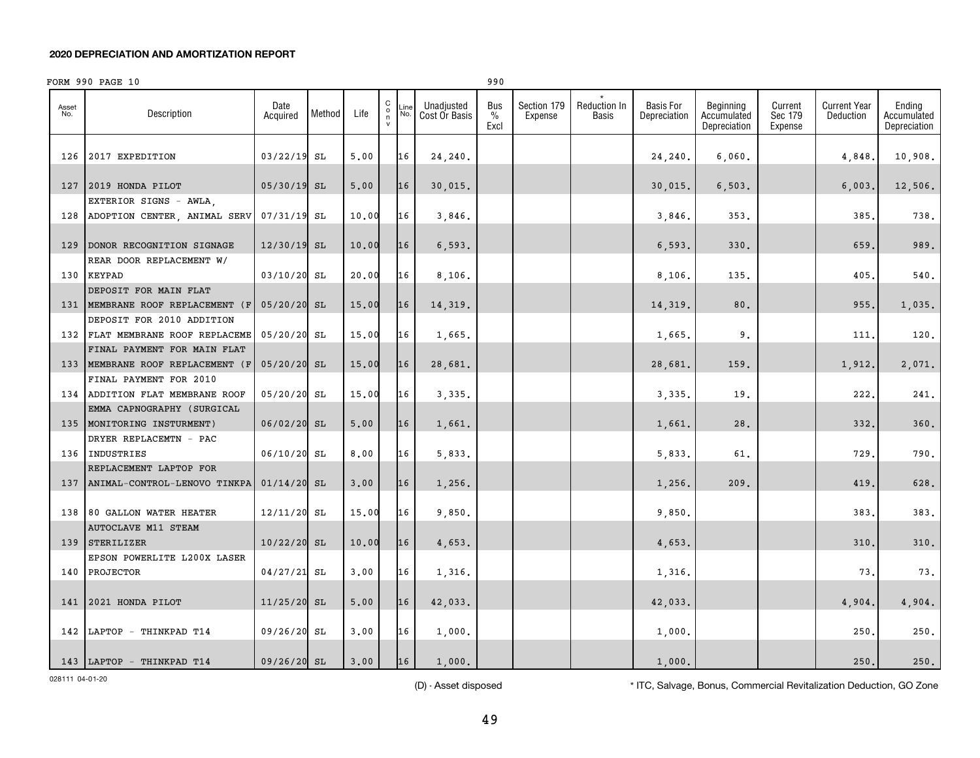|              | FORM 990 PAGE 10                                       |                  |        |       |                                              |             |                             | 990                          |                        |                       |                                  |                                          |                               |                                  |                                       |
|--------------|--------------------------------------------------------|------------------|--------|-------|----------------------------------------------|-------------|-----------------------------|------------------------------|------------------------|-----------------------|----------------------------------|------------------------------------------|-------------------------------|----------------------------------|---------------------------------------|
| Asset<br>No. | Description                                            | Date<br>Acquired | Method | Life  | $\begin{array}{c}\nC \\ O \\ N\n\end{array}$ | _ine<br>No. | Unadjusted<br>Cost Or Basis | Bus<br>$\frac{0}{0}$<br>Excl | Section 179<br>Expense | Reduction In<br>Basis | <b>Basis For</b><br>Depreciation | Beginning<br>Accumulated<br>Depreciation | Current<br>Sec 179<br>Expense | <b>Current Year</b><br>Deduction | Ending<br>Accumulated<br>Depreciation |
| 126          | 2017 EXPEDITION                                        | 03/22/19         | SL     | 5.00  |                                              | 16          | 24,240.                     |                              |                        |                       | 24,240.                          | 6,060.                                   |                               | 4,848                            | 10,908.                               |
| 127          | 2019 HONDA PILOT                                       | 05/30/19 SL      |        | 5,00  |                                              | 16          | 30,015.                     |                              |                        |                       | 30,015.                          | 6, 503.                                  |                               | 6,003                            | 12,506.                               |
| 128          | EXTERIOR SIGNS - AWLA,<br>ADOPTION CENTER, ANIMAL SERV | 07/31/19 SL      |        | 10.00 |                                              | 16          | 3,846.                      |                              |                        |                       | 3,846.                           | 353.                                     |                               | 385                              | 738.                                  |
|              |                                                        |                  |        |       |                                              |             |                             |                              |                        |                       |                                  |                                          |                               |                                  |                                       |
| 129          | DONOR RECOGNITION SIGNAGE                              | $12/30/19$ SL    |        | 10.00 |                                              | 16          | 6, 593.                     |                              |                        |                       | 6, 593.                          | 330.                                     |                               | 659.                             | 989.                                  |
|              | REAR DOOR REPLACEMENT W/                               |                  |        |       |                                              |             |                             |                              |                        |                       |                                  |                                          |                               |                                  |                                       |
|              | 130 KEYPAD                                             | 03/10/20 SL      |        | 20,00 |                                              | 16          | 8,106.                      |                              |                        |                       | 8,106.                           | 135.                                     |                               | 405                              | 540.                                  |
| 131          | DEPOSIT FOR MAIN FLAT<br>MEMBRANE ROOF REPLACEMENT (F  |                  |        | 15.00 |                                              | 16          |                             |                              |                        |                       |                                  | 80.                                      |                               | 955.                             | 1,035.                                |
|              | DEPOSIT FOR 2010 ADDITION                              | 05/20/20 SL      |        |       |                                              |             | 14,319.                     |                              |                        |                       | 14,319.                          |                                          |                               |                                  |                                       |
|              | 132 FLAT MEMBRANE ROOF REPLACEME                       | 05/20/20 SL      |        | 15.00 |                                              | 16          | 1,665.                      |                              |                        |                       | 1,665.                           | 9.                                       |                               | 111                              | 120.                                  |
|              | FINAL PAYMENT FOR MAIN FLAT                            |                  |        |       |                                              |             |                             |                              |                        |                       |                                  |                                          |                               |                                  |                                       |
| 133          | MEMBRANE ROOF REPLACEMENT (F                           | $05/20/20$ SL    |        | 15.00 |                                              | 16          | 28,681.                     |                              |                        |                       | 28,681.                          | 159.                                     |                               | 1,912.                           | 2,071.                                |
|              | FINAL PAYMENT FOR 2010                                 |                  |        |       |                                              |             |                             |                              |                        |                       |                                  |                                          |                               |                                  |                                       |
|              | 134 ADDITION FLAT MEMBRANE ROOF                        | 05/20/20 SL      |        | 15.00 |                                              | 16          | 3,335.                      |                              |                        |                       | 3,335.                           | 19.                                      |                               | 222                              | 241.                                  |
|              | EMMA CAPNOGRAPHY (SURGICAL                             |                  |        |       |                                              |             |                             |                              |                        |                       |                                  |                                          |                               |                                  |                                       |
| 135          | MONITORING INSTURMENT)                                 | $06/02/20$ SL    |        | 5.00  |                                              | 16          | 1,661.                      |                              |                        |                       | 1,661                            | 28.                                      |                               | 332                              | 360.                                  |
|              | DRYER REPLACEMTN - PAC                                 |                  |        |       |                                              |             |                             |                              |                        |                       |                                  |                                          |                               |                                  |                                       |
|              | 136 INDUSTRIES<br>REPLACEMENT LAPTOP FOR               | 06/10/20         | SL     | 8,00  |                                              | 16          | 5,833.                      |                              |                        |                       | 5,833.                           | 61.                                      |                               | 729                              | 790.                                  |
|              | 137   ANIMAL-CONTROL-LENOVO TINKPA                     | $01/14/20$ SL    |        | 3.00  |                                              | 16          | 1,256.                      |                              |                        |                       | 1,256.                           | 209.                                     |                               | 419                              | 628.                                  |
|              |                                                        |                  |        |       |                                              |             |                             |                              |                        |                       |                                  |                                          |                               |                                  |                                       |
| 138          | 80 GALLON WATER HEATER                                 | $12/11/20$ SL    |        | 15.00 |                                              | 16          | 9,850.                      |                              |                        |                       | 9,850.                           |                                          |                               | 383                              | 383.                                  |
|              | <b>AUTOCLAVE M11 STEAM</b>                             |                  |        |       |                                              |             |                             |                              |                        |                       |                                  |                                          |                               |                                  |                                       |
| 139          | STERILIZER                                             | 10/22/20 SL      |        | 10.00 |                                              | 16          | 4,653.                      |                              |                        |                       | 4,653.                           |                                          |                               | 310                              | 310.                                  |
|              | EPSON POWERLITE L200X LASER                            |                  |        |       |                                              |             |                             |                              |                        |                       |                                  |                                          |                               |                                  |                                       |
| 140          | <b>PROJECTOR</b>                                       | 04/27/21 SL      |        | 3.00  |                                              | 16          | 1,316.                      |                              |                        |                       | 1,316.                           |                                          |                               | 73.                              | 73.                                   |
| 141          | 2021 HONDA PILOT                                       | $11/25/20$ SL    |        | 5,00  |                                              | 16          | 42,033.                     |                              |                        |                       | 42,033.                          |                                          |                               | 4,904.                           | 4,904.                                |
| 142          | LAPTOP - THINKPAD T14                                  | 09/26/20 SL      |        | 3.00  |                                              | 16          | 1,000.                      |                              |                        |                       | 1,000.                           |                                          |                               | 250                              | 250.                                  |
|              |                                                        |                  |        |       |                                              |             |                             |                              |                        |                       |                                  |                                          |                               |                                  |                                       |
|              | 143 LAPTOP - THINKPAD T14                              | 09/26/20 SL      |        | 3,00  |                                              | 16          | 1,000.                      |                              |                        |                       | 1,000.                           |                                          |                               | 250.                             | 250.                                  |

028111 04-01-20